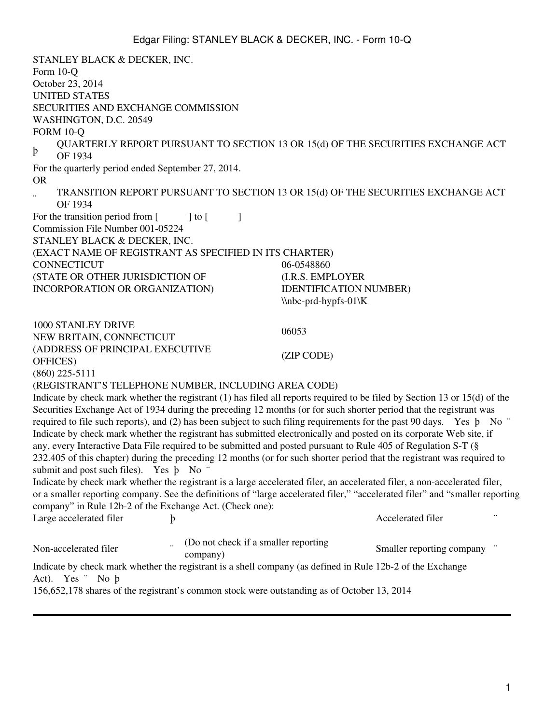STANLEY BLACK & DECKER, INC. Form 10-Q October 23, 2014 UNITED STATES SECURITIES AND EXCHANGE COMMISSION WASHINGTON, D.C. 20549 FORM 10-Q þ QUARTERLY REPORT PURSUANT TO SECTION 13 OR 15(d) OF THE SECURITIES EXCHANGE ACT OF 1934 For the quarterly period ended September 27, 2014. OR  $\ddot{\phantom{a}}$ TRANSITION REPORT PURSUANT TO SECTION 13 OR 15(d) OF THE SECURITIES EXCHANGE ACT OF 1934 For the transition period from  $\begin{bmatrix} 1 & 1 \end{bmatrix}$ Commission File Number 001-05224 STANLEY BLACK & DECKER, INC. (EXACT NAME OF REGISTRANT AS SPECIFIED IN ITS CHARTER) CONNECTICUT 06-0548860 (STATE OR OTHER JURISDICTION OF INCORPORATION OR ORGANIZATION) (I.R.S. EMPLOYER IDENTIFICATION NUMBER) \\nbc-prd-hypfs-01\K 1000 STANLEY DRIVE NEW BRITAIN, CONNECTICUT 06053 (ADDRESS OF PRINCIPAL EXECUTIVE (ZIP CODE)<br>OFFICES) (2IP CODE) (860) 225-5111 (REGISTRANT'S TELEPHONE NUMBER, INCLUDING AREA CODE) Indicate by check mark whether the registrant (1) has filed all reports required to be filed by Section 13 or 15(d) of the Securities Exchange Act of 1934 during the preceding 12 months (or for such shorter period that the registrant was required to file such reports), and (2) has been subject to such filing requirements for the past 90 days. Yes þ No ¨ Indicate by check mark whether the registrant has submitted electronically and posted on its corporate Web site, if any, every Interactive Data File required to be submitted and posted pursuant to Rule 405 of Regulation S-T (§ 232.405 of this chapter) during the preceding 12 months (or for such shorter period that the registrant was required to submit and post such files). Yes b No " Indicate by check mark whether the registrant is a large accelerated filer, an accelerated filer, a non-accelerated filer, or a smaller reporting company. See the definitions of "large accelerated filer," "accelerated filer" and "smaller reporting company" in Rule 12b-2 of the Exchange Act. (Check one): Large accelerated filer b b b **Accelerated filer b Accelerated filer b Accelerated filer** Non-accelerated filer ¨ (Do not check if a smaller reporting (Do not check if a smaller reporting Smaller reporting company "<br>
Smaller reporting company " Indicate by check mark whether the registrant is a shell company (as defined in Rule 12b-2 of the Exchange Act). Yes ¨ No þ 156,652,178 shares of the registrant's common stock were outstanding as of October 13, 2014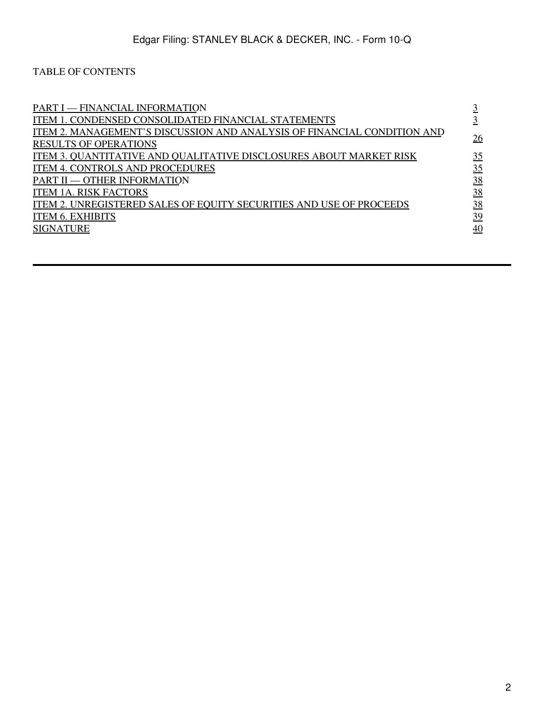<span id="page-1-0"></span>TABLE OF CONTENTS

| <b>PART I — FINANCIAL INFORMATION</b>                                          |            |
|--------------------------------------------------------------------------------|------------|
| <u>ITEM 1. CONDENSED CONSOLIDATED FINANCIAL STATEMENTS</u>                     |            |
| <u>ITEM 2. MANAGEMENT'S DISCUSSION AND ANALYSIS OF FINANCIAL CONDITION AND</u> |            |
| <b>RESULTS OF OPERATIONS</b>                                                   | <u> 26</u> |
| <u>ITEM 3. OUANTITATIVE AND OUALITATIVE DISCLOSURES ABOUT MARKET RISK</u>      | <u>35</u>  |
| <b>ITEM 4. CONTROLS AND PROCEDURES</b>                                         | <u>35</u>  |
| PART II - OTHER INFORMATION                                                    | <u>38</u>  |
| <b>ITEM 1A. RISK FACTORS</b>                                                   | <u>38</u>  |
| ITEM 2. UNREGISTERED SALES OF EQUITY SECURITIES AND USE OF PROCEEDS            | <u>38</u>  |
| <b>ITEM 6. EXHIBITS</b>                                                        | 39         |
| <b>SIGNATURE</b>                                                               | 40         |
|                                                                                |            |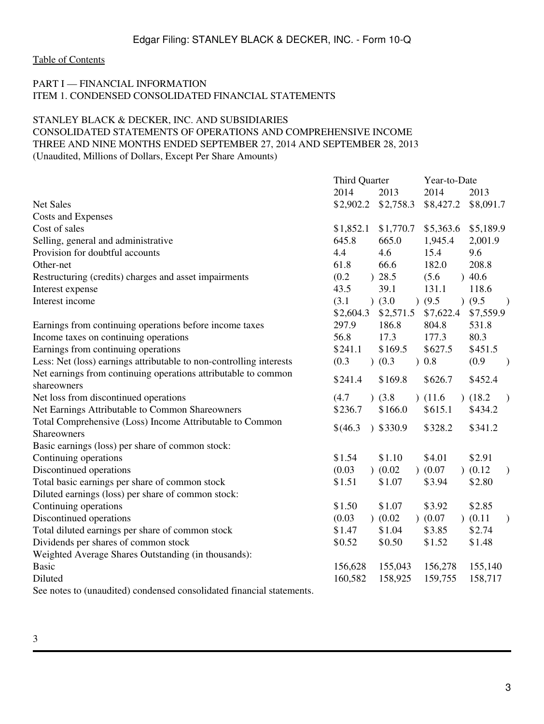## <span id="page-2-1"></span><span id="page-2-0"></span>PART I — FINANCIAL INFORMATION ITEM 1. CONDENSED CONSOLIDATED FINANCIAL STATEMENTS

## STANLEY BLACK & DECKER, INC. AND SUBSIDIARIES CONSOLIDATED STATEMENTS OF OPERATIONS AND COMPREHENSIVE INCOME THREE AND NINE MONTHS ENDED SEPTEMBER 27, 2014 AND SEPTEMBER 28, 2013 (Unaudited, Millions of Dollars, Except Per Share Amounts)

|                                                                       | Third Quarter |             | Year-to-Date |                             |
|-----------------------------------------------------------------------|---------------|-------------|--------------|-----------------------------|
|                                                                       | 2014          | 2013        | 2014         | 2013                        |
| <b>Net Sales</b>                                                      | \$2,902.2     | \$2,758.3   | \$8,427.2    | \$8,091.7                   |
| Costs and Expenses                                                    |               |             |              |                             |
| Cost of sales                                                         | \$1,852.1     | \$1,770.7   | \$5,363.6    | \$5,189.9                   |
| Selling, general and administrative                                   | 645.8         | 665.0       | 1,945.4      | 2,001.9                     |
| Provision for doubtful accounts                                       | 4.4           | 4.6         | 15.4         | 9.6                         |
| Other-net                                                             | 61.8          | 66.6        | 182.0        | 208.8                       |
| Restructuring (credits) charges and asset impairments                 | (0.2)         | ) 28.5      | (5.6)        | )40.6                       |
| Interest expense                                                      | 43.5          | 39.1        | 131.1        | 118.6                       |
| Interest income                                                       | (3.1)         | ) (3.0)     | $)$ (9.5)    | $)$ (9.5)<br>$\lambda$      |
|                                                                       | \$2,604.3     | \$2,571.5   | \$7,622.4    | \$7,559.9                   |
| Earnings from continuing operations before income taxes               | 297.9         | 186.8       | 804.8        | 531.8                       |
| Income taxes on continuing operations                                 | 56.8          | 17.3        | 177.3        | 80.3                        |
| Earnings from continuing operations                                   | \$241.1       | \$169.5     | \$627.5      | \$451.5                     |
| Less: Net (loss) earnings attributable to non-controlling interests   | (0.3)         | $)$ (0.3)   | 0.8          | (0.9)<br>$\lambda$          |
| Net earnings from continuing operations attributable to common        | \$241.4       | \$169.8     | \$626.7      | \$452.4                     |
| shareowners                                                           |               |             |              |                             |
| Net loss from discontinued operations                                 | (4.7)         | )(3.8)      | (11.6)       | (18.2)<br>$\rightarrow$     |
| Net Earnings Attributable to Common Shareowners                       | \$236.7       | \$166.0     | \$615.1      | \$434.2                     |
| Total Comprehensive (Loss) Income Attributable to Common              | \$ (46.3)     | $)$ \$330.9 | \$328.2      | \$341.2                     |
| Shareowners                                                           |               |             |              |                             |
| Basic earnings (loss) per share of common stock:                      |               |             |              |                             |
| Continuing operations                                                 | \$1.54        | \$1.10      | \$4.01       | \$2.91                      |
| Discontinued operations                                               | (0.03)        | (0.02)      | $)$ (0.07)   | $)$ (0.12)<br>$\mathcal{L}$ |
| Total basic earnings per share of common stock                        | \$1.51        | \$1.07      | \$3.94       | \$2.80                      |
| Diluted earnings (loss) per share of common stock:                    |               |             |              |                             |
| Continuing operations                                                 | \$1.50        | \$1.07      | \$3.92       | \$2.85                      |
| Discontinued operations                                               | (0.03)        | (0.02)      | $)$ (0.07)   | $)$ (0.11)<br>$\mathcal{L}$ |
| Total diluted earnings per share of common stock                      | \$1.47        | \$1.04      | \$3.85       | \$2.74                      |
| Dividends per shares of common stock                                  | \$0.52        | \$0.50      | \$1.52       | \$1.48                      |
| Weighted Average Shares Outstanding (in thousands):                   |               |             |              |                             |
| <b>Basic</b>                                                          | 156,628       | 155,043     | 156,278      | 155,140                     |
| Diluted                                                               | 160,582       | 158,925     | 159,755      | 158,717                     |
| See notes to (unaudited) condensed consolidated financial statements. |               |             |              |                             |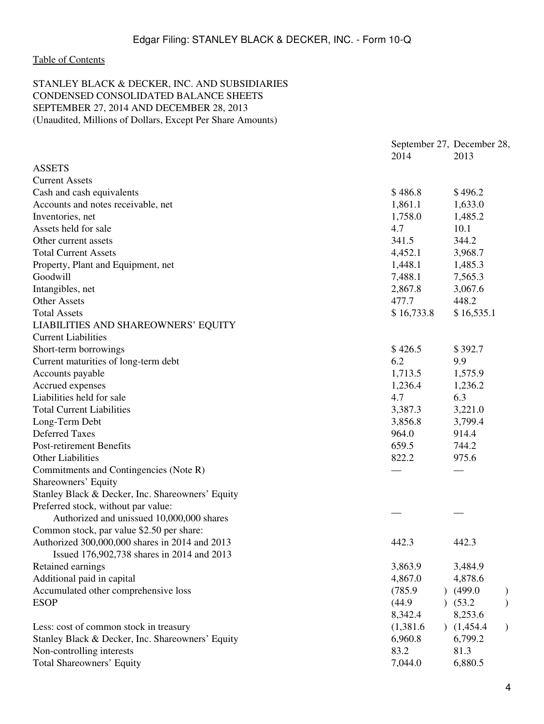## STANLEY BLACK & DECKER, INC. AND SUBSIDIARIES CONDENSED CONSOLIDATED BALANCE SHEETS SEPTEMBER 27, 2014 AND DECEMBER 28, 2013 (Unaudited, Millions of Dollars, Except Per Share Amounts)

|                                                  | 2014       | September 27, December 28,<br>2013 |
|--------------------------------------------------|------------|------------------------------------|
| <b>ASSETS</b>                                    |            |                                    |
| <b>Current Assets</b>                            |            |                                    |
| Cash and cash equivalents                        | \$486.8    | \$496.2                            |
| Accounts and notes receivable, net               | 1,861.1    | 1,633.0                            |
| Inventories, net                                 | 1,758.0    | 1,485.2                            |
| Assets held for sale                             | 4.7        | 10.1                               |
| Other current assets                             | 341.5      | 344.2                              |
| <b>Total Current Assets</b>                      | 4,452.1    | 3,968.7                            |
| Property, Plant and Equipment, net               | 1,448.1    | 1,485.3                            |
| Goodwill                                         | 7,488.1    | 7,565.3                            |
| Intangibles, net                                 | 2,867.8    | 3,067.6                            |
| <b>Other Assets</b>                              | 477.7      | 448.2                              |
| <b>Total Assets</b>                              | \$16,733.8 | \$16,535.1                         |
| LIABILITIES AND SHAREOWNERS' EQUITY              |            |                                    |
| <b>Current Liabilities</b>                       |            |                                    |
| Short-term borrowings                            | \$426.5    | \$392.7                            |
| Current maturities of long-term debt             | 6.2        | 9.9                                |
| Accounts payable                                 | 1,713.5    | 1,575.9                            |
| Accrued expenses                                 | 1,236.4    | 1,236.2                            |
| Liabilities held for sale                        | 4.7        | 6.3                                |
| <b>Total Current Liabilities</b>                 | 3,387.3    | 3,221.0                            |
| Long-Term Debt                                   | 3,856.8    | 3,799.4                            |
| <b>Deferred Taxes</b>                            | 964.0      | 914.4                              |
| <b>Post-retirement Benefits</b>                  | 659.5      | 744.2                              |
| Other Liabilities                                | 822.2      | 975.6                              |
| Commitments and Contingencies (Note R)           |            |                                    |
| Shareowners' Equity                              |            |                                    |
| Stanley Black & Decker, Inc. Shareowners' Equity |            |                                    |
| Preferred stock, without par value:              |            |                                    |
| Authorized and unissued 10,000,000 shares        |            |                                    |
| Common stock, par value \$2.50 per share:        |            |                                    |
| Authorized 300,000,000 shares in 2014 and 2013   | 442.3      | 442.3                              |
| Issued 176,902,738 shares in 2014 and 2013       |            |                                    |
| Retained earnings                                | 3,863.9    | 3,484.9                            |
| Additional paid in capital                       | 4,867.0    | 4,878.6                            |
| Accumulated other comprehensive loss             | (785.9)    | (499.0)<br>$\mathcal{Y}$           |
| <b>ESOP</b>                                      | (44.9)     | (53.2)<br>$\mathcal{E}$            |
|                                                  | 8,342.4    | 8,253.6                            |
| Less: cost of common stock in treasury           | (1,381.6)  | (1,454.4)<br>$\mathcal{F}$         |
| Stanley Black & Decker, Inc. Shareowners' Equity | 6,960.8    | 6,799.2                            |
| Non-controlling interests                        | 83.2       | 81.3                               |
| <b>Total Shareowners' Equity</b>                 | 7,044.0    | 6,880.5                            |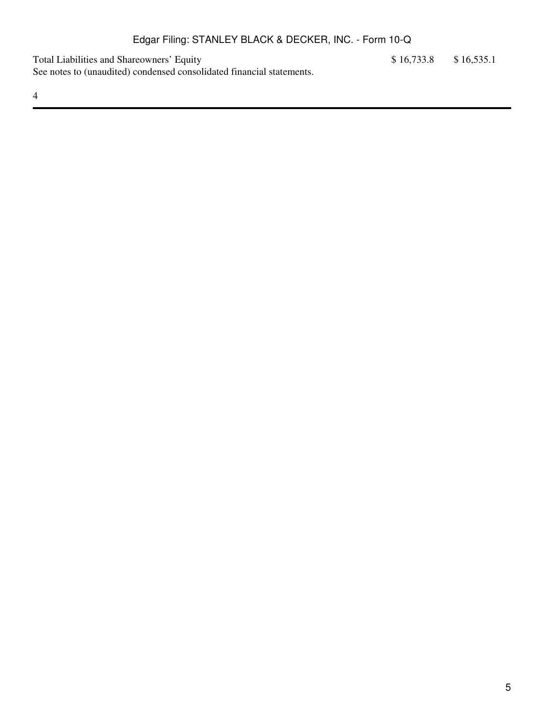Total Liabilities and Shareowners' Equity \$ 16,733.8 \$ 16,535.1 See notes to (unaudited) condensed consolidated financial statements.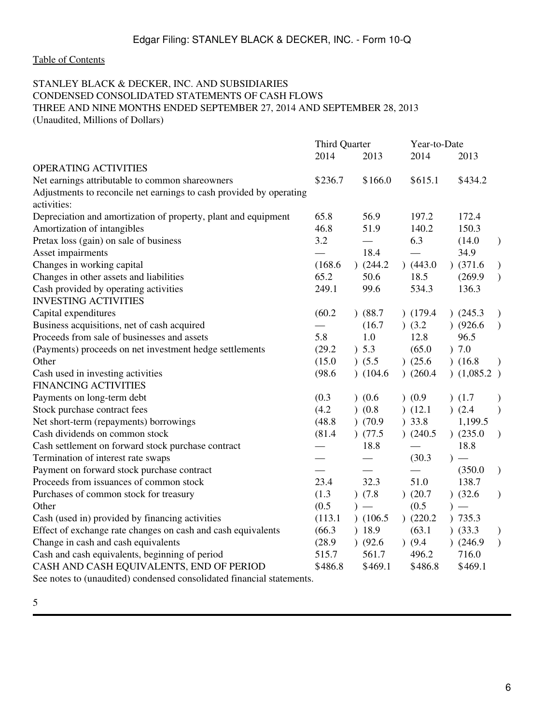#### STANLEY BLACK & DECKER, INC. AND SUBSIDIARIES CONDENSED CONSOLIDATED STATEMENTS OF CASH FLOWS THREE AND NINE MONTHS ENDED SEPTEMBER 27, 2014 AND SEPTEMBER 28, 2013 (Unaudited, Millions of Dollars)

Third Quarter Year-to-Date 2014 2013 2014 2013 OPERATING ACTIVITIES Net earnings attributable to common shareowners  $$236.7$  \$166.0 \$615.1 \$434.2 Adjustments to reconcile net earnings to cash provided by operating activities: Depreciation and amortization of property, plant and equipment 65.8 56.9 197.2 172.4 Amortization of intangibles  $46.8$  51.9 140.2 150.3 Pretax loss (gain) on sale of business  $3.2 \qquad -6.3 \qquad (14.0)$ Asset impairments — 18.4 — 34.9 Changes in working capital (168.6 ) (244.2 ) (443.0 ) (371.6 ) Changes in other assets and liabilities 65.2 50.6 18.5 (269.9 ) Cash provided by operating activities 249.1 99.6 534.3 136.3 INVESTING ACTIVITIES Capital expenditures (60.2 ) (88.7 ) (179.4 ) (245.3 ) Business acquisitions, net of cash acquired  $-$  (16.7 ) (3.2 ) (926.6 ) Proceeds from sale of businesses and assets 5.8 1.0 12.8 96.5 (Payments) proceeds on net investment hedge settlements  $(29.2)$   $5.3$   $(65.0)$   $7.0$ Other (15.0 )  $(5.5)$   $(25.6)$   $(16.8)$ Cash used in investing activities (98.6 ) (104.6 ) (260.4 ) (1,085.2 ) FINANCING ACTIVITIES Payments on long-term debt  $(0.3) (0.6) (0.9) (1.7)$ Stock purchase contract fees  $(4.2) (0.8) (12.1) (2.4)$ Net short-term (repayments) borrowings (48.8 ) (70.9 ) 33.8 1,199.5 Cash dividends on common stock  $(81.4 \t) (77.5 \t) (240.5 \t) (235.0 \t)$ Cash settlement on forward stock purchase contract  $\qquad -$  18.8  $\qquad -$  18.8 Termination of interest rate swaps  $\qquad \qquad (30.3)$   $)$   $\qquad$ Payment on forward stock purchase contract  $(350.0)$ Proceeds from issuances of common stock 23.4 32.3 51.0 138.7 Purchases of common stock for treasury  $(1.3 \t) (7.8 \t) (20.7 \t) (32.6 \t)$ Other  $(0.5)$  —  $(0.5)$  —  $(0.5)$  — Cash (used in) provided by financing activities (113.1 ) (106.5 ) (220.2 ) 735.3 Effect of exchange rate changes on cash and cash equivalents  $(66.3)$   $18.9$   $(63.1)$   $(33.3)$ Change in cash and cash equivalents (28.9 )  $(92.6) (9.4) (246.9)$ Cash and cash equivalents, beginning of period 515.7 561.7 496.2 716.0 CASH AND CASH EQUIVALENTS, END OF PERIOD \$486.8 \$469.1 \$486.8 \$469.1 See notes to (unaudited) condensed consolidated financial statements.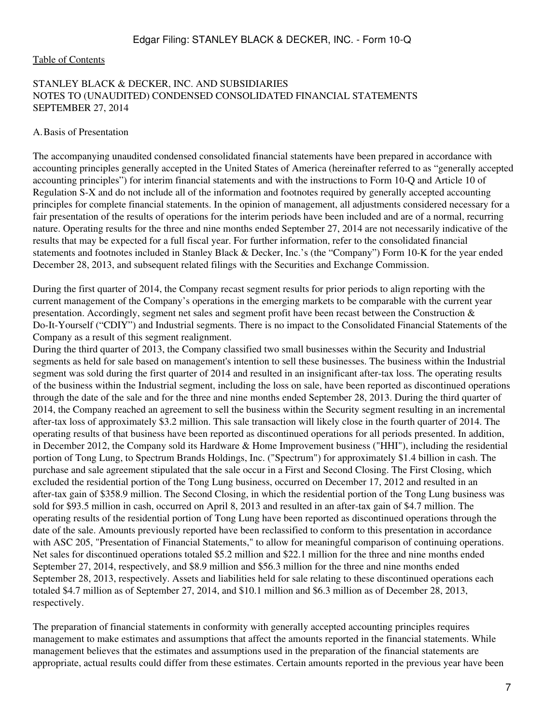#### [Table of Contents](#page-1-0)

### STANLEY BLACK & DECKER, INC. AND SUBSIDIARIES NOTES TO (UNAUDITED) CONDENSED CONSOLIDATED FINANCIAL STATEMENTS SEPTEMBER 27, 2014

#### A.Basis of Presentation

The accompanying unaudited condensed consolidated financial statements have been prepared in accordance with accounting principles generally accepted in the United States of America (hereinafter referred to as "generally accepted accounting principles") for interim financial statements and with the instructions to Form 10-Q and Article 10 of Regulation S-X and do not include all of the information and footnotes required by generally accepted accounting principles for complete financial statements. In the opinion of management, all adjustments considered necessary for a fair presentation of the results of operations for the interim periods have been included and are of a normal, recurring nature. Operating results for the three and nine months ended September 27, 2014 are not necessarily indicative of the results that may be expected for a full fiscal year. For further information, refer to the consolidated financial statements and footnotes included in Stanley Black & Decker, Inc.'s (the "Company") Form 10-K for the year ended December 28, 2013, and subsequent related filings with the Securities and Exchange Commission.

During the first quarter of 2014, the Company recast segment results for prior periods to align reporting with the current management of the Company's operations in the emerging markets to be comparable with the current year presentation. Accordingly, segment net sales and segment profit have been recast between the Construction & Do-It-Yourself ("CDIY") and Industrial segments. There is no impact to the Consolidated Financial Statements of the Company as a result of this segment realignment.

During the third quarter of 2013, the Company classified two small businesses within the Security and Industrial segments as held for sale based on management's intention to sell these businesses. The business within the Industrial segment was sold during the first quarter of 2014 and resulted in an insignificant after-tax loss. The operating results of the business within the Industrial segment, including the loss on sale, have been reported as discontinued operations through the date of the sale and for the three and nine months ended September 28, 2013. During the third quarter of 2014, the Company reached an agreement to sell the business within the Security segment resulting in an incremental after-tax loss of approximately \$3.2 million. This sale transaction will likely close in the fourth quarter of 2014. The operating results of that business have been reported as discontinued operations for all periods presented. In addition, in December 2012, the Company sold its Hardware & Home Improvement business ("HHI"), including the residential portion of Tong Lung, to Spectrum Brands Holdings, Inc. ("Spectrum") for approximately \$1.4 billion in cash. The purchase and sale agreement stipulated that the sale occur in a First and Second Closing. The First Closing, which excluded the residential portion of the Tong Lung business, occurred on December 17, 2012 and resulted in an after-tax gain of \$358.9 million. The Second Closing, in which the residential portion of the Tong Lung business was sold for \$93.5 million in cash, occurred on April 8, 2013 and resulted in an after-tax gain of \$4.7 million. The operating results of the residential portion of Tong Lung have been reported as discontinued operations through the date of the sale. Amounts previously reported have been reclassified to conform to this presentation in accordance with ASC 205, "Presentation of Financial Statements," to allow for meaningful comparison of continuing operations. Net sales for discontinued operations totaled \$5.2 million and \$22.1 million for the three and nine months ended September 27, 2014, respectively, and \$8.9 million and \$56.3 million for the three and nine months ended September 28, 2013, respectively. Assets and liabilities held for sale relating to these discontinued operations each totaled \$4.7 million as of September 27, 2014, and \$10.1 million and \$6.3 million as of December 28, 2013, respectively.

The preparation of financial statements in conformity with generally accepted accounting principles requires management to make estimates and assumptions that affect the amounts reported in the financial statements. While management believes that the estimates and assumptions used in the preparation of the financial statements are appropriate, actual results could differ from these estimates. Certain amounts reported in the previous year have been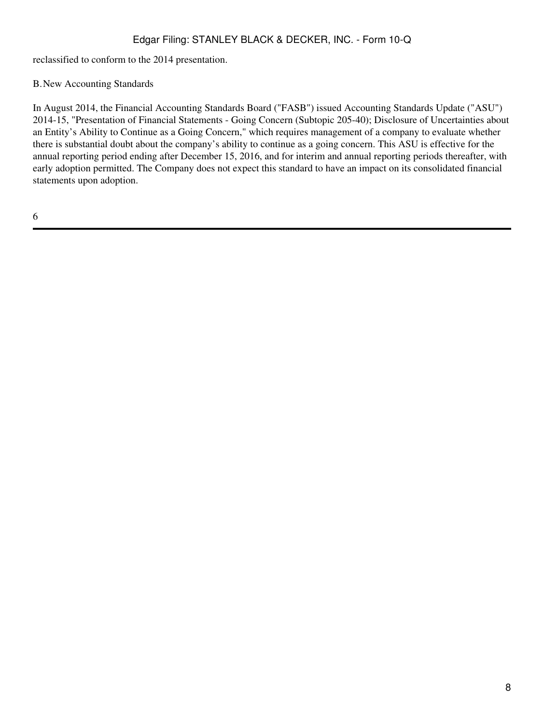reclassified to conform to the 2014 presentation.

## B.New Accounting Standards

In August 2014, the Financial Accounting Standards Board ("FASB") issued Accounting Standards Update ("ASU") 2014-15, "Presentation of Financial Statements - Going Concern (Subtopic 205-40); Disclosure of Uncertainties about an Entity's Ability to Continue as a Going Concern," which requires management of a company to evaluate whether there is substantial doubt about the company's ability to continue as a going concern. This ASU is effective for the annual reporting period ending after December 15, 2016, and for interim and annual reporting periods thereafter, with early adoption permitted. The Company does not expect this standard to have an impact on its consolidated financial statements upon adoption.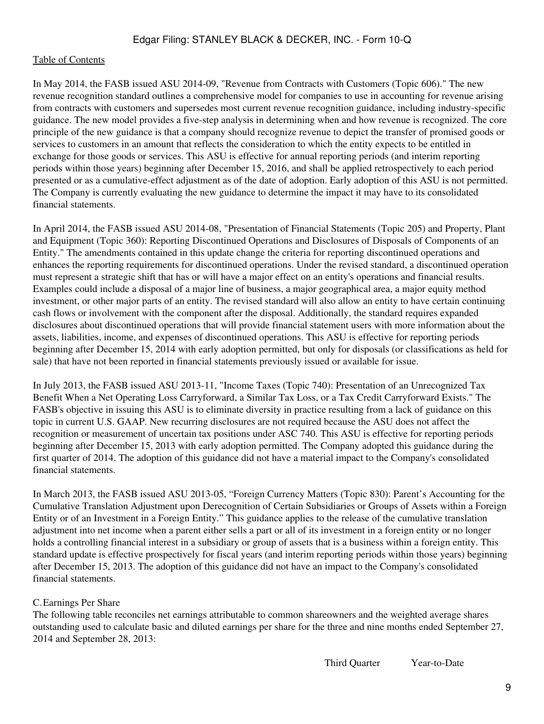In May 2014, the FASB issued ASU 2014-09, "Revenue from Contracts with Customers (Topic 606)." The new revenue recognition standard outlines a comprehensive model for companies to use in accounting for revenue arising from contracts with customers and supersedes most current revenue recognition guidance, including industry-specific guidance. The new model provides a five-step analysis in determining when and how revenue is recognized. The core principle of the new guidance is that a company should recognize revenue to depict the transfer of promised goods or services to customers in an amount that reflects the consideration to which the entity expects to be entitled in exchange for those goods or services. This ASU is effective for annual reporting periods (and interim reporting periods within those years) beginning after December 15, 2016, and shall be applied retrospectively to each period presented or as a cumulative-effect adjustment as of the date of adoption. Early adoption of this ASU is not permitted. The Company is currently evaluating the new guidance to determine the impact it may have to its consolidated financial statements.

In April 2014, the FASB issued ASU 2014-08, "Presentation of Financial Statements (Topic 205) and Property, Plant and Equipment (Topic 360): Reporting Discontinued Operations and Disclosures of Disposals of Components of an Entity." The amendments contained in this update change the criteria for reporting discontinued operations and enhances the reporting requirements for discontinued operations. Under the revised standard, a discontinued operation must represent a strategic shift that has or will have a major effect on an entity's operations and financial results. Examples could include a disposal of a major line of business, a major geographical area, a major equity method investment, or other major parts of an entity. The revised standard will also allow an entity to have certain continuing cash flows or involvement with the component after the disposal. Additionally, the standard requires expanded disclosures about discontinued operations that will provide financial statement users with more information about the assets, liabilities, income, and expenses of discontinued operations. This ASU is effective for reporting periods beginning after December 15, 2014 with early adoption permitted, but only for disposals (or classifications as held for sale) that have not been reported in financial statements previously issued or available for issue.

In July 2013, the FASB issued ASU 2013-11, "Income Taxes (Topic 740): Presentation of an Unrecognized Tax Benefit When a Net Operating Loss Carryforward, a Similar Tax Loss, or a Tax Credit Carryforward Exists." The FASB's objective in issuing this ASU is to eliminate diversity in practice resulting from a lack of guidance on this topic in current U.S. GAAP. New recurring disclosures are not required because the ASU does not affect the recognition or measurement of uncertain tax positions under ASC 740. This ASU is effective for reporting periods beginning after December 15, 2013 with early adoption permitted. The Company adopted this guidance during the first quarter of 2014. The adoption of this guidance did not have a material impact to the Company's consolidated financial statements.

In March 2013, the FASB issued ASU 2013-05, "Foreign Currency Matters (Topic 830): Parent's Accounting for the Cumulative Translation Adjustment upon Derecognition of Certain Subsidiaries or Groups of Assets within a Foreign Entity or of an Investment in a Foreign Entity." This guidance applies to the release of the cumulative translation adjustment into net income when a parent either sells a part or all of its investment in a foreign entity or no longer holds a controlling financial interest in a subsidiary or group of assets that is a business within a foreign entity. This standard update is effective prospectively for fiscal years (and interim reporting periods within those years) beginning after December 15, 2013. The adoption of this guidance did not have an impact to the Company's consolidated financial statements.

## C.Earnings Per Share

The following table reconciles net earnings attributable to common shareowners and the weighted average shares outstanding used to calculate basic and diluted earnings per share for the three and nine months ended September 27, 2014 and September 28, 2013:

Third Quarter Year-to-Date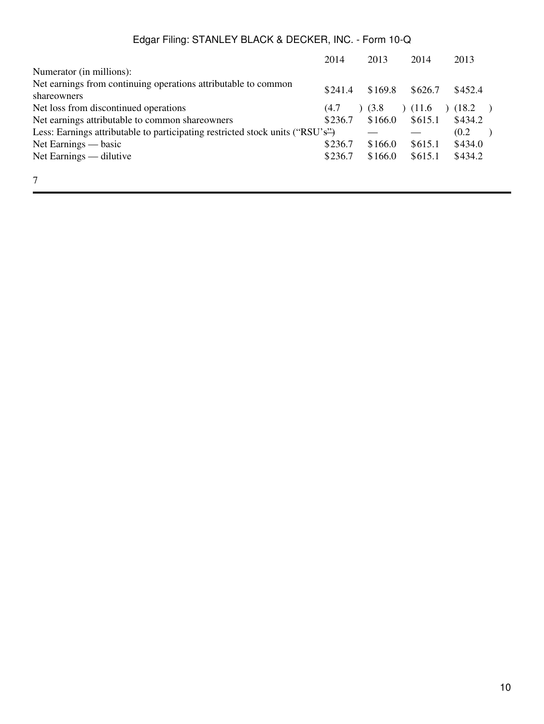|                                                                               | 2014    | 2013    | 2014    | 2013    |  |
|-------------------------------------------------------------------------------|---------|---------|---------|---------|--|
| Numerator (in millions):                                                      |         |         |         |         |  |
| Net earnings from continuing operations attributable to common<br>shareowners | \$241.4 | \$169.8 | \$626.7 | \$452.4 |  |
| Net loss from discontinued operations                                         | (4.7)   | (3.8)   | (11.6)  | (18.2)  |  |
| Net earnings attributable to common shareowners                               | \$236.7 | \$166.0 | \$615.1 | \$434.2 |  |
| Less: Earnings attributable to participating restricted stock units ("RSU's") |         |         |         | (0.2)   |  |
| Net Earnings — basic                                                          | \$236.7 | \$166.0 | \$615.1 | \$434.0 |  |
| Net Earnings — dilutive                                                       | \$236.7 | \$166.0 | \$615.1 | \$434.2 |  |
|                                                                               |         |         |         |         |  |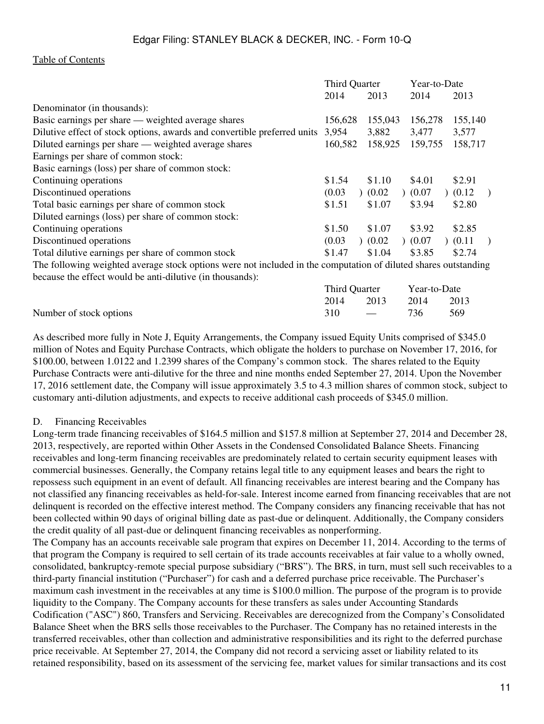|                                                                                                                 | Third Quarter |         | Year-to-Date |         |  |         |               |
|-----------------------------------------------------------------------------------------------------------------|---------------|---------|--------------|---------|--|---------|---------------|
|                                                                                                                 | 2014          | 2013    |              | 2014    |  | 2013    |               |
| Denominator (in thousands):                                                                                     |               |         |              |         |  |         |               |
| Basic earnings per share — weighted average shares                                                              | 156,628       | 155,043 |              | 156,278 |  | 155,140 |               |
| Dilutive effect of stock options, awards and convertible preferred units 3,954                                  |               | 3,882   |              | 3,477   |  | 3,577   |               |
| Diluted earnings per share — weighted average shares                                                            | 160,582       | 158,925 |              | 159,755 |  | 158,717 |               |
| Earnings per share of common stock:                                                                             |               |         |              |         |  |         |               |
| Basic earnings (loss) per share of common stock:                                                                |               |         |              |         |  |         |               |
| Continuing operations                                                                                           | \$1.54        | \$1.10  |              | \$4.01  |  | \$2.91  |               |
| Discontinued operations                                                                                         | (0.03)        | (0.02)  |              | (0.07)  |  | (0.12)  |               |
| Total basic earnings per share of common stock                                                                  | \$1.51        | \$1.07  |              | \$3.94  |  | \$2.80  |               |
| Diluted earnings (loss) per share of common stock:                                                              |               |         |              |         |  |         |               |
| Continuing operations                                                                                           | \$1.50        | \$1.07  |              | \$3.92  |  | \$2.85  |               |
| Discontinued operations                                                                                         | (0.03)        | (0.02)  |              | (0.07)  |  | (0.11)  | $\rightarrow$ |
| Total dilutive earnings per share of common stock                                                               | \$1.47        | \$1.04  |              | \$3.85  |  | \$2.74  |               |
| The following weighted average stock options were not included in the computation of diluted shares outstanding |               |         |              |         |  |         |               |
| because the effect would be anti-dilutive (in thousands):                                                       |               |         |              |         |  |         |               |

|                         | Third Quarter |                                   | Year-to-Date |      |
|-------------------------|---------------|-----------------------------------|--------------|------|
|                         | 2014          | 2013                              | 2014         | 2013 |
| Number of stock options | 310           | the company of the company of the | -736         | 569  |

As described more fully in Note J, Equity Arrangements, the Company issued Equity Units comprised of \$345.0 million of Notes and Equity Purchase Contracts, which obligate the holders to purchase on November 17, 2016, for \$100.00, between 1.0122 and 1.2399 shares of the Company's common stock. The shares related to the Equity Purchase Contracts were anti-dilutive for the three and nine months ended September 27, 2014. Upon the November 17, 2016 settlement date, the Company will issue approximately 3.5 to 4.3 million shares of common stock, subject to customary anti-dilution adjustments, and expects to receive additional cash proceeds of \$345.0 million.

## D. Financing Receivables

Long-term trade financing receivables of \$164.5 million and \$157.8 million at September 27, 2014 and December 28, 2013, respectively, are reported within Other Assets in the Condensed Consolidated Balance Sheets. Financing receivables and long-term financing receivables are predominately related to certain security equipment leases with commercial businesses. Generally, the Company retains legal title to any equipment leases and bears the right to repossess such equipment in an event of default. All financing receivables are interest bearing and the Company has not classified any financing receivables as held-for-sale. Interest income earned from financing receivables that are not delinquent is recorded on the effective interest method. The Company considers any financing receivable that has not been collected within 90 days of original billing date as past-due or delinquent. Additionally, the Company considers the credit quality of all past-due or delinquent financing receivables as nonperforming.

The Company has an accounts receivable sale program that expires on December 11, 2014. According to the terms of that program the Company is required to sell certain of its trade accounts receivables at fair value to a wholly owned, consolidated, bankruptcy-remote special purpose subsidiary ("BRS"). The BRS, in turn, must sell such receivables to a third-party financial institution ("Purchaser") for cash and a deferred purchase price receivable. The Purchaser's maximum cash investment in the receivables at any time is \$100.0 million. The purpose of the program is to provide liquidity to the Company. The Company accounts for these transfers as sales under Accounting Standards Codification ("ASC") 860, Transfers and Servicing. Receivables are derecognized from the Company's Consolidated Balance Sheet when the BRS sells those receivables to the Purchaser. The Company has no retained interests in the transferred receivables, other than collection and administrative responsibilities and its right to the deferred purchase price receivable. At September 27, 2014, the Company did not record a servicing asset or liability related to its retained responsibility, based on its assessment of the servicing fee, market values for similar transactions and its cost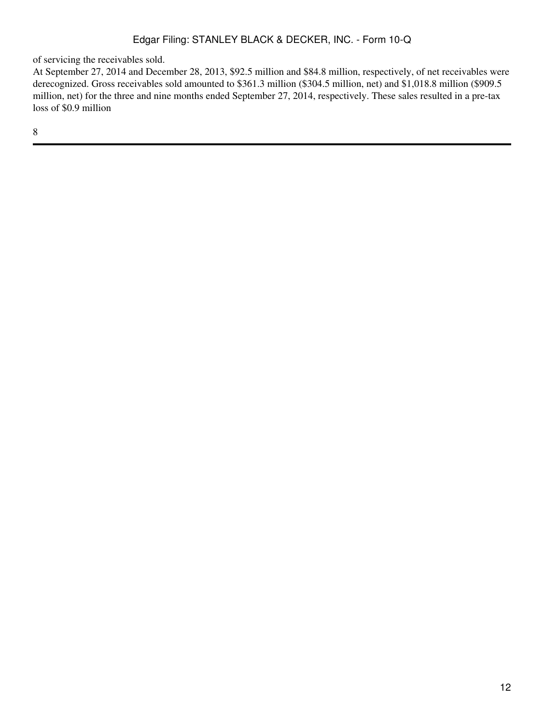of servicing the receivables sold.

At September 27, 2014 and December 28, 2013, \$92.5 million and \$84.8 million, respectively, of net receivables were derecognized. Gross receivables sold amounted to \$361.3 million (\$304.5 million, net) and \$1,018.8 million (\$909.5 million, net) for the three and nine months ended September 27, 2014, respectively. These sales resulted in a pre-tax loss of \$0.9 million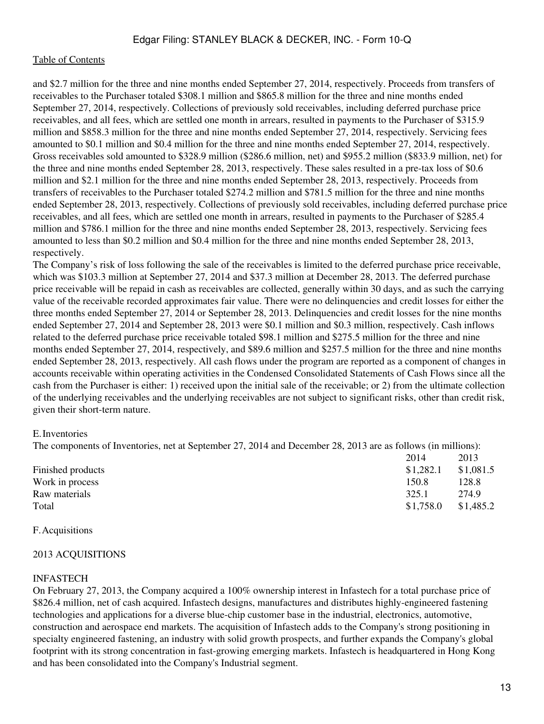and \$2.7 million for the three and nine months ended September 27, 2014, respectively. Proceeds from transfers of receivables to the Purchaser totaled \$308.1 million and \$865.8 million for the three and nine months ended September 27, 2014, respectively. Collections of previously sold receivables, including deferred purchase price receivables, and all fees, which are settled one month in arrears, resulted in payments to the Purchaser of \$315.9 million and \$858.3 million for the three and nine months ended September 27, 2014, respectively. Servicing fees amounted to \$0.1 million and \$0.4 million for the three and nine months ended September 27, 2014, respectively. Gross receivables sold amounted to \$328.9 million (\$286.6 million, net) and \$955.2 million (\$833.9 million, net) for the three and nine months ended September 28, 2013, respectively. These sales resulted in a pre-tax loss of \$0.6 million and \$2.1 million for the three and nine months ended September 28, 2013, respectively. Proceeds from transfers of receivables to the Purchaser totaled \$274.2 million and \$781.5 million for the three and nine months ended September 28, 2013, respectively. Collections of previously sold receivables, including deferred purchase price receivables, and all fees, which are settled one month in arrears, resulted in payments to the Purchaser of \$285.4 million and \$786.1 million for the three and nine months ended September 28, 2013, respectively. Servicing fees amounted to less than \$0.2 million and \$0.4 million for the three and nine months ended September 28, 2013, respectively.

The Company's risk of loss following the sale of the receivables is limited to the deferred purchase price receivable, which was \$103.3 million at September 27, 2014 and \$37.3 million at December 28, 2013. The deferred purchase price receivable will be repaid in cash as receivables are collected, generally within 30 days, and as such the carrying value of the receivable recorded approximates fair value. There were no delinquencies and credit losses for either the three months ended September 27, 2014 or September 28, 2013. Delinquencies and credit losses for the nine months ended September 27, 2014 and September 28, 2013 were \$0.1 million and \$0.3 million, respectively. Cash inflows related to the deferred purchase price receivable totaled \$98.1 million and \$275.5 million for the three and nine months ended September 27, 2014, respectively, and \$89.6 million and \$257.5 million for the three and nine months ended September 28, 2013, respectively. All cash flows under the program are reported as a component of changes in accounts receivable within operating activities in the Condensed Consolidated Statements of Cash Flows since all the cash from the Purchaser is either: 1) received upon the initial sale of the receivable; or 2) from the ultimate collection of the underlying receivables and the underlying receivables are not subject to significant risks, other than credit risk, given their short-term nature.

#### E.Inventories

The components of Inventories, net at September 27, 2014 and December 28, 2013 are as follows (in millions):

|                   | 2014      | 2013      |
|-------------------|-----------|-----------|
| Finished products | \$1,282.1 | \$1,081.5 |
| Work in process   | 150.8     | 128.8     |
| Raw materials     | 325.1     | 274.9     |
| Total             | \$1,758.0 | \$1,485.2 |

F.Acquisitions

#### 2013 ACQUISITIONS

#### INFASTECH

On February 27, 2013, the Company acquired a 100% ownership interest in Infastech for a total purchase price of \$826.4 million, net of cash acquired. Infastech designs, manufactures and distributes highly-engineered fastening technologies and applications for a diverse blue-chip customer base in the industrial, electronics, automotive, construction and aerospace end markets. The acquisition of Infastech adds to the Company's strong positioning in specialty engineered fastening, an industry with solid growth prospects, and further expands the Company's global footprint with its strong concentration in fast-growing emerging markets. Infastech is headquartered in Hong Kong and has been consolidated into the Company's Industrial segment.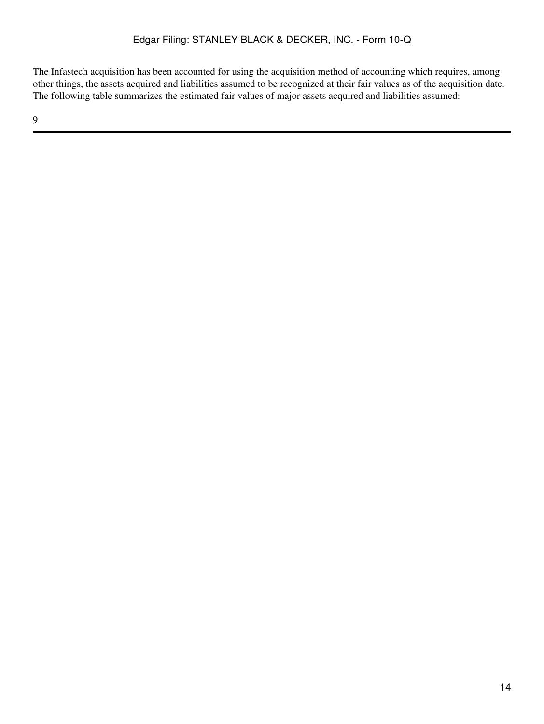The Infastech acquisition has been accounted for using the acquisition method of accounting which requires, among other things, the assets acquired and liabilities assumed to be recognized at their fair values as of the acquisition date. The following table summarizes the estimated fair values of major assets acquired and liabilities assumed: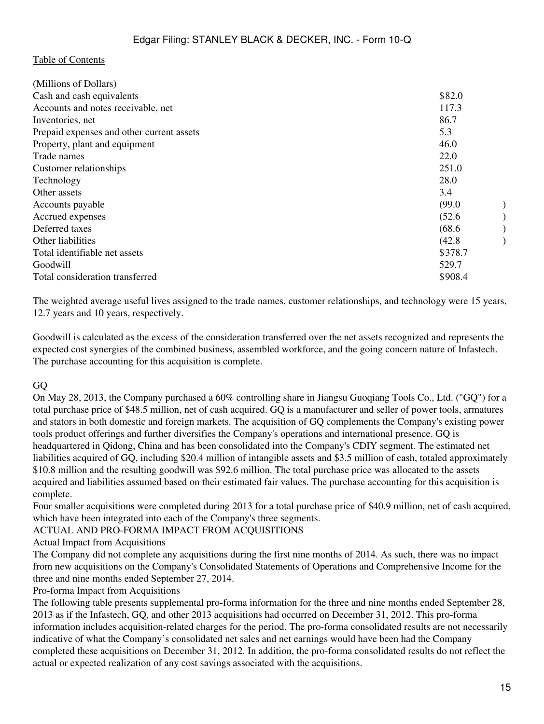| (Millions of Dollars)                     |         |  |
|-------------------------------------------|---------|--|
| Cash and cash equivalents                 | \$82.0  |  |
| Accounts and notes receivable, net        | 117.3   |  |
| Inventories, net                          | 86.7    |  |
| Prepaid expenses and other current assets | 5.3     |  |
| Property, plant and equipment             | 46.0    |  |
| Trade names                               | 22.0    |  |
| Customer relationships                    | 251.0   |  |
| Technology                                | 28.0    |  |
| Other assets                              | 3.4     |  |
| Accounts payable                          | (99.0)  |  |
| Accrued expenses                          | (52.6)  |  |
| Deferred taxes                            | (68.6)  |  |
| Other liabilities                         | (42.8)  |  |
| Total identifiable net assets             | \$378.7 |  |
| Goodwill                                  | 529.7   |  |
| Total consideration transferred           | \$908.4 |  |
|                                           |         |  |

The weighted average useful lives assigned to the trade names, customer relationships, and technology were 15 years, 12.7 years and 10 years, respectively.

Goodwill is calculated as the excess of the consideration transferred over the net assets recognized and represents the expected cost synergies of the combined business, assembled workforce, and the going concern nature of Infastech. The purchase accounting for this acquisition is complete.

## GQ

On May 28, 2013, the Company purchased a 60% controlling share in Jiangsu Guoqiang Tools Co., Ltd. ("GQ") for a total purchase price of \$48.5 million, net of cash acquired. GQ is a manufacturer and seller of power tools, armatures and stators in both domestic and foreign markets. The acquisition of GQ complements the Company's existing power tools product offerings and further diversifies the Company's operations and international presence. GQ is headquartered in Qidong, China and has been consolidated into the Company's CDIY segment. The estimated net liabilities acquired of GQ, including \$20.4 million of intangible assets and \$3.5 million of cash, totaled approximately \$10.8 million and the resulting goodwill was \$92.6 million. The total purchase price was allocated to the assets acquired and liabilities assumed based on their estimated fair values. The purchase accounting for this acquisition is complete.

Four smaller acquisitions were completed during 2013 for a total purchase price of \$40.9 million, net of cash acquired, which have been integrated into each of the Company's three segments.

## ACTUAL AND PRO-FORMA IMPACT FROM ACQUISITIONS

Actual Impact from Acquisitions

The Company did not complete any acquisitions during the first nine months of 2014. As such, there was no impact from new acquisitions on the Company's Consolidated Statements of Operations and Comprehensive Income for the three and nine months ended September 27, 2014.

## Pro-forma Impact from Acquisitions

The following table presents supplemental pro-forma information for the three and nine months ended September 28, 2013 as if the Infastech, GQ, and other 2013 acquisitions had occurred on December 31, 2012. This pro-forma information includes acquisition-related charges for the period. The pro-forma consolidated results are not necessarily indicative of what the Company's consolidated net sales and net earnings would have been had the Company completed these acquisitions on December 31, 2012. In addition, the pro-forma consolidated results do not reflect the actual or expected realization of any cost savings associated with the acquisitions.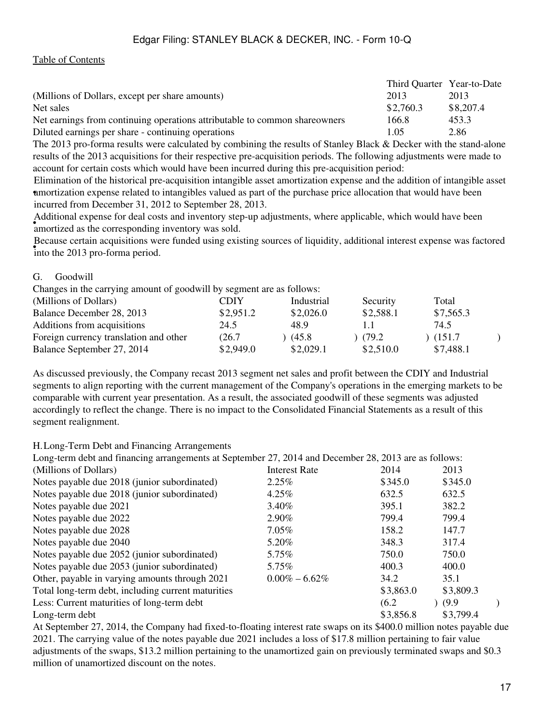|                                                                            | Third Quarter Year-to-Date |           |
|----------------------------------------------------------------------------|----------------------------|-----------|
| (Millions of Dollars, except per share amounts)                            | 2013                       | 2013      |
| Net sales                                                                  | \$2,760.3                  | \$8,207.4 |
| Net earnings from continuing operations attributable to common shareowners | 166.8                      | 453.3     |
| Diluted earnings per share - continuing operations                         | 1.05                       | 2.86      |

The 2013 pro-forma results were calculated by combining the results of Stanley Black & Decker with the stand-alone results of the 2013 acquisitions for their respective pre-acquisition periods. The following adjustments were made to account for certain costs which would have been incurred during this pre-acquisition period:

amortization expense related to intangibles valued as part of the purchase price allocation that would have been Elimination of the historical pre-acquisition intangible asset amortization expense and the addition of intangible asset incurred from December 31, 2012 to September 28, 2013.

• additional expense for deal costs and inventory sup-<br>amortized as the corresponding inventory was sold. Additional expense for deal costs and inventory step-up adjustments, where applicable, which would have been

• into the 2013 pro-forma period. Because certain acquisitions were funded using existing sources of liquidity, additional interest expense was factored

#### G. Goodwill

Changes in the carrying amount of goodwill by segment are as follows:

| CDIY      | Industrial | Security  | Total     |  |
|-----------|------------|-----------|-----------|--|
| \$2,951.2 | \$2,026.0  | \$2,588.1 | \$7,565.3 |  |
| 24.5      | 48.9       |           | 74.5      |  |
| (26.7)    | (45.8)     | (79.2)    | (151.7)   |  |
| \$2,949.0 | \$2,029.1  | \$2,510.0 | \$7,488.1 |  |
|           |            |           |           |  |

As discussed previously, the Company recast 2013 segment net sales and profit between the CDIY and Industrial segments to align reporting with the current management of the Company's operations in the emerging markets to be comparable with current year presentation. As a result, the associated goodwill of these segments was adjusted accordingly to reflect the change. There is no impact to the Consolidated Financial Statements as a result of this segment realignment.

H.Long-Term Debt and Financing Arrangements

| Long-term debt and financing arrangements at September 27, 2014 and December 28, 2013 are as follows: |                      |           |           |
|-------------------------------------------------------------------------------------------------------|----------------------|-----------|-----------|
| (Millions of Dollars)                                                                                 | <b>Interest Rate</b> | 2014      | 2013      |
| Notes payable due 2018 (junior subordinated)                                                          | 2.25%                | \$345.0   | \$345.0   |
| Notes payable due 2018 (junior subordinated)                                                          | $4.25\%$             | 632.5     | 632.5     |
| Notes payable due 2021                                                                                | $3.40\%$             | 395.1     | 382.2     |
| Notes payable due 2022                                                                                | 2.90%                | 799.4     | 799.4     |
| Notes payable due 2028                                                                                | $7.05\%$             | 158.2     | 147.7     |
| Notes payable due 2040                                                                                | 5.20%                | 348.3     | 317.4     |
| Notes payable due 2052 (junior subordinated)                                                          | 5.75%                | 750.0     | 750.0     |
| Notes payable due 2053 (junior subordinated)                                                          | 5.75%                | 400.3     | 400.0     |
| Other, payable in varying amounts through 2021                                                        | $0.00\% - 6.62\%$    | 34.2      | 35.1      |
| Total long-term debt, including current maturities                                                    |                      | \$3,863.0 | \$3,809.3 |
| Less: Current maturities of long-term debt                                                            |                      | (6.2)     | (9.9)     |
| Long-term debt                                                                                        |                      | \$3,856.8 | \$3,799.4 |
|                                                                                                       |                      |           |           |

At September 27, 2014, the Company had fixed-to-floating interest rate swaps on its \$400.0 million notes payable due 2021. The carrying value of the notes payable due 2021 includes a loss of \$17.8 million pertaining to fair value adjustments of the swaps, \$13.2 million pertaining to the unamortized gain on previously terminated swaps and \$0.3 million of unamortized discount on the notes.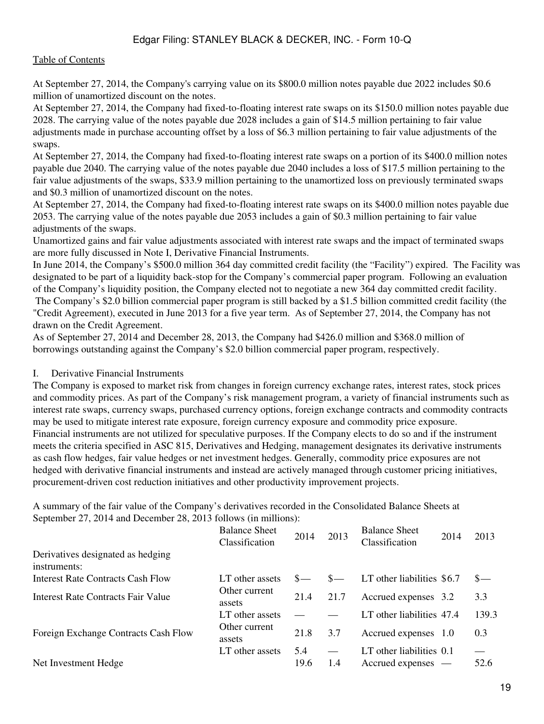#### [Table of Contents](#page-1-0)

At September 27, 2014, the Company's carrying value on its \$800.0 million notes payable due 2022 includes \$0.6 million of unamortized discount on the notes.

At September 27, 2014, the Company had fixed-to-floating interest rate swaps on its \$150.0 million notes payable due 2028. The carrying value of the notes payable due 2028 includes a gain of \$14.5 million pertaining to fair value adjustments made in purchase accounting offset by a loss of \$6.3 million pertaining to fair value adjustments of the swaps.

At September 27, 2014, the Company had fixed-to-floating interest rate swaps on a portion of its \$400.0 million notes payable due 2040. The carrying value of the notes payable due 2040 includes a loss of \$17.5 million pertaining to the fair value adjustments of the swaps, \$33.9 million pertaining to the unamortized loss on previously terminated swaps and \$0.3 million of unamortized discount on the notes.

At September 27, 2014, the Company had fixed-to-floating interest rate swaps on its \$400.0 million notes payable due 2053. The carrying value of the notes payable due 2053 includes a gain of \$0.3 million pertaining to fair value adjustments of the swaps.

Unamortized gains and fair value adjustments associated with interest rate swaps and the impact of terminated swaps are more fully discussed in Note I, Derivative Financial Instruments.

In June 2014, the Company's \$500.0 million 364 day committed credit facility (the "Facility") expired. The Facility was designated to be part of a liquidity back-stop for the Company's commercial paper program. Following an evaluation of the Company's liquidity position, the Company elected not to negotiate a new 364 day committed credit facility. The Company's \$2.0 billion commercial paper program is still backed by a \$1.5 billion committed credit facility (the "Credit Agreement), executed in June 2013 for a five year term. As of September 27, 2014, the Company has not drawn on the Credit Agreement.

As of September 27, 2014 and December 28, 2013, the Company had \$426.0 million and \$368.0 million of borrowings outstanding against the Company's \$2.0 billion commercial paper program, respectively.

#### I. Derivative Financial Instruments

The Company is exposed to market risk from changes in foreign currency exchange rates, interest rates, stock prices and commodity prices. As part of the Company's risk management program, a variety of financial instruments such as interest rate swaps, currency swaps, purchased currency options, foreign exchange contracts and commodity contracts may be used to mitigate interest rate exposure, foreign currency exposure and commodity price exposure. Financial instruments are not utilized for speculative purposes. If the Company elects to do so and if the instrument meets the criteria specified in ASC 815, Derivatives and Hedging, management designates its derivative instruments as cash flow hedges, fair value hedges or net investment hedges. Generally, commodity price exposures are not hedged with derivative financial instruments and instead are actively managed through customer pricing initiatives, procurement-driven cost reduction initiatives and other productivity improvement projects.

A summary of the fair value of the Company's derivatives recorded in the Consolidated Balance Sheets at September 27, 2014 and December 28, 2013 follows (in millions):

|                                                   | <b>Balance Sheet</b><br>Classification | 2014 | 2013 | <b>Balance Sheet</b><br>Classification | 2014 | 2013  |
|---------------------------------------------------|----------------------------------------|------|------|----------------------------------------|------|-------|
| Derivatives designated as hedging<br>instruments: |                                        |      |      |                                        |      |       |
| <b>Interest Rate Contracts Cash Flow</b>          | LT other assets                        | $S-$ | $S-$ | LT other liabilities \$6.7             |      | $S-$  |
| Interest Rate Contracts Fair Value                | Other current<br>assets                | 21.4 | 21.7 | Accrued expenses 3.2                   |      | 3.3   |
|                                                   | LT other assets                        |      |      | LT other liabilities 47.4              |      | 139.3 |
| Foreign Exchange Contracts Cash Flow              | Other current<br>assets                | 21.8 | 3.7  | Accrued expenses 1.0                   |      | 0.3   |
|                                                   | LT other assets                        | 5.4  |      | LT other liabilities 0.1               |      |       |
| Net Investment Hedge                              |                                        | 19.6 | 1.4  | Accrued expenses —                     |      | 52.6  |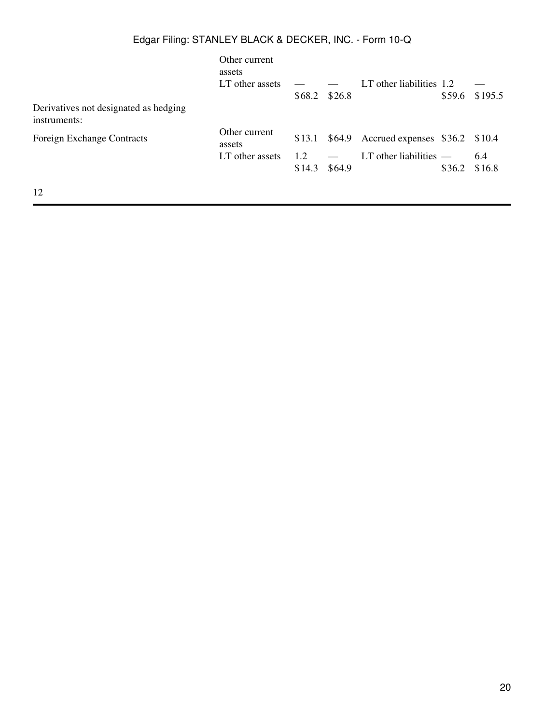| Derivatives not designated as hedging<br>instruments: | Other current<br>assets<br>LT other assets |                         | $$68.2$ \$26.8 | LT other liabilities 1.2                                               | \$59.6 | \$195.5       |
|-------------------------------------------------------|--------------------------------------------|-------------------------|----------------|------------------------------------------------------------------------|--------|---------------|
| <b>Foreign Exchange Contracts</b>                     | Other current<br>assets<br>LT other assets | \$13.1<br>1.2<br>\$14.3 | \$64.9         | $$64.9$ Accrued expenses $$36.2$ $$10.4$<br>$LT$ other liabilities $-$ | \$36.2 | 6.4<br>\$16.8 |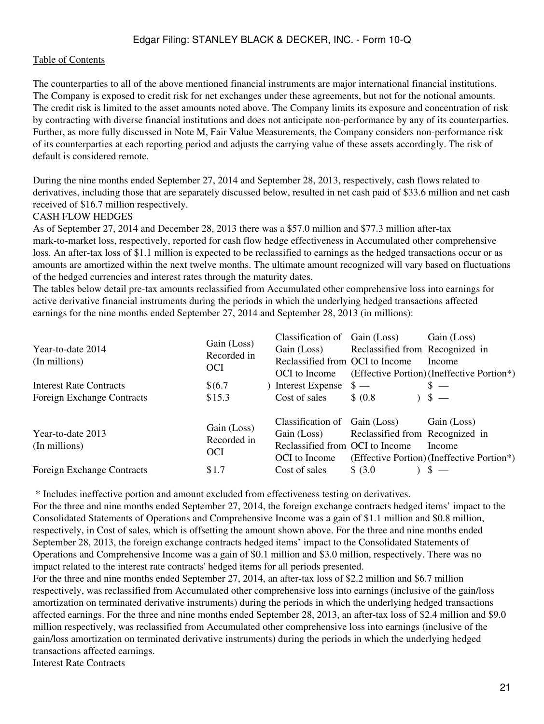#### [Table of Contents](#page-1-0)

The counterparties to all of the above mentioned financial instruments are major international financial institutions. The Company is exposed to credit risk for net exchanges under these agreements, but not for the notional amounts. The credit risk is limited to the asset amounts noted above. The Company limits its exposure and concentration of risk by contracting with diverse financial institutions and does not anticipate non-performance by any of its counterparties. Further, as more fully discussed in Note M, Fair Value Measurements, the Company considers non-performance risk of its counterparties at each reporting period and adjusts the carrying value of these assets accordingly. The risk of default is considered remote.

During the nine months ended September 27, 2014 and September 28, 2013, respectively, cash flows related to derivatives, including those that are separately discussed below, resulted in net cash paid of \$33.6 million and net cash received of \$16.7 million respectively.

## CASH FLOW HEDGES

As of September 27, 2014 and December 28, 2013 there was a \$57.0 million and \$77.3 million after-tax mark-to-market loss, respectively, reported for cash flow hedge effectiveness in Accumulated other comprehensive loss. An after-tax loss of \$1.1 million is expected to be reclassified to earnings as the hedged transactions occur or as amounts are amortized within the next twelve months. The ultimate amount recognized will vary based on fluctuations of the hedged currencies and interest rates through the maturity dates.

The tables below detail pre-tax amounts reclassified from Accumulated other comprehensive loss into earnings for active derivative financial instruments during the periods in which the underlying hedged transactions affected earnings for the nine months ended September 27, 2014 and September 28, 2013 (in millions):

| Year-to-date 2014<br>(In millions) | Gain (Loss)<br>Recorded in<br><b>OCI</b> | Classification of Gain (Loss)<br>Gain (Loss)<br>Reclassified from OCI to Income<br>OCI to Income | Reclassified from Recognized in | Gain (Loss)<br>Income<br>(Effective Portion) (Ineffective Portion*) |
|------------------------------------|------------------------------------------|--------------------------------------------------------------------------------------------------|---------------------------------|---------------------------------------------------------------------|
| <b>Interest Rate Contracts</b>     | \$ (6.7)                                 | ) Interest Expense                                                                               | $\sqrt{3}$                      | $\mathbf{s} =$                                                      |
| Foreign Exchange Contracts         | \$15.3                                   | Cost of sales                                                                                    | \$ (0.8)                        | $3-$                                                                |
| Year-to-date 2013<br>(In millions) | Gain (Loss)<br>Recorded in<br><b>OCI</b> | Classification of Gain (Loss)<br>Gain (Loss)<br>Reclassified from OCI to Income<br>OCI to Income | Reclassified from Recognized in | Gain (Loss)<br>Income<br>(Effective Portion) (Ineffective Portion*) |
| Foreign Exchange Contracts         | \$1.7                                    | Cost of sales                                                                                    | \$ (3.0)                        | $S -$                                                               |

\* Includes ineffective portion and amount excluded from effectiveness testing on derivatives.

For the three and nine months ended September 27, 2014, the foreign exchange contracts hedged items' impact to the Consolidated Statements of Operations and Comprehensive Income was a gain of \$1.1 million and \$0.8 million, respectively, in Cost of sales, which is offsetting the amount shown above. For the three and nine months ended September 28, 2013, the foreign exchange contracts hedged items' impact to the Consolidated Statements of Operations and Comprehensive Income was a gain of \$0.1 million and \$3.0 million, respectively. There was no impact related to the interest rate contracts' hedged items for all periods presented.

For the three and nine months ended September 27, 2014, an after-tax loss of \$2.2 million and \$6.7 million respectively, was reclassified from Accumulated other comprehensive loss into earnings (inclusive of the gain/loss amortization on terminated derivative instruments) during the periods in which the underlying hedged transactions affected earnings. For the three and nine months ended September 28, 2013, an after-tax loss of \$2.4 million and \$9.0 million respectively, was reclassified from Accumulated other comprehensive loss into earnings (inclusive of the gain/loss amortization on terminated derivative instruments) during the periods in which the underlying hedged transactions affected earnings.

Interest Rate Contracts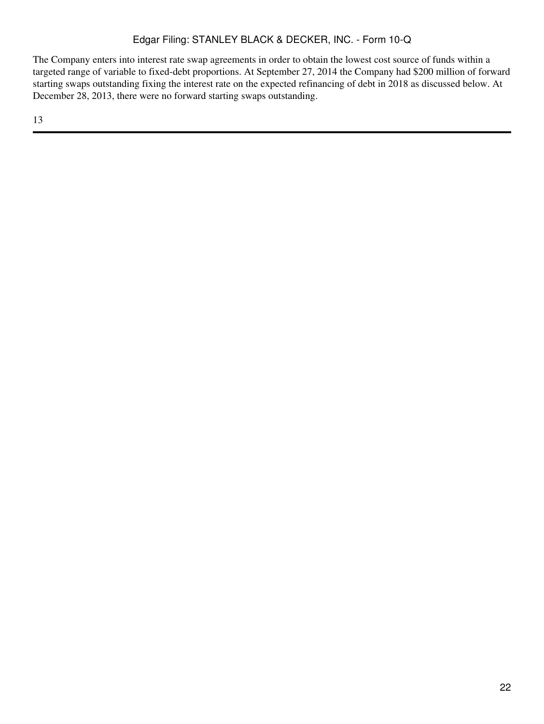The Company enters into interest rate swap agreements in order to obtain the lowest cost source of funds within a targeted range of variable to fixed-debt proportions. At September 27, 2014 the Company had \$200 million of forward starting swaps outstanding fixing the interest rate on the expected refinancing of debt in 2018 as discussed below. At December 28, 2013, there were no forward starting swaps outstanding.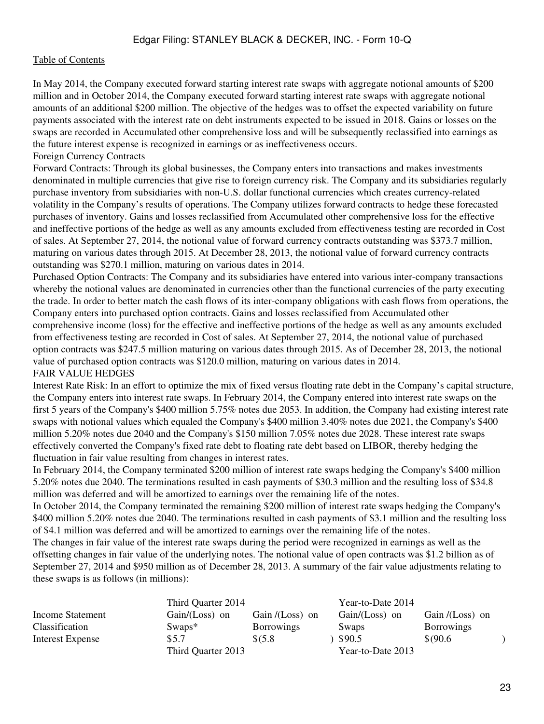In May 2014, the Company executed forward starting interest rate swaps with aggregate notional amounts of \$200 million and in October 2014, the Company executed forward starting interest rate swaps with aggregate notional amounts of an additional \$200 million. The objective of the hedges was to offset the expected variability on future payments associated with the interest rate on debt instruments expected to be issued in 2018. Gains or losses on the swaps are recorded in Accumulated other comprehensive loss and will be subsequently reclassified into earnings as the future interest expense is recognized in earnings or as ineffectiveness occurs.

#### Foreign Currency Contracts

Forward Contracts: Through its global businesses, the Company enters into transactions and makes investments denominated in multiple currencies that give rise to foreign currency risk. The Company and its subsidiaries regularly purchase inventory from subsidiaries with non-U.S. dollar functional currencies which creates currency-related volatility in the Company's results of operations. The Company utilizes forward contracts to hedge these forecasted purchases of inventory. Gains and losses reclassified from Accumulated other comprehensive loss for the effective and ineffective portions of the hedge as well as any amounts excluded from effectiveness testing are recorded in Cost of sales. At September 27, 2014, the notional value of forward currency contracts outstanding was \$373.7 million, maturing on various dates through 2015. At December 28, 2013, the notional value of forward currency contracts outstanding was \$270.1 million, maturing on various dates in 2014.

Purchased Option Contracts: The Company and its subsidiaries have entered into various inter-company transactions whereby the notional values are denominated in currencies other than the functional currencies of the party executing the trade. In order to better match the cash flows of its inter-company obligations with cash flows from operations, the Company enters into purchased option contracts. Gains and losses reclassified from Accumulated other comprehensive income (loss) for the effective and ineffective portions of the hedge as well as any amounts excluded from effectiveness testing are recorded in Cost of sales. At September 27, 2014, the notional value of purchased option contracts was \$247.5 million maturing on various dates through 2015. As of December 28, 2013, the notional value of purchased option contracts was \$120.0 million, maturing on various dates in 2014.

## FAIR VALUE HEDGES

Interest Rate Risk: In an effort to optimize the mix of fixed versus floating rate debt in the Company's capital structure, the Company enters into interest rate swaps. In February 2014, the Company entered into interest rate swaps on the first 5 years of the Company's \$400 million 5.75% notes due 2053. In addition, the Company had existing interest rate swaps with notional values which equaled the Company's \$400 million 3.40% notes due 2021, the Company's \$400 million 5.20% notes due 2040 and the Company's \$150 million 7.05% notes due 2028. These interest rate swaps effectively converted the Company's fixed rate debt to floating rate debt based on LIBOR, thereby hedging the fluctuation in fair value resulting from changes in interest rates.

In February 2014, the Company terminated \$200 million of interest rate swaps hedging the Company's \$400 million 5.20% notes due 2040. The terminations resulted in cash payments of \$30.3 million and the resulting loss of \$34.8 million was deferred and will be amortized to earnings over the remaining life of the notes.

In October 2014, the Company terminated the remaining \$200 million of interest rate swaps hedging the Company's \$400 million 5.20% notes due 2040. The terminations resulted in cash payments of \$3.1 million and the resulting loss of \$4.1 million was deferred and will be amortized to earnings over the remaining life of the notes.

The changes in fair value of the interest rate swaps during the period were recognized in earnings as well as the offsetting changes in fair value of the underlying notes. The notional value of open contracts was \$1.2 billion as of September 27, 2014 and \$950 million as of December 28, 2013. A summary of the fair value adjustments relating to these swaps is as follows (in millions):

|                  | Third Quarter 2014 |                   | Year-to-Date 2014 |                   |  |
|------------------|--------------------|-------------------|-------------------|-------------------|--|
| Income Statement | $Gain / (Loss)$ on | Gain/ $(Loss)$ on | $Gain/(Loss)$ on  | Gain/ $(Loss)$ on |  |
| Classification   | $Swaps*$           | <b>Borrowings</b> | Swaps             | <b>Borrowings</b> |  |
| Interest Expense | \$5.7              | \$(5.8)           | 590.5             | \$(90.6)          |  |
|                  | Third Quarter 2013 |                   | Year-to-Date 2013 |                   |  |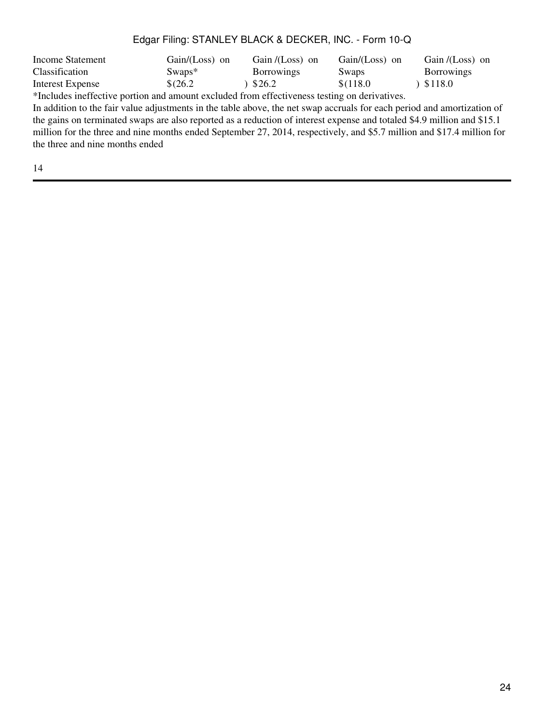| <b>Income Statement</b>                                                                      | $Gain/(Loss)$ on | Gain/ $(Loss)$ on | Gain/(Loss) on | Gain/ $(Loss)$ on |  |  |  |  |
|----------------------------------------------------------------------------------------------|------------------|-------------------|----------------|-------------------|--|--|--|--|
| Classification                                                                               | $Swaps*$         | <b>Borrowings</b> | Swaps          | <b>Borrowings</b> |  |  |  |  |
| Interest Expense                                                                             | $$^{(26.2)}$     | 326.2             | \$(118.0)      | 95118.0           |  |  |  |  |
| *Includes ineffective portion and amount excluded from effectiveness testing on derivatives. |                  |                   |                |                   |  |  |  |  |

In addition to the fair value adjustments in the table above, the net swap accruals for each period and amortization of the gains on terminated swaps are also reported as a reduction of interest expense and totaled \$4.9 million and \$15.1 million for the three and nine months ended September 27, 2014, respectively, and \$5.7 million and \$17.4 million for the three and nine months ended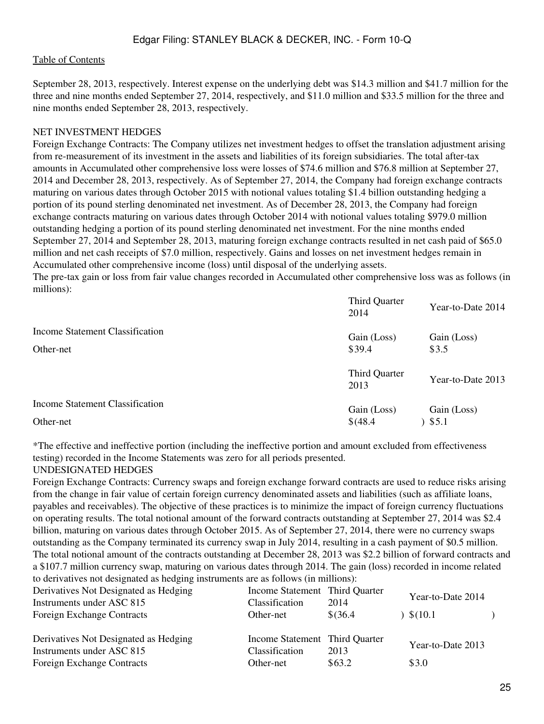#### [Table of Contents](#page-1-0)

September 28, 2013, respectively. Interest expense on the underlying debt was \$14.3 million and \$41.7 million for the three and nine months ended September 27, 2014, respectively, and \$11.0 million and \$33.5 million for the three and nine months ended September 28, 2013, respectively.

#### NET INVESTMENT HEDGES

Foreign Exchange Contracts: The Company utilizes net investment hedges to offset the translation adjustment arising from re-measurement of its investment in the assets and liabilities of its foreign subsidiaries. The total after-tax amounts in Accumulated other comprehensive loss were losses of \$74.6 million and \$76.8 million at September 27, 2014 and December 28, 2013, respectively. As of September 27, 2014, the Company had foreign exchange contracts maturing on various dates through October 2015 with notional values totaling \$1.4 billion outstanding hedging a portion of its pound sterling denominated net investment. As of December 28, 2013, the Company had foreign exchange contracts maturing on various dates through October 2014 with notional values totaling \$979.0 million outstanding hedging a portion of its pound sterling denominated net investment. For the nine months ended September 27, 2014 and September 28, 2013, maturing foreign exchange contracts resulted in net cash paid of \$65.0 million and net cash receipts of \$7.0 million, respectively. Gains and losses on net investment hedges remain in Accumulated other comprehensive income (loss) until disposal of the underlying assets.

The pre-tax gain or loss from fair value changes recorded in Accumulated other comprehensive loss was as follows (in millions):

|                                 | Third Quarter<br>2014 | Year-to-Date 2014 |
|---------------------------------|-----------------------|-------------------|
| Income Statement Classification | Gain (Loss)           | Gain (Loss)       |
| Other-net                       | \$39.4                | \$3.5             |
|                                 | Third Quarter<br>2013 | Year-to-Date 2013 |
| Income Statement Classification | Gain (Loss)           | Gain (Loss)       |
| Other-net                       | \$ (48.4)             | \$5.1             |

\*The effective and ineffective portion (including the ineffective portion and amount excluded from effectiveness testing) recorded in the Income Statements was zero for all periods presented.

#### UNDESIGNATED HEDGES

Foreign Exchange Contracts: Currency swaps and foreign exchange forward contracts are used to reduce risks arising from the change in fair value of certain foreign currency denominated assets and liabilities (such as affiliate loans, payables and receivables). The objective of these practices is to minimize the impact of foreign currency fluctuations on operating results. The total notional amount of the forward contracts outstanding at September 27, 2014 was \$2.4 billion, maturing on various dates through October 2015. As of September 27, 2014, there were no currency swaps outstanding as the Company terminated its currency swap in July 2014, resulting in a cash payment of \$0.5 million. The total notional amount of the contracts outstanding at December 28, 2013 was \$2.2 billion of forward contracts and a \$107.7 million currency swap, maturing on various dates through 2014. The gain (loss) recorded in income related to derivatives not designated as hedging instruments are as follows (in millions):

| Derivatives Not Designated as Hedging<br>Instruments under ASC 815<br>Foreign Exchange Contracts | Income Statement Third Quarter<br>Classification<br>Other-net | 2014<br>$$$ (36.4) | Year-to-Date 2014 |  |
|--------------------------------------------------------------------------------------------------|---------------------------------------------------------------|--------------------|-------------------|--|
| Derivatives Not Designated as Hedging<br>Instruments under ASC 815                               | Income Statement Third Quarter<br>Classification              | 2013               | Year-to-Date 2013 |  |
| Foreign Exchange Contracts                                                                       | Other-net                                                     | \$63.2\$           | \$3.0             |  |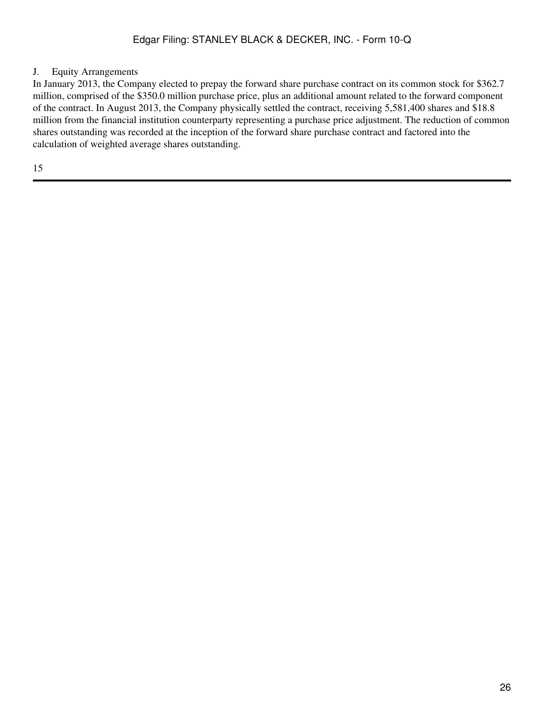# J. Equity Arrangements

In January 2013, the Company elected to prepay the forward share purchase contract on its common stock for \$362.7 million, comprised of the \$350.0 million purchase price, plus an additional amount related to the forward component of the contract. In August 2013, the Company physically settled the contract, receiving 5,581,400 shares and \$18.8 million from the financial institution counterparty representing a purchase price adjustment. The reduction of common shares outstanding was recorded at the inception of the forward share purchase contract and factored into the calculation of weighted average shares outstanding.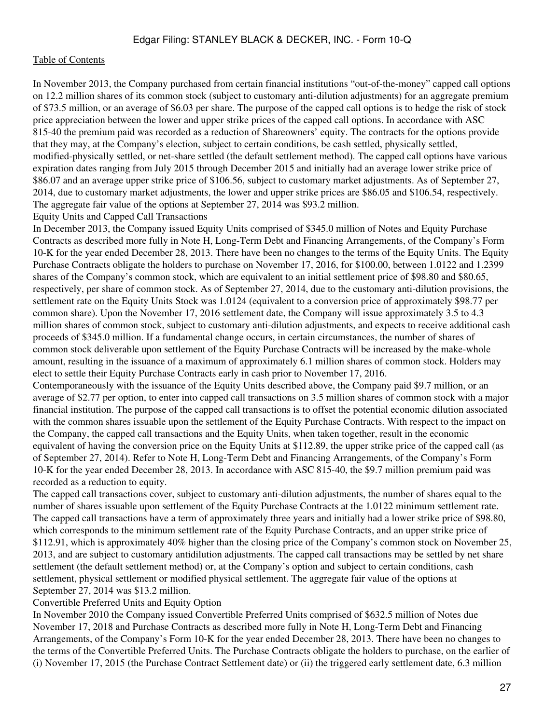In November 2013, the Company purchased from certain financial institutions "out-of-the-money" capped call options on 12.2 million shares of its common stock (subject to customary anti-dilution adjustments) for an aggregate premium of \$73.5 million, or an average of \$6.03 per share. The purpose of the capped call options is to hedge the risk of stock price appreciation between the lower and upper strike prices of the capped call options. In accordance with ASC 815-40 the premium paid was recorded as a reduction of Shareowners' equity. The contracts for the options provide that they may, at the Company's election, subject to certain conditions, be cash settled, physically settled, modified-physically settled, or net-share settled (the default settlement method). The capped call options have various expiration dates ranging from July 2015 through December 2015 and initially had an average lower strike price of \$86.07 and an average upper strike price of \$106.56, subject to customary market adjustments. As of September 27, 2014, due to customary market adjustments, the lower and upper strike prices are \$86.05 and \$106.54, respectively. The aggregate fair value of the options at September 27, 2014 was \$93.2 million.

Equity Units and Capped Call Transactions

In December 2013, the Company issued Equity Units comprised of \$345.0 million of Notes and Equity Purchase Contracts as described more fully in Note H, Long-Term Debt and Financing Arrangements, of the Company's Form 10-K for the year ended December 28, 2013. There have been no changes to the terms of the Equity Units. The Equity Purchase Contracts obligate the holders to purchase on November 17, 2016, for \$100.00, between 1.0122 and 1.2399 shares of the Company's common stock, which are equivalent to an initial settlement price of \$98.80 and \$80.65, respectively, per share of common stock. As of September 27, 2014, due to the customary anti-dilution provisions, the settlement rate on the Equity Units Stock was 1.0124 (equivalent to a conversion price of approximately \$98.77 per common share). Upon the November 17, 2016 settlement date, the Company will issue approximately 3.5 to 4.3 million shares of common stock, subject to customary anti-dilution adjustments, and expects to receive additional cash proceeds of \$345.0 million. If a fundamental change occurs, in certain circumstances, the number of shares of common stock deliverable upon settlement of the Equity Purchase Contracts will be increased by the make-whole amount, resulting in the issuance of a maximum of approximately 6.1 million shares of common stock. Holders may elect to settle their Equity Purchase Contracts early in cash prior to November 17, 2016.

Contemporaneously with the issuance of the Equity Units described above, the Company paid \$9.7 million, or an average of \$2.77 per option, to enter into capped call transactions on 3.5 million shares of common stock with a major financial institution. The purpose of the capped call transactions is to offset the potential economic dilution associated with the common shares issuable upon the settlement of the Equity Purchase Contracts. With respect to the impact on the Company, the capped call transactions and the Equity Units, when taken together, result in the economic equivalent of having the conversion price on the Equity Units at \$112.89, the upper strike price of the capped call (as of September 27, 2014). Refer to Note H, Long-Term Debt and Financing Arrangements, of the Company's Form 10-K for the year ended December 28, 2013. In accordance with ASC 815-40, the \$9.7 million premium paid was recorded as a reduction to equity.

The capped call transactions cover, subject to customary anti-dilution adjustments, the number of shares equal to the number of shares issuable upon settlement of the Equity Purchase Contracts at the 1.0122 minimum settlement rate. The capped call transactions have a term of approximately three years and initially had a lower strike price of \$98.80, which corresponds to the minimum settlement rate of the Equity Purchase Contracts, and an upper strike price of \$112.91, which is approximately 40% higher than the closing price of the Company's common stock on November 25, 2013, and are subject to customary antidilution adjustments. The capped call transactions may be settled by net share settlement (the default settlement method) or, at the Company's option and subject to certain conditions, cash settlement, physical settlement or modified physical settlement. The aggregate fair value of the options at September 27, 2014 was \$13.2 million.

Convertible Preferred Units and Equity Option

In November 2010 the Company issued Convertible Preferred Units comprised of \$632.5 million of Notes due November 17, 2018 and Purchase Contracts as described more fully in Note H, Long-Term Debt and Financing Arrangements, of the Company's Form 10-K for the year ended December 28, 2013. There have been no changes to the terms of the Convertible Preferred Units. The Purchase Contracts obligate the holders to purchase, on the earlier of (i) November 17, 2015 (the Purchase Contract Settlement date) or (ii) the triggered early settlement date, 6.3 million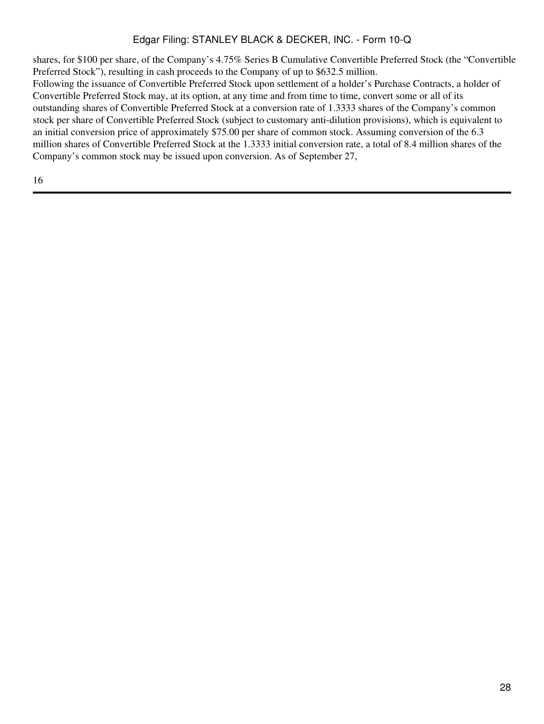shares, for \$100 per share, of the Company's 4.75% Series B Cumulative Convertible Preferred Stock (the "Convertible Preferred Stock"), resulting in cash proceeds to the Company of up to \$632.5 million. Following the issuance of Convertible Preferred Stock upon settlement of a holder's Purchase Contracts, a holder of Convertible Preferred Stock may, at its option, at any time and from time to time, convert some or all of its outstanding shares of Convertible Preferred Stock at a conversion rate of 1.3333 shares of the Company's common stock per share of Convertible Preferred Stock (subject to customary anti-dilution provisions), which is equivalent to an initial conversion price of approximately \$75.00 per share of common stock. Assuming conversion of the 6.3 million shares of Convertible Preferred Stock at the 1.3333 initial conversion rate, a total of 8.4 million shares of the Company's common stock may be issued upon conversion. As of September 27,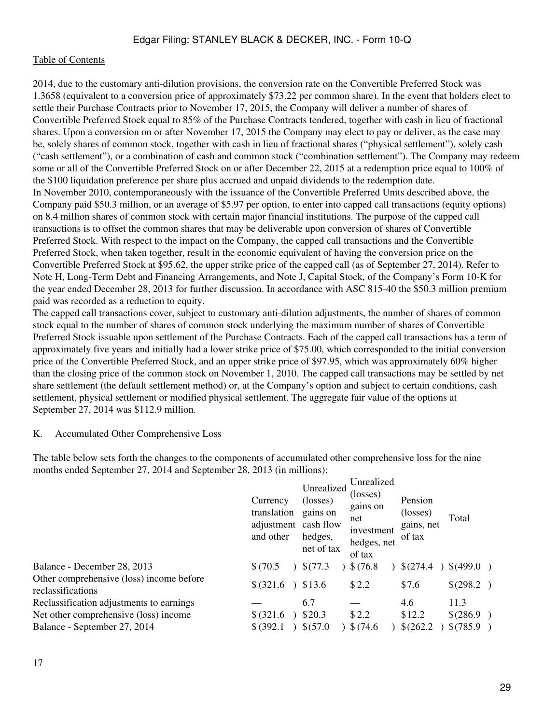2014, due to the customary anti-dilution provisions, the conversion rate on the Convertible Preferred Stock was 1.3658 (equivalent to a conversion price of approximately \$73.22 per common share). In the event that holders elect to settle their Purchase Contracts prior to November 17, 2015, the Company will deliver a number of shares of Convertible Preferred Stock equal to 85% of the Purchase Contracts tendered, together with cash in lieu of fractional shares. Upon a conversion on or after November 17, 2015 the Company may elect to pay or deliver, as the case may be, solely shares of common stock, together with cash in lieu of fractional shares ("physical settlement"), solely cash ("cash settlement"), or a combination of cash and common stock ("combination settlement"). The Company may redeem some or all of the Convertible Preferred Stock on or after December 22, 2015 at a redemption price equal to 100% of the \$100 liquidation preference per share plus accrued and unpaid dividends to the redemption date. In November 2010, contemporaneously with the issuance of the Convertible Preferred Units described above, the Company paid \$50.3 million, or an average of \$5.97 per option, to enter into capped call transactions (equity options) on 8.4 million shares of common stock with certain major financial institutions. The purpose of the capped call transactions is to offset the common shares that may be deliverable upon conversion of shares of Convertible Preferred Stock. With respect to the impact on the Company, the capped call transactions and the Convertible Preferred Stock, when taken together, result in the economic equivalent of having the conversion price on the Convertible Preferred Stock at \$95.62, the upper strike price of the capped call (as of September 27, 2014). Refer to Note H, Long-Term Debt and Financing Arrangements, and Note J, Capital Stock, of the Company's Form 10-K for the year ended December 28, 2013 for further discussion. In accordance with ASC 815-40 the \$50.3 million premium paid was recorded as a reduction to equity.

The capped call transactions cover, subject to customary anti-dilution adjustments, the number of shares of common stock equal to the number of shares of common stock underlying the maximum number of shares of Convertible Preferred Stock issuable upon settlement of the Purchase Contracts. Each of the capped call transactions has a term of approximately five years and initially had a lower strike price of \$75.00, which corresponded to the initial conversion price of the Convertible Preferred Stock, and an upper strike price of \$97.95, which was approximately 60% higher than the closing price of the common stock on November 1, 2010. The capped call transactions may be settled by net share settlement (the default settlement method) or, at the Company's option and subject to certain conditions, cash settlement, physical settlement or modified physical settlement. The aggregate fair value of the options at September 27, 2014 was \$112.9 million.

#### K. Accumulated Other Comprehensive Loss

The table below sets forth the changes to the components of accumulated other comprehensive loss for the nine months ended September 27, 2014 and September 28, 2013 (in millions):

|                                                                                                                   | Currency<br>translation<br>adjustment cash flow<br>and other | Unrealized<br>(losses)<br>gains on<br>hedges,<br>net of tax | Unrealized<br>(losses)<br>gains on<br>net<br>investment<br>hedges, net<br>of tax | Pension<br>(losses)<br>gains, net<br>of tax | Total                          |
|-------------------------------------------------------------------------------------------------------------------|--------------------------------------------------------------|-------------------------------------------------------------|----------------------------------------------------------------------------------|---------------------------------------------|--------------------------------|
| Balance - December 28, 2013                                                                                       | \$(70.5)                                                     | \$(77.3)                                                    | \$(76.8)                                                                         | \$(274.4)                                   | \$(499.0)                      |
| Other comprehensive (loss) income before<br>reclassifications                                                     | \$ (321.6)                                                   | \$13.6                                                      | \$2.2                                                                            | \$7.6                                       | \$(298.2)                      |
| Reclassification adjustments to earnings<br>Net other comprehensive (loss) income<br>Balance - September 27, 2014 | \$ (321.6)<br>$$$ (392.1)                                    | 6.7<br>\$20.3<br>\$ (57.0)                                  | \$2.2<br>\$(74.6)                                                                | 4.6<br>\$12.2<br>\$(262.2)                  | 11.3<br>\$(286.9)<br>\$(785.9) |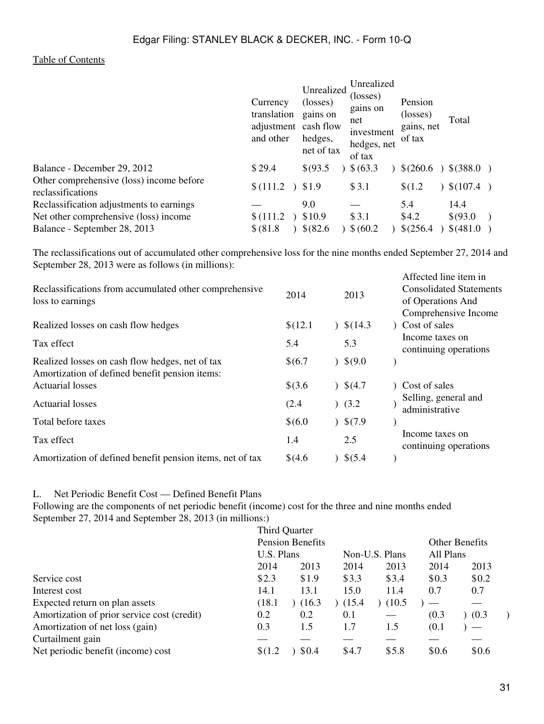|                                                               | Currency<br>translation<br>adjustment cash flow<br>and other | Unrealized<br>(losses)<br>gains on<br>hedges,<br>net of tax | Unrealized<br>(losses)<br>gains on<br>net<br>investment<br>hedges, net<br>of tax | Pension<br>(losses)<br>gains, net<br>of tax | Total      |               |
|---------------------------------------------------------------|--------------------------------------------------------------|-------------------------------------------------------------|----------------------------------------------------------------------------------|---------------------------------------------|------------|---------------|
| Balance - December 29, 2012                                   | \$29.4                                                       | \$(93.5)                                                    | \$ (63.3)                                                                        | $$^{(260.6)}$                               | \$(388.0)  |               |
| Other comprehensive (loss) income before<br>reclassifications | \$(111.2)                                                    | 3.9                                                         | \$3.1                                                                            | \$(1.2)                                     | \$(107.4)  |               |
| Reclassification adjustments to earnings                      |                                                              | 9.0                                                         |                                                                                  | 5.4                                         | 14.4       |               |
| Net other comprehensive (loss) income                         | \$(111.2)                                                    | \$10.9                                                      | \$3.1                                                                            | \$4.2                                       | \$(93.0)   |               |
| Balance - September 28, 2013                                  | \$ (81.8)                                                    | \$ (82.6)                                                   | \$ (60.2)                                                                        | $$^{(256.4)}$                               | \$ (481.0) | $\rightarrow$ |

The reclassifications out of accumulated other comprehensive loss for the nine months ended September 27, 2014 and September 28, 2013 were as follows (in millions):

| Reclassifications from accumulated other comprehensive<br>loss to earnings                        | 2014      | 2013        | Affected line item in<br><b>Consolidated Statements</b><br>of Operations And<br>Comprehensive Income |
|---------------------------------------------------------------------------------------------------|-----------|-------------|------------------------------------------------------------------------------------------------------|
| Realized losses on cash flow hedges                                                               | \$(12.1)  |             | Cost of sales                                                                                        |
| Tax effect                                                                                        | 5.4       | 5.3         | Income taxes on<br>continuing operations                                                             |
| Realized losses on cash flow hedges, net of tax<br>Amortization of defined benefit pension items: | \$ (6.7)  | \$(9.0)     |                                                                                                      |
| <b>Actuarial losses</b>                                                                           | $$$ (3.6) | 3(4.7)      | Cost of sales                                                                                        |
| <b>Actuarial losses</b>                                                                           | (2.4)     | $)$ (3.2)   | Selling, general and<br>administrative                                                               |
| Total before taxes                                                                                | \$(6.0    | $)$ \$(7.9) |                                                                                                      |
| Tax effect                                                                                        | 1.4       | 2.5         | Income taxes on<br>continuing operations                                                             |
| Amortization of defined benefit pension items, net of tax                                         | \$(4.6)   | \$ (5.4)    |                                                                                                      |

#### L. Net Periodic Benefit Cost — Defined Benefit Plans

Following are the components of net periodic benefit (income) cost for the three and nine months ended September 27, 2014 and September 28, 2013 (in millions:)

|                                             |            | <b>Third Quarter</b>    |        |                |                |           |  |
|---------------------------------------------|------------|-------------------------|--------|----------------|----------------|-----------|--|
|                                             |            | <b>Pension Benefits</b> |        |                | Other Benefits |           |  |
|                                             | U.S. Plans |                         |        | Non-U.S. Plans |                | All Plans |  |
|                                             | 2014       | 2013                    | 2014   | 2013           | 2014           | 2013      |  |
| Service cost                                | \$2.3      | \$1.9                   | \$3.3  | \$3.4          | \$0.3          | \$0.2\$   |  |
| Interest cost                               | 14.1       | 13.1                    | 15.0   | 11.4           | 0.7            | 0.7       |  |
| Expected return on plan assets              | (18.1)     | (16.3)                  | (15.4) | (10.5)         |                |           |  |
| Amortization of prior service cost (credit) | 0.2        | 0.2                     | 0.1    |                | (0.3)          | (0.3)     |  |
| Amortization of net loss (gain)             | 0.3        | 1.5                     | 1.7    | 1.5            | (0.1)          |           |  |
| Curtailment gain                            |            |                         |        |                |                |           |  |
| Net periodic benefit (income) cost          | \$(1.2)    | \$0.4                   | \$4.7  | \$5.8          | \$0.6          | \$0.6     |  |
|                                             |            |                         |        |                |                |           |  |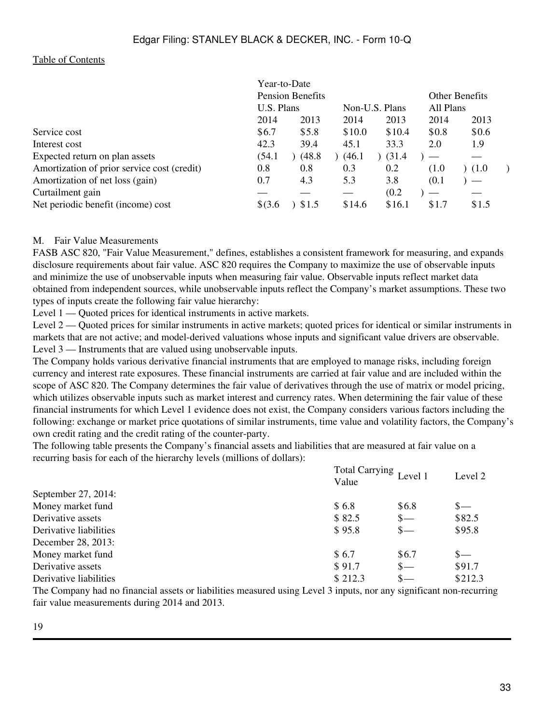|                                             | Year-to-Date |                         |        |                |                |           |  |
|---------------------------------------------|--------------|-------------------------|--------|----------------|----------------|-----------|--|
|                                             |              | <b>Pension Benefits</b> |        |                | Other Benefits |           |  |
|                                             | U.S. Plans   |                         |        | Non-U.S. Plans |                | All Plans |  |
|                                             | 2014         | 2013                    | 2014   | 2013           | 2014           | 2013      |  |
| Service cost                                | \$6.7        | \$5.8                   | \$10.0 | \$10.4         | \$0.8          | \$0.6     |  |
| Interest cost                               | 42.3         | 39.4                    | 45.1   | 33.3           | 2.0            | 1.9       |  |
| Expected return on plan assets              | (54.1)       | (48.8)                  | (46.1) | (31.4)         |                |           |  |
| Amortization of prior service cost (credit) | 0.8          | 0.8                     | 0.3    | 0.2            | (1.0)          | (1.0)     |  |
| Amortization of net loss (gain)             | 0.7          | 4.3                     | 5.3    | 3.8            | (0.1)          |           |  |
| Curtailment gain                            |              |                         |        | (0.2)          |                |           |  |
| Net periodic benefit (income) cost          | $$$ (3.6)    | \$1.5                   | \$14.6 | \$16.1         | \$1.7          | \$1.5     |  |

## M. Fair Value Measurements

FASB ASC 820, "Fair Value Measurement," defines, establishes a consistent framework for measuring, and expands disclosure requirements about fair value. ASC 820 requires the Company to maximize the use of observable inputs and minimize the use of unobservable inputs when measuring fair value. Observable inputs reflect market data obtained from independent sources, while unobservable inputs reflect the Company's market assumptions. These two types of inputs create the following fair value hierarchy:

Level 1 — Quoted prices for identical instruments in active markets.

Level 2 — Quoted prices for similar instruments in active markets; quoted prices for identical or similar instruments in markets that are not active; and model-derived valuations whose inputs and significant value drivers are observable. Level 3 — Instruments that are valued using unobservable inputs.

The Company holds various derivative financial instruments that are employed to manage risks, including foreign currency and interest rate exposures. These financial instruments are carried at fair value and are included within the scope of ASC 820. The Company determines the fair value of derivatives through the use of matrix or model pricing, which utilizes observable inputs such as market interest and currency rates. When determining the fair value of these financial instruments for which Level 1 evidence does not exist, the Company considers various factors including the following: exchange or market price quotations of similar instruments, time value and volatility factors, the Company's own credit rating and the credit rating of the counter-party.

The following table presents the Company's financial assets and liabilities that are measured at fair value on a recurring basis for each of the hierarchy levels (millions of dollars):

|                        | Value   | Total Carrying Level 1 |         |  |
|------------------------|---------|------------------------|---------|--|
| September 27, 2014:    |         |                        |         |  |
| Money market fund      | \$6.8   | \$6.8                  |         |  |
| Derivative assets      | \$82.5  | $s-$                   | \$82.5  |  |
| Derivative liabilities | \$95.8  | $\frac{1}{2}$          | \$95.8  |  |
| December 28, 2013:     |         |                        |         |  |
| Money market fund      | \$6.7   | \$6.7                  | $S-$    |  |
| Derivative assets      | \$91.7  | $s-$                   | \$91.7  |  |
| Derivative liabilities | \$212.3 | $S-$                   | \$212.3 |  |

The Company had no financial assets or liabilities measured using Level 3 inputs, nor any significant non-recurring fair value measurements during 2014 and 2013.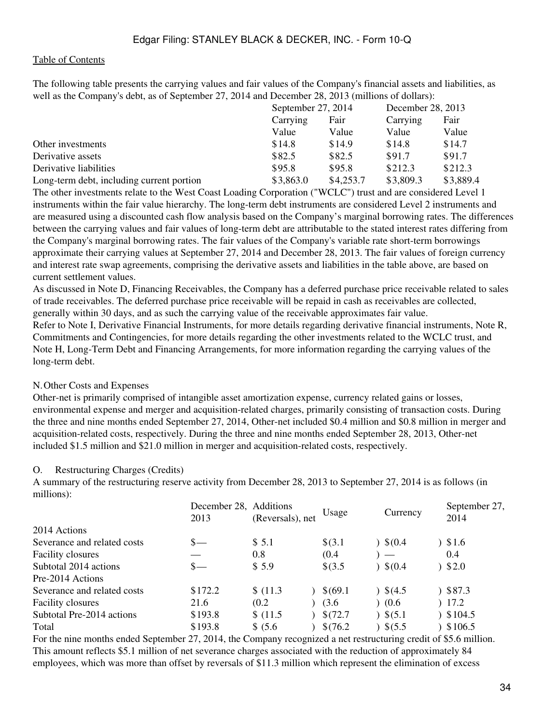The following table presents the carrying values and fair values of the Company's financial assets and liabilities, as well as the Company's debt, as of September 27, 2014 and December 28, 2013 (millions of dollars):

|                                           | September 27, 2014 |           | December 28, 2013 |           |  |
|-------------------------------------------|--------------------|-----------|-------------------|-----------|--|
|                                           | Fair<br>Carrying   |           | Carrying          | Fair      |  |
|                                           | Value              | Value     | Value             | Value     |  |
| Other investments                         | \$14.8             | \$14.9    | \$14.8            | \$14.7    |  |
| Derivative assets                         | \$82.5             | \$82.5    | \$91.7            | \$91.7    |  |
| Derivative liabilities                    | \$95.8             | \$95.8    | \$212.3           | \$212.3   |  |
| Long-term debt, including current portion | \$3,863.0          | \$4,253.7 | \$3,809.3         | \$3,889.4 |  |

The other investments relate to the West Coast Loading Corporation ("WCLC") trust and are considered Level 1 instruments within the fair value hierarchy. The long-term debt instruments are considered Level 2 instruments and are measured using a discounted cash flow analysis based on the Company's marginal borrowing rates. The differences between the carrying values and fair values of long-term debt are attributable to the stated interest rates differing from the Company's marginal borrowing rates. The fair values of the Company's variable rate short-term borrowings approximate their carrying values at September 27, 2014 and December 28, 2013. The fair values of foreign currency and interest rate swap agreements, comprising the derivative assets and liabilities in the table above, are based on current settlement values.

As discussed in Note D, Financing Receivables, the Company has a deferred purchase price receivable related to sales of trade receivables. The deferred purchase price receivable will be repaid in cash as receivables are collected, generally within 30 days, and as such the carrying value of the receivable approximates fair value.

Refer to Note I, Derivative Financial Instruments, for more details regarding derivative financial instruments, Note R, Commitments and Contingencies, for more details regarding the other investments related to the WCLC trust, and Note H, Long-Term Debt and Financing Arrangements, for more information regarding the carrying values of the long-term debt.

#### N.Other Costs and Expenses

Other-net is primarily comprised of intangible asset amortization expense, currency related gains or losses, environmental expense and merger and acquisition-related charges, primarily consisting of transaction costs. During the three and nine months ended September 27, 2014, Other-net included \$0.4 million and \$0.8 million in merger and acquisition-related costs, respectively. During the three and nine months ended September 28, 2013, Other-net included \$1.5 million and \$21.0 million in merger and acquisition-related costs, respectively.

#### O. Restructuring Charges (Credits)

A summary of the restructuring reserve activity from December 28, 2013 to September 27, 2014 is as follows (in millions):

|                             | December 28, Additions |                  | Usage     |  |              |  | September 27, |  |
|-----------------------------|------------------------|------------------|-----------|--|--------------|--|---------------|--|
|                             | 2013                   | (Reversals), net |           |  | Currency     |  | 2014          |  |
| 2014 Actions                |                        |                  |           |  |              |  |               |  |
| Severance and related costs | $S-$                   | \$ 5.1           | \$(3.1)   |  | $)$ \$(0.4)  |  | 3.51.6        |  |
| <b>Facility closures</b>    |                        | 0.8              | (0.4)     |  |              |  | 0.4           |  |
| Subtotal 2014 actions       | $S-$                   | \$5.9            | $$$ (3.5) |  | 3(0.4)       |  | 32.0          |  |
| Pre-2014 Actions            |                        |                  |           |  |              |  |               |  |
| Severance and related costs | \$172.2                | \$(11.3)         | \$ (69.1) |  | 3(4.5)       |  | 387.3         |  |
| <b>Facility closures</b>    | 21.6                   | (0.2)            | (3.6)     |  | (0.6)        |  | 17.2          |  |
| Subtotal Pre-2014 actions   | \$193.8                | \$(11.5)         | \$(72.7)  |  | 3(5.1)       |  | \$104.5       |  |
| Total                       | \$193.8                | \$ (5.6)         | \$(76.2)  |  | $\sqrt{5.5}$ |  | \$106.5       |  |
|                             |                        |                  |           |  |              |  |               |  |

For the nine months ended September 27, 2014, the Company recognized a net restructuring credit of \$5.6 million. This amount reflects \$5.1 million of net severance charges associated with the reduction of approximately 84 employees, which was more than offset by reversals of \$11.3 million which represent the elimination of excess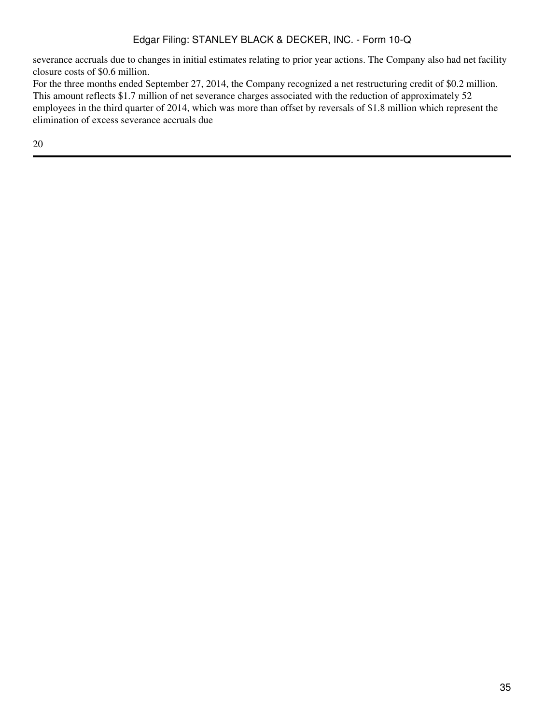severance accruals due to changes in initial estimates relating to prior year actions. The Company also had net facility closure costs of \$0.6 million.

For the three months ended September 27, 2014, the Company recognized a net restructuring credit of \$0.2 million. This amount reflects \$1.7 million of net severance charges associated with the reduction of approximately 52 employees in the third quarter of 2014, which was more than offset by reversals of \$1.8 million which represent the elimination of excess severance accruals due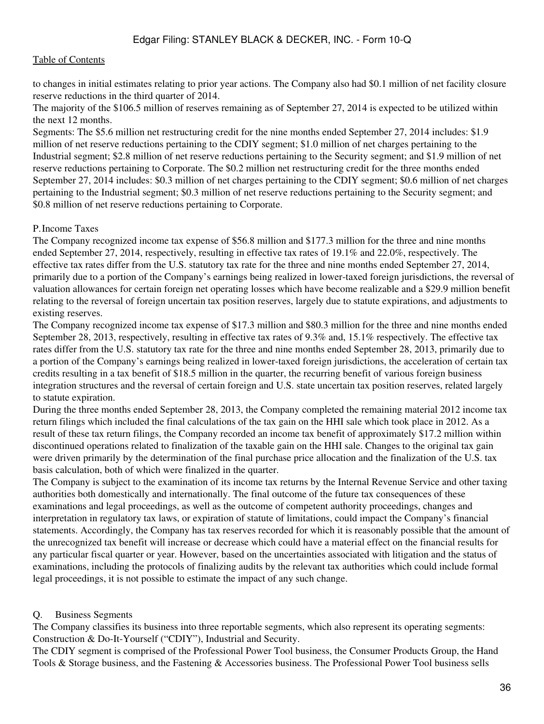to changes in initial estimates relating to prior year actions. The Company also had \$0.1 million of net facility closure reserve reductions in the third quarter of 2014.

The majority of the \$106.5 million of reserves remaining as of September 27, 2014 is expected to be utilized within the next 12 months.

Segments: The \$5.6 million net restructuring credit for the nine months ended September 27, 2014 includes: \$1.9 million of net reserve reductions pertaining to the CDIY segment; \$1.0 million of net charges pertaining to the Industrial segment; \$2.8 million of net reserve reductions pertaining to the Security segment; and \$1.9 million of net reserve reductions pertaining to Corporate. The \$0.2 million net restructuring credit for the three months ended September 27, 2014 includes: \$0.3 million of net charges pertaining to the CDIY segment; \$0.6 million of net charges pertaining to the Industrial segment; \$0.3 million of net reserve reductions pertaining to the Security segment; and \$0.8 million of net reserve reductions pertaining to Corporate.

## P.Income Taxes

The Company recognized income tax expense of \$56.8 million and \$177.3 million for the three and nine months ended September 27, 2014, respectively, resulting in effective tax rates of 19.1% and 22.0%, respectively. The effective tax rates differ from the U.S. statutory tax rate for the three and nine months ended September 27, 2014, primarily due to a portion of the Company's earnings being realized in lower-taxed foreign jurisdictions, the reversal of valuation allowances for certain foreign net operating losses which have become realizable and a \$29.9 million benefit relating to the reversal of foreign uncertain tax position reserves, largely due to statute expirations, and adjustments to existing reserves.

The Company recognized income tax expense of \$17.3 million and \$80.3 million for the three and nine months ended September 28, 2013, respectively, resulting in effective tax rates of 9.3% and, 15.1% respectively. The effective tax rates differ from the U.S. statutory tax rate for the three and nine months ended September 28, 2013, primarily due to a portion of the Company's earnings being realized in lower-taxed foreign jurisdictions, the acceleration of certain tax credits resulting in a tax benefit of \$18.5 million in the quarter, the recurring benefit of various foreign business integration structures and the reversal of certain foreign and U.S. state uncertain tax position reserves, related largely to statute expiration.

During the three months ended September 28, 2013, the Company completed the remaining material 2012 income tax return filings which included the final calculations of the tax gain on the HHI sale which took place in 2012. As a result of these tax return filings, the Company recorded an income tax benefit of approximately \$17.2 million within discontinued operations related to finalization of the taxable gain on the HHI sale. Changes to the original tax gain were driven primarily by the determination of the final purchase price allocation and the finalization of the U.S. tax basis calculation, both of which were finalized in the quarter.

The Company is subject to the examination of its income tax returns by the Internal Revenue Service and other taxing authorities both domestically and internationally. The final outcome of the future tax consequences of these examinations and legal proceedings, as well as the outcome of competent authority proceedings, changes and interpretation in regulatory tax laws, or expiration of statute of limitations, could impact the Company's financial statements. Accordingly, the Company has tax reserves recorded for which it is reasonably possible that the amount of the unrecognized tax benefit will increase or decrease which could have a material effect on the financial results for any particular fiscal quarter or year. However, based on the uncertainties associated with litigation and the status of examinations, including the protocols of finalizing audits by the relevant tax authorities which could include formal legal proceedings, it is not possible to estimate the impact of any such change.

# Q. Business Segments

The Company classifies its business into three reportable segments, which also represent its operating segments: Construction & Do-It-Yourself ("CDIY"), Industrial and Security.

The CDIY segment is comprised of the Professional Power Tool business, the Consumer Products Group, the Hand Tools & Storage business, and the Fastening & Accessories business. The Professional Power Tool business sells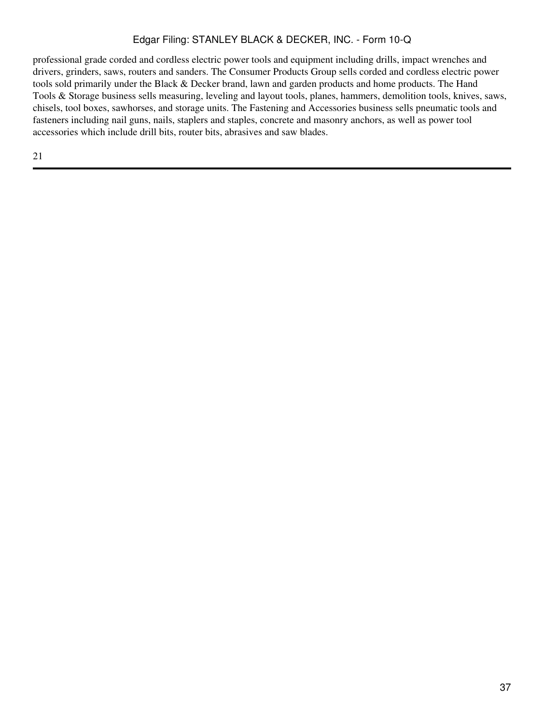professional grade corded and cordless electric power tools and equipment including drills, impact wrenches and drivers, grinders, saws, routers and sanders. The Consumer Products Group sells corded and cordless electric power tools sold primarily under the Black & Decker brand, lawn and garden products and home products. The Hand Tools & Storage business sells measuring, leveling and layout tools, planes, hammers, demolition tools, knives, saws, chisels, tool boxes, sawhorses, and storage units. The Fastening and Accessories business sells pneumatic tools and fasteners including nail guns, nails, staplers and staples, concrete and masonry anchors, as well as power tool accessories which include drill bits, router bits, abrasives and saw blades.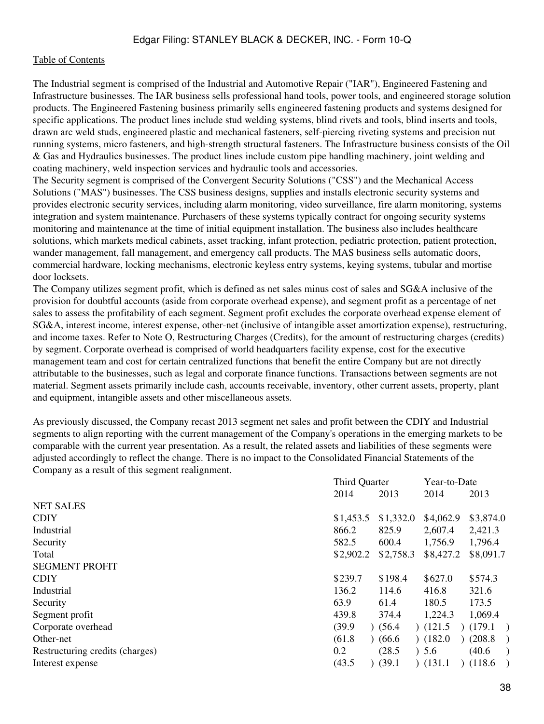The Industrial segment is comprised of the Industrial and Automotive Repair ("IAR"), Engineered Fastening and Infrastructure businesses. The IAR business sells professional hand tools, power tools, and engineered storage solution products. The Engineered Fastening business primarily sells engineered fastening products and systems designed for specific applications. The product lines include stud welding systems, blind rivets and tools, blind inserts and tools, drawn arc weld studs, engineered plastic and mechanical fasteners, self-piercing riveting systems and precision nut running systems, micro fasteners, and high-strength structural fasteners. The Infrastructure business consists of the Oil & Gas and Hydraulics businesses. The product lines include custom pipe handling machinery, joint welding and coating machinery, weld inspection services and hydraulic tools and accessories.

The Security segment is comprised of the Convergent Security Solutions ("CSS") and the Mechanical Access Solutions ("MAS") businesses. The CSS business designs, supplies and installs electronic security systems and provides electronic security services, including alarm monitoring, video surveillance, fire alarm monitoring, systems integration and system maintenance. Purchasers of these systems typically contract for ongoing security systems monitoring and maintenance at the time of initial equipment installation. The business also includes healthcare solutions, which markets medical cabinets, asset tracking, infant protection, pediatric protection, patient protection, wander management, fall management, and emergency call products. The MAS business sells automatic doors, commercial hardware, locking mechanisms, electronic keyless entry systems, keying systems, tubular and mortise door locksets.

The Company utilizes segment profit, which is defined as net sales minus cost of sales and SG&A inclusive of the provision for doubtful accounts (aside from corporate overhead expense), and segment profit as a percentage of net sales to assess the profitability of each segment. Segment profit excludes the corporate overhead expense element of SG&A, interest income, interest expense, other-net (inclusive of intangible asset amortization expense), restructuring, and income taxes. Refer to Note O, Restructuring Charges (Credits), for the amount of restructuring charges (credits) by segment. Corporate overhead is comprised of world headquarters facility expense, cost for the executive management team and cost for certain centralized functions that benefit the entire Company but are not directly attributable to the businesses, such as legal and corporate finance functions. Transactions between segments are not material. Segment assets primarily include cash, accounts receivable, inventory, other current assets, property, plant and equipment, intangible assets and other miscellaneous assets.

As previously discussed, the Company recast 2013 segment net sales and profit between the CDIY and Industrial segments to align reporting with the current management of the Company's operations in the emerging markets to be comparable with the current year presentation. As a result, the related assets and liabilities of these segments were adjusted accordingly to reflect the change. There is no impact to the Consolidated Financial Statements of the Company as a result of this segment realignment.

|                                 |           | Third Quarter           |           | Year-to-Date             |
|---------------------------------|-----------|-------------------------|-----------|--------------------------|
|                                 | 2014      | 2013                    | 2014      | 2013                     |
| <b>NET SALES</b>                |           |                         |           |                          |
| <b>CDIY</b>                     | \$1,453.5 | \$1,332.0               | \$4,062.9 | \$3,874.0                |
| Industrial                      | 866.2     | 825.9                   | 2,607.4   | 2,421.3                  |
| Security                        | 582.5     | 600.4                   | 1,756.9   | 1,796.4                  |
| Total                           | \$2,902.2 | \$2,758.3               | \$8,427.2 | \$8,091.7                |
| <b>SEGMENT PROFIT</b>           |           |                         |           |                          |
| <b>CDIY</b>                     | \$239.7   | \$198.4                 | \$627.0   | \$574.3                  |
| Industrial                      | 136.2     | 114.6                   | 416.8     | 321.6                    |
| Security                        | 63.9      | 61.4                    | 180.5     | 173.5                    |
| Segment profit                  | 439.8     | 374.4                   | 1,224.3   | 1,069.4                  |
| Corporate overhead              | (39.9)    | (56.4)                  | (121.5)   | (179.1)<br>$\rightarrow$ |
| Other-net                       | (61.8)    | (66.6)                  | (182.0)   | (208.8)<br>$\rightarrow$ |
| Restructuring credits (charges) | 0.2       | (28.5)                  | ) 5.6     | (40.6)                   |
| Interest expense                | (43.5)    | (39.1)<br>$\mathcal{L}$ | (131.1)   | (118.6)                  |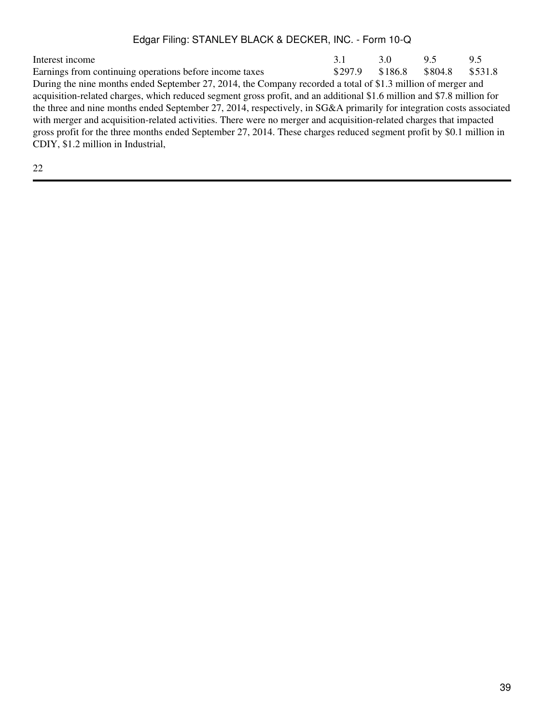| 3.1     | 30      | 9.5     | 9.5                                                                                                                                                                                                                                                                                                                                                                                                                                                                                                                                                                                                          |
|---------|---------|---------|--------------------------------------------------------------------------------------------------------------------------------------------------------------------------------------------------------------------------------------------------------------------------------------------------------------------------------------------------------------------------------------------------------------------------------------------------------------------------------------------------------------------------------------------------------------------------------------------------------------|
| \$297.9 | \$186.8 | \$804.8 | \$531.8                                                                                                                                                                                                                                                                                                                                                                                                                                                                                                                                                                                                      |
|         |         |         |                                                                                                                                                                                                                                                                                                                                                                                                                                                                                                                                                                                                              |
|         |         |         |                                                                                                                                                                                                                                                                                                                                                                                                                                                                                                                                                                                                              |
|         |         |         |                                                                                                                                                                                                                                                                                                                                                                                                                                                                                                                                                                                                              |
|         |         |         |                                                                                                                                                                                                                                                                                                                                                                                                                                                                                                                                                                                                              |
|         |         |         |                                                                                                                                                                                                                                                                                                                                                                                                                                                                                                                                                                                                              |
|         |         |         |                                                                                                                                                                                                                                                                                                                                                                                                                                                                                                                                                                                                              |
|         |         |         | During the nine months ended September 27, 2014, the Company recorded a total of \$1.3 million of merger and<br>acquisition-related charges, which reduced segment gross profit, and an additional \$1.6 million and \$7.8 million for<br>the three and nine months ended September 27, 2014, respectively, in SG&A primarily for integration costs associated<br>with merger and acquisition-related activities. There were no merger and acquisition-related charges that impacted<br>gross profit for the three months ended September 27, 2014. These charges reduced segment profit by \$0.1 million in |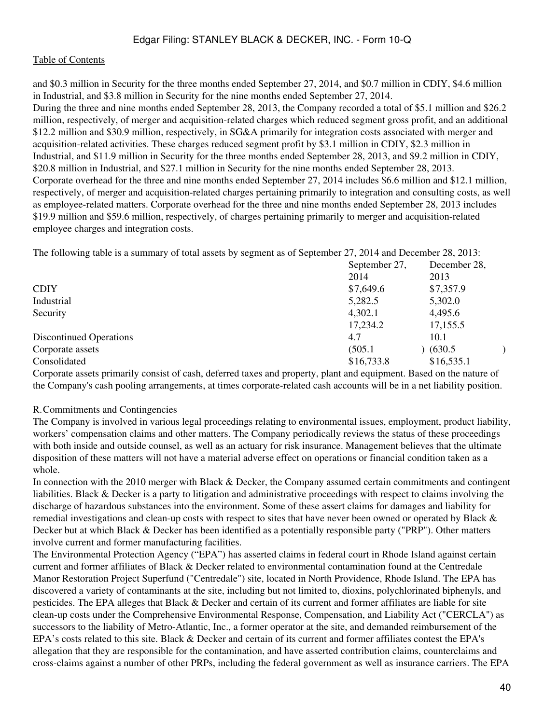and \$0.3 million in Security for the three months ended September 27, 2014, and \$0.7 million in CDIY, \$4.6 million in Industrial, and \$3.8 million in Security for the nine months ended September 27, 2014. During the three and nine months ended September 28, 2013, the Company recorded a total of \$5.1 million and \$26.2 million, respectively, of merger and acquisition-related charges which reduced segment gross profit, and an additional \$12.2 million and \$30.9 million, respectively, in SG&A primarily for integration costs associated with merger and acquisition-related activities. These charges reduced segment profit by \$3.1 million in CDIY, \$2.3 million in Industrial, and \$11.9 million in Security for the three months ended September 28, 2013, and \$9.2 million in CDIY, \$20.8 million in Industrial, and \$27.1 million in Security for the nine months ended September 28, 2013. Corporate overhead for the three and nine months ended September 27, 2014 includes \$6.6 million and \$12.1 million, respectively, of merger and acquisition-related charges pertaining primarily to integration and consulting costs, as well as employee-related matters. Corporate overhead for the three and nine months ended September 28, 2013 includes \$19.9 million and \$59.6 million, respectively, of charges pertaining primarily to merger and acquisition-related employee charges and integration costs.

The following table is a summary of total assets by segment as of September 27, 2014 and December 28, 2013:

| September 27, | December 28, |  |
|---------------|--------------|--|
| 2014          | 2013         |  |
| \$7,649.6     | \$7,357.9    |  |
| 5,282.5       | 5,302.0      |  |
| 4,302.1       | 4,495.6      |  |
| 17,234.2      | 17,155.5     |  |
| 4.7           | 10.1         |  |
| (505.1)       | (630.5)      |  |
| \$16,733.8    | \$16,535.1   |  |
|               |              |  |

Corporate assets primarily consist of cash, deferred taxes and property, plant and equipment. Based on the nature of the Company's cash pooling arrangements, at times corporate-related cash accounts will be in a net liability position.

### R.Commitments and Contingencies

The Company is involved in various legal proceedings relating to environmental issues, employment, product liability, workers' compensation claims and other matters. The Company periodically reviews the status of these proceedings with both inside and outside counsel, as well as an actuary for risk insurance. Management believes that the ultimate disposition of these matters will not have a material adverse effect on operations or financial condition taken as a whole.

In connection with the 2010 merger with Black & Decker, the Company assumed certain commitments and contingent liabilities. Black & Decker is a party to litigation and administrative proceedings with respect to claims involving the discharge of hazardous substances into the environment. Some of these assert claims for damages and liability for remedial investigations and clean-up costs with respect to sites that have never been owned or operated by Black & Decker but at which Black & Decker has been identified as a potentially responsible party ("PRP"). Other matters involve current and former manufacturing facilities.

The Environmental Protection Agency ("EPA") has asserted claims in federal court in Rhode Island against certain current and former affiliates of Black & Decker related to environmental contamination found at the Centredale Manor Restoration Project Superfund ("Centredale") site, located in North Providence, Rhode Island. The EPA has discovered a variety of contaminants at the site, including but not limited to, dioxins, polychlorinated biphenyls, and pesticides. The EPA alleges that Black & Decker and certain of its current and former affiliates are liable for site clean-up costs under the Comprehensive Environmental Response, Compensation, and Liability Act ("CERCLA") as successors to the liability of Metro-Atlantic, Inc., a former operator at the site, and demanded reimbursement of the EPA's costs related to this site. Black & Decker and certain of its current and former affiliates contest the EPA's allegation that they are responsible for the contamination, and have asserted contribution claims, counterclaims and cross-claims against a number of other PRPs, including the federal government as well as insurance carriers. The EPA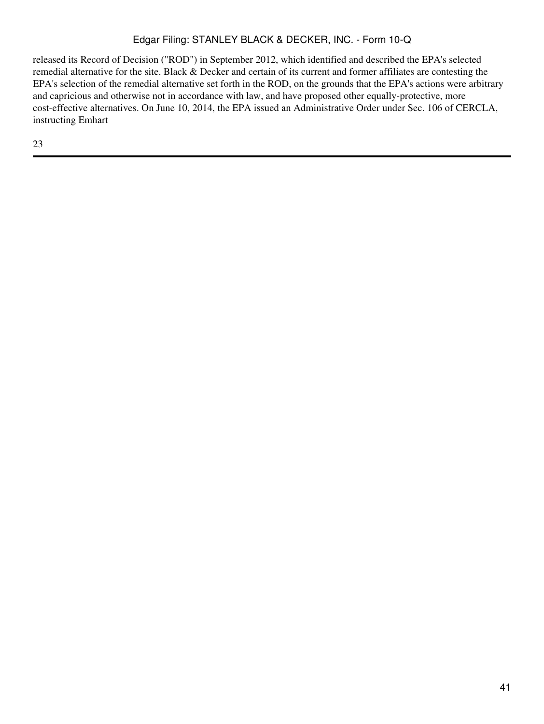released its Record of Decision ("ROD") in September 2012, which identified and described the EPA's selected remedial alternative for the site. Black & Decker and certain of its current and former affiliates are contesting the EPA's selection of the remedial alternative set forth in the ROD, on the grounds that the EPA's actions were arbitrary and capricious and otherwise not in accordance with law, and have proposed other equally-protective, more cost-effective alternatives. On June 10, 2014, the EPA issued an Administrative Order under Sec. 106 of CERCLA, instructing Emhart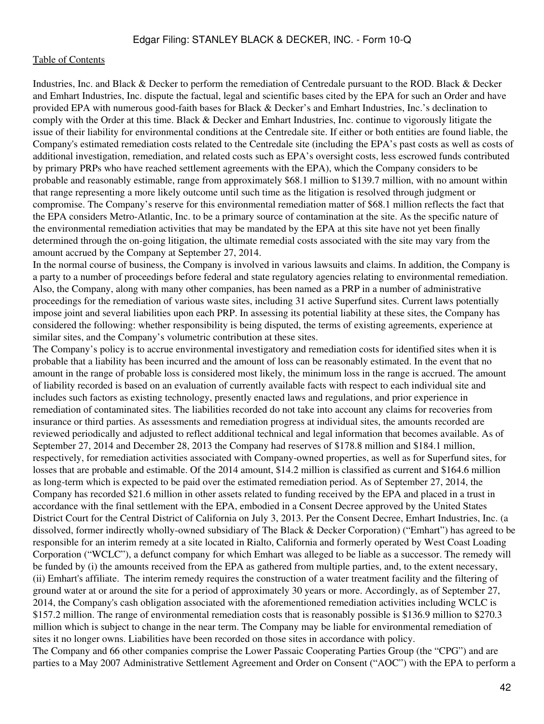Industries, Inc. and Black & Decker to perform the remediation of Centredale pursuant to the ROD. Black & Decker and Emhart Industries, Inc. dispute the factual, legal and scientific bases cited by the EPA for such an Order and have provided EPA with numerous good-faith bases for Black & Decker's and Emhart Industries, Inc.'s declination to comply with the Order at this time. Black & Decker and Emhart Industries, Inc. continue to vigorously litigate the issue of their liability for environmental conditions at the Centredale site. If either or both entities are found liable, the Company's estimated remediation costs related to the Centredale site (including the EPA's past costs as well as costs of additional investigation, remediation, and related costs such as EPA's oversight costs, less escrowed funds contributed by primary PRPs who have reached settlement agreements with the EPA), which the Company considers to be probable and reasonably estimable, range from approximately \$68.1 million to \$139.7 million, with no amount within that range representing a more likely outcome until such time as the litigation is resolved through judgment or compromise. The Company's reserve for this environmental remediation matter of \$68.1 million reflects the fact that the EPA considers Metro-Atlantic, Inc. to be a primary source of contamination at the site. As the specific nature of the environmental remediation activities that may be mandated by the EPA at this site have not yet been finally determined through the on-going litigation, the ultimate remedial costs associated with the site may vary from the amount accrued by the Company at September 27, 2014.

In the normal course of business, the Company is involved in various lawsuits and claims. In addition, the Company is a party to a number of proceedings before federal and state regulatory agencies relating to environmental remediation. Also, the Company, along with many other companies, has been named as a PRP in a number of administrative proceedings for the remediation of various waste sites, including 31 active Superfund sites. Current laws potentially impose joint and several liabilities upon each PRP. In assessing its potential liability at these sites, the Company has considered the following: whether responsibility is being disputed, the terms of existing agreements, experience at similar sites, and the Company's volumetric contribution at these sites.

The Company's policy is to accrue environmental investigatory and remediation costs for identified sites when it is probable that a liability has been incurred and the amount of loss can be reasonably estimated. In the event that no amount in the range of probable loss is considered most likely, the minimum loss in the range is accrued. The amount of liability recorded is based on an evaluation of currently available facts with respect to each individual site and includes such factors as existing technology, presently enacted laws and regulations, and prior experience in remediation of contaminated sites. The liabilities recorded do not take into account any claims for recoveries from insurance or third parties. As assessments and remediation progress at individual sites, the amounts recorded are reviewed periodically and adjusted to reflect additional technical and legal information that becomes available. As of September 27, 2014 and December 28, 2013 the Company had reserves of \$178.8 million and \$184.1 million, respectively, for remediation activities associated with Company-owned properties, as well as for Superfund sites, for losses that are probable and estimable. Of the 2014 amount, \$14.2 million is classified as current and \$164.6 million as long-term which is expected to be paid over the estimated remediation period. As of September 27, 2014, the Company has recorded \$21.6 million in other assets related to funding received by the EPA and placed in a trust in accordance with the final settlement with the EPA, embodied in a Consent Decree approved by the United States District Court for the Central District of California on July 3, 2013. Per the Consent Decree, Emhart Industries, Inc. (a dissolved, former indirectly wholly-owned subsidiary of The Black & Decker Corporation) ("Emhart") has agreed to be responsible for an interim remedy at a site located in Rialto, California and formerly operated by West Coast Loading Corporation ("WCLC"), a defunct company for which Emhart was alleged to be liable as a successor. The remedy will be funded by (i) the amounts received from the EPA as gathered from multiple parties, and, to the extent necessary, (ii) Emhart's affiliate. The interim remedy requires the construction of a water treatment facility and the filtering of ground water at or around the site for a period of approximately 30 years or more. Accordingly, as of September 27, 2014, the Company's cash obligation associated with the aforementioned remediation activities including WCLC is \$157.2 million. The range of environmental remediation costs that is reasonably possible is \$136.9 million to \$270.3 million which is subject to change in the near term. The Company may be liable for environmental remediation of sites it no longer owns. Liabilities have been recorded on those sites in accordance with policy. The Company and 66 other companies comprise the Lower Passaic Cooperating Parties Group (the "CPG") and are parties to a May 2007 Administrative Settlement Agreement and Order on Consent ("AOC") with the EPA to perform a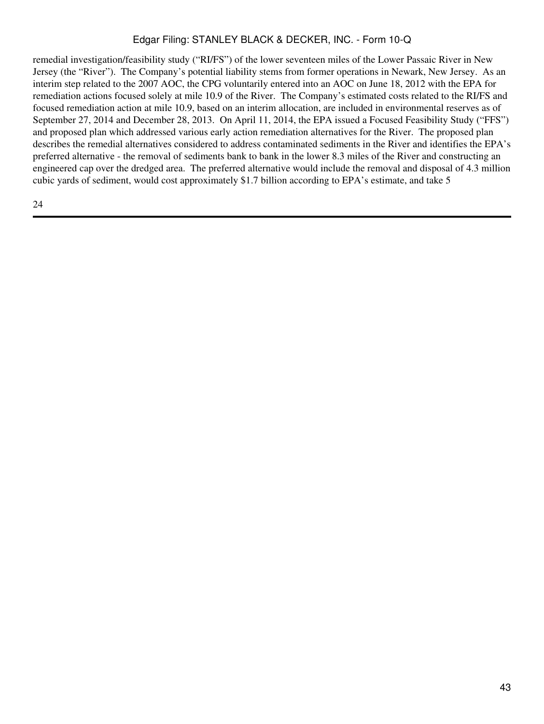remedial investigation/feasibility study ("RI/FS") of the lower seventeen miles of the Lower Passaic River in New Jersey (the "River"). The Company's potential liability stems from former operations in Newark, New Jersey. As an interim step related to the 2007 AOC, the CPG voluntarily entered into an AOC on June 18, 2012 with the EPA for remediation actions focused solely at mile 10.9 of the River. The Company's estimated costs related to the RI/FS and focused remediation action at mile 10.9, based on an interim allocation, are included in environmental reserves as of September 27, 2014 and December 28, 2013. On April 11, 2014, the EPA issued a Focused Feasibility Study ("FFS") and proposed plan which addressed various early action remediation alternatives for the River. The proposed plan describes the remedial alternatives considered to address contaminated sediments in the River and identifies the EPA's preferred alternative - the removal of sediments bank to bank in the lower 8.3 miles of the River and constructing an engineered cap over the dredged area. The preferred alternative would include the removal and disposal of 4.3 million cubic yards of sediment, would cost approximately \$1.7 billion according to EPA's estimate, and take 5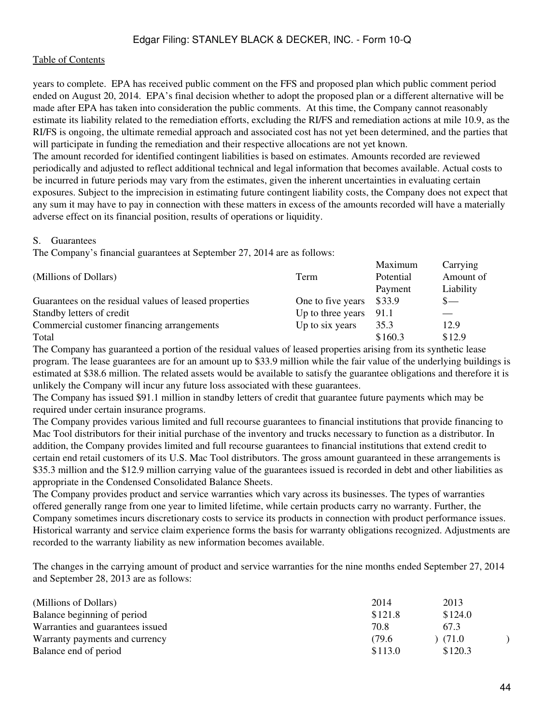years to complete. EPA has received public comment on the FFS and proposed plan which public comment period ended on August 20, 2014. EPA's final decision whether to adopt the proposed plan or a different alternative will be made after EPA has taken into consideration the public comments. At this time, the Company cannot reasonably estimate its liability related to the remediation efforts, excluding the RI/FS and remediation actions at mile 10.9, as the RI/FS is ongoing, the ultimate remedial approach and associated cost has not yet been determined, and the parties that will participate in funding the remediation and their respective allocations are not yet known.

The amount recorded for identified contingent liabilities is based on estimates. Amounts recorded are reviewed periodically and adjusted to reflect additional technical and legal information that becomes available. Actual costs to be incurred in future periods may vary from the estimates, given the inherent uncertainties in evaluating certain exposures. Subject to the imprecision in estimating future contingent liability costs, the Company does not expect that any sum it may have to pay in connection with these matters in excess of the amounts recorded will have a materially adverse effect on its financial position, results of operations or liquidity.

#### S. Guarantees

The Company's financial guarantees at September 27, 2014 are as follows:

|                                                        |                   | Maximum   | Carrying  |
|--------------------------------------------------------|-------------------|-----------|-----------|
| (Millions of Dollars)                                  | Term              | Potential | Amount of |
|                                                        |                   | Payment   | Liability |
| Guarantees on the residual values of leased properties | One to five years | \$33.9    | $S-$      |
| Standby letters of credit                              | Up to three years | 91.1      |           |
| Commercial customer financing arrangements             | Up to six years   | 35.3      | 12.9      |
| Total                                                  |                   | \$160.3   | \$12.9    |

The Company has guaranteed a portion of the residual values of leased properties arising from its synthetic lease program. The lease guarantees are for an amount up to \$33.9 million while the fair value of the underlying buildings is estimated at \$38.6 million. The related assets would be available to satisfy the guarantee obligations and therefore it is unlikely the Company will incur any future loss associated with these guarantees.

The Company has issued \$91.1 million in standby letters of credit that guarantee future payments which may be required under certain insurance programs.

The Company provides various limited and full recourse guarantees to financial institutions that provide financing to Mac Tool distributors for their initial purchase of the inventory and trucks necessary to function as a distributor. In addition, the Company provides limited and full recourse guarantees to financial institutions that extend credit to certain end retail customers of its U.S. Mac Tool distributors. The gross amount guaranteed in these arrangements is \$35.3 million and the \$12.9 million carrying value of the guarantees issued is recorded in debt and other liabilities as appropriate in the Condensed Consolidated Balance Sheets.

The Company provides product and service warranties which vary across its businesses. The types of warranties offered generally range from one year to limited lifetime, while certain products carry no warranty. Further, the Company sometimes incurs discretionary costs to service its products in connection with product performance issues. Historical warranty and service claim experience forms the basis for warranty obligations recognized. Adjustments are recorded to the warranty liability as new information becomes available.

The changes in the carrying amount of product and service warranties for the nine months ended September 27, 2014 and September 28, 2013 are as follows:

| (Millions of Dollars)            | 2014    | 2013    |
|----------------------------------|---------|---------|
| Balance beginning of period      | \$121.8 | \$124.0 |
| Warranties and guarantees issued | 70.8    | 67.3    |
| Warranty payments and currency   | (79.6)  | (71.0)  |
| Balance end of period            | \$113.0 | \$120.3 |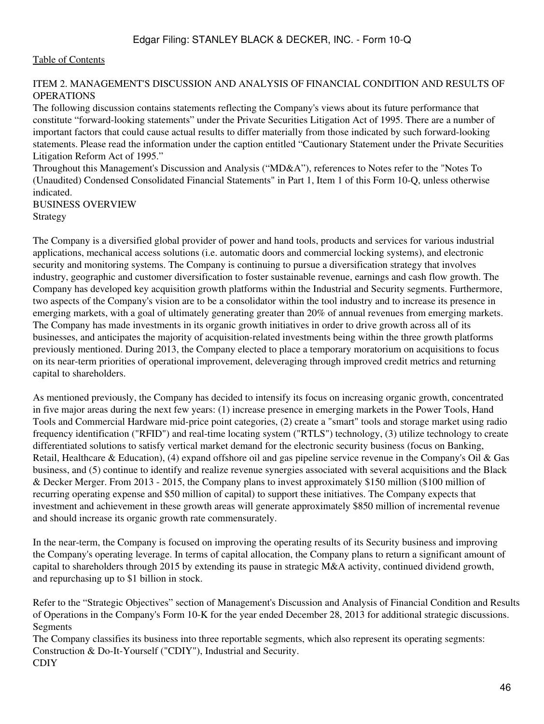### ITEM 2. MANAGEMENT'S DISCUSSION AND ANALYSIS OF FINANCIAL CONDITION AND RESULTS OF OPERATIONS

The following discussion contains statements reflecting the Company's views about its future performance that constitute "forward-looking statements" under the Private Securities Litigation Act of 1995. There are a number of important factors that could cause actual results to differ materially from those indicated by such forward-looking statements. Please read the information under the caption entitled "Cautionary Statement under the Private Securities Litigation Reform Act of 1995."

Throughout this Management's Discussion and Analysis ("MD&A"), references to Notes refer to the "Notes To (Unaudited) Condensed Consolidated Financial Statements" in Part 1, Item 1 of this Form 10-Q, unless otherwise indicated.

BUSINESS OVERVIEW Strategy

The Company is a diversified global provider of power and hand tools, products and services for various industrial applications, mechanical access solutions (i.e. automatic doors and commercial locking systems), and electronic security and monitoring systems. The Company is continuing to pursue a diversification strategy that involves industry, geographic and customer diversification to foster sustainable revenue, earnings and cash flow growth. The Company has developed key acquisition growth platforms within the Industrial and Security segments. Furthermore, two aspects of the Company's vision are to be a consolidator within the tool industry and to increase its presence in emerging markets, with a goal of ultimately generating greater than 20% of annual revenues from emerging markets. The Company has made investments in its organic growth initiatives in order to drive growth across all of its businesses, and anticipates the majority of acquisition-related investments being within the three growth platforms previously mentioned. During 2013, the Company elected to place a temporary moratorium on acquisitions to focus on its near-term priorities of operational improvement, deleveraging through improved credit metrics and returning capital to shareholders.

As mentioned previously, the Company has decided to intensify its focus on increasing organic growth, concentrated in five major areas during the next few years: (1) increase presence in emerging markets in the Power Tools, Hand Tools and Commercial Hardware mid-price point categories, (2) create a "smart" tools and storage market using radio frequency identification ("RFID") and real-time locating system ("RTLS") technology, (3) utilize technology to create differentiated solutions to satisfy vertical market demand for the electronic security business (focus on Banking, Retail, Healthcare & Education), (4) expand offshore oil and gas pipeline service revenue in the Company's Oil & Gas business, and (5) continue to identify and realize revenue synergies associated with several acquisitions and the Black & Decker Merger. From 2013 - 2015, the Company plans to invest approximately \$150 million (\$100 million of recurring operating expense and \$50 million of capital) to support these initiatives. The Company expects that investment and achievement in these growth areas will generate approximately \$850 million of incremental revenue and should increase its organic growth rate commensurately.

In the near-term, the Company is focused on improving the operating results of its Security business and improving the Company's operating leverage. In terms of capital allocation, the Company plans to return a significant amount of capital to shareholders through 2015 by extending its pause in strategic M&A activity, continued dividend growth, and repurchasing up to \$1 billion in stock.

Refer to the "Strategic Objectives" section of Management's Discussion and Analysis of Financial Condition and Results of Operations in the Company's Form 10-K for the year ended December 28, 2013 for additional strategic discussions. Segments

The Company classifies its business into three reportable segments, which also represent its operating segments: Construction & Do-It-Yourself ("CDIY"), Industrial and Security. CDIY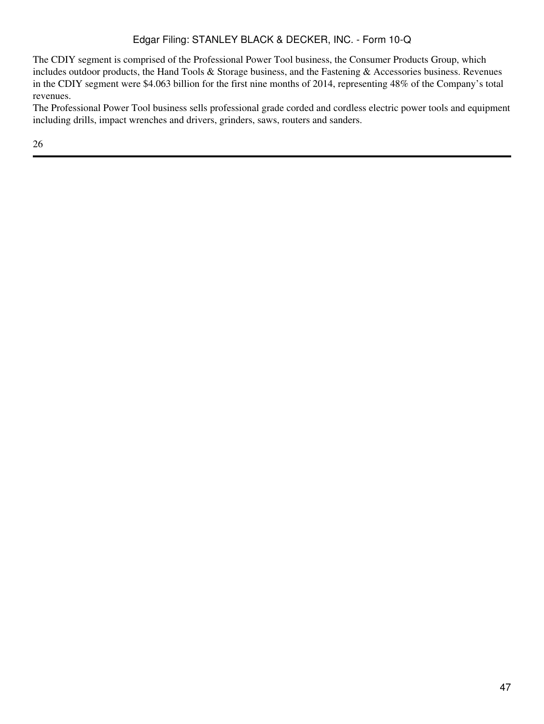The CDIY segment is comprised of the Professional Power Tool business, the Consumer Products Group, which includes outdoor products, the Hand Tools & Storage business, and the Fastening & Accessories business. Revenues in the CDIY segment were \$4.063 billion for the first nine months of 2014, representing 48% of the Company's total revenues.

The Professional Power Tool business sells professional grade corded and cordless electric power tools and equipment including drills, impact wrenches and drivers, grinders, saws, routers and sanders.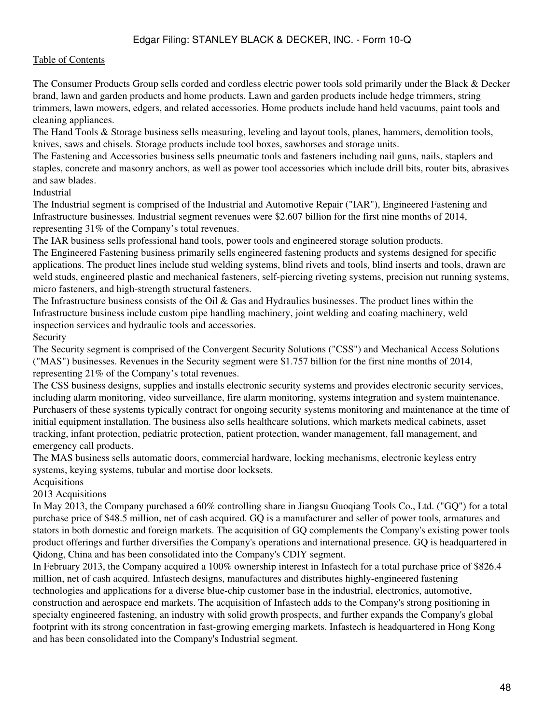#### [Table of Contents](#page-1-0)

The Consumer Products Group sells corded and cordless electric power tools sold primarily under the Black & Decker brand, lawn and garden products and home products. Lawn and garden products include hedge trimmers, string trimmers, lawn mowers, edgers, and related accessories. Home products include hand held vacuums, paint tools and cleaning appliances.

The Hand Tools & Storage business sells measuring, leveling and layout tools, planes, hammers, demolition tools, knives, saws and chisels. Storage products include tool boxes, sawhorses and storage units.

The Fastening and Accessories business sells pneumatic tools and fasteners including nail guns, nails, staplers and staples, concrete and masonry anchors, as well as power tool accessories which include drill bits, router bits, abrasives and saw blades.

Industrial

The Industrial segment is comprised of the Industrial and Automotive Repair ("IAR"), Engineered Fastening and Infrastructure businesses. Industrial segment revenues were \$2.607 billion for the first nine months of 2014, representing 31% of the Company's total revenues.

The IAR business sells professional hand tools, power tools and engineered storage solution products. The Engineered Fastening business primarily sells engineered fastening products and systems designed for specific applications. The product lines include stud welding systems, blind rivets and tools, blind inserts and tools, drawn arc weld studs, engineered plastic and mechanical fasteners, self-piercing riveting systems, precision nut running systems, micro fasteners, and high-strength structural fasteners.

The Infrastructure business consists of the Oil & Gas and Hydraulics businesses. The product lines within the Infrastructure business include custom pipe handling machinery, joint welding and coating machinery, weld inspection services and hydraulic tools and accessories.

Security

The Security segment is comprised of the Convergent Security Solutions ("CSS") and Mechanical Access Solutions ("MAS") businesses. Revenues in the Security segment were \$1.757 billion for the first nine months of 2014, representing 21% of the Company's total revenues.

The CSS business designs, supplies and installs electronic security systems and provides electronic security services, including alarm monitoring, video surveillance, fire alarm monitoring, systems integration and system maintenance. Purchasers of these systems typically contract for ongoing security systems monitoring and maintenance at the time of initial equipment installation. The business also sells healthcare solutions, which markets medical cabinets, asset tracking, infant protection, pediatric protection, patient protection, wander management, fall management, and emergency call products.

The MAS business sells automatic doors, commercial hardware, locking mechanisms, electronic keyless entry systems, keying systems, tubular and mortise door locksets.

Acquisitions

2013 Acquisitions

In May 2013, the Company purchased a 60% controlling share in Jiangsu Guoqiang Tools Co., Ltd. ("GQ") for a total purchase price of \$48.5 million, net of cash acquired. GQ is a manufacturer and seller of power tools, armatures and stators in both domestic and foreign markets. The acquisition of GQ complements the Company's existing power tools product offerings and further diversifies the Company's operations and international presence. GQ is headquartered in Qidong, China and has been consolidated into the Company's CDIY segment.

In February 2013, the Company acquired a 100% ownership interest in Infastech for a total purchase price of \$826.4 million, net of cash acquired. Infastech designs, manufactures and distributes highly-engineered fastening

technologies and applications for a diverse blue-chip customer base in the industrial, electronics, automotive, construction and aerospace end markets. The acquisition of Infastech adds to the Company's strong positioning in specialty engineered fastening, an industry with solid growth prospects, and further expands the Company's global footprint with its strong concentration in fast-growing emerging markets. Infastech is headquartered in Hong Kong and has been consolidated into the Company's Industrial segment.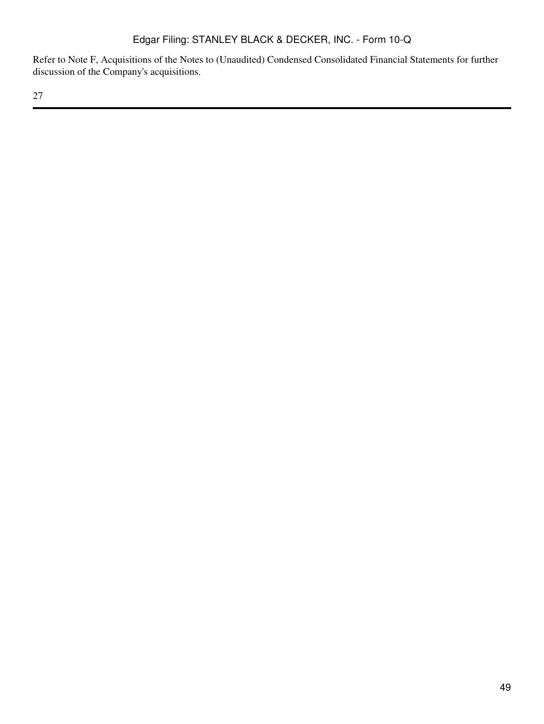Refer to Note F, Acquisitions of the Notes to (Unaudited) Condensed Consolidated Financial Statements for further discussion of the Company's acquisitions.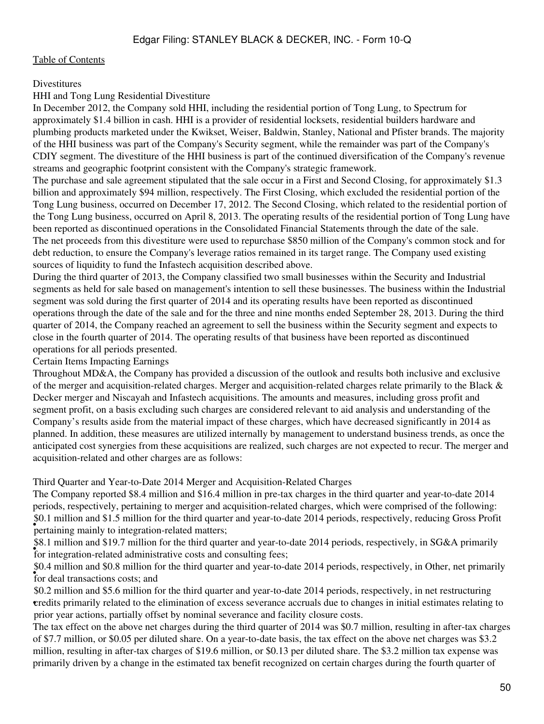#### Divestitures

HHI and Tong Lung Residential Divestiture

In December 2012, the Company sold HHI, including the residential portion of Tong Lung, to Spectrum for approximately \$1.4 billion in cash. HHI is a provider of residential locksets, residential builders hardware and plumbing products marketed under the Kwikset, Weiser, Baldwin, Stanley, National and Pfister brands. The majority of the HHI business was part of the Company's Security segment, while the remainder was part of the Company's CDIY segment. The divestiture of the HHI business is part of the continued diversification of the Company's revenue streams and geographic footprint consistent with the Company's strategic framework.

The purchase and sale agreement stipulated that the sale occur in a First and Second Closing, for approximately \$1.3 billion and approximately \$94 million, respectively. The First Closing, which excluded the residential portion of the Tong Lung business, occurred on December 17, 2012. The Second Closing, which related to the residential portion of the Tong Lung business, occurred on April 8, 2013. The operating results of the residential portion of Tong Lung have been reported as discontinued operations in the Consolidated Financial Statements through the date of the sale. The net proceeds from this divestiture were used to repurchase \$850 million of the Company's common stock and for debt reduction, to ensure the Company's leverage ratios remained in its target range. The Company used existing sources of liquidity to fund the Infastech acquisition described above.

During the third quarter of 2013, the Company classified two small businesses within the Security and Industrial segments as held for sale based on management's intention to sell these businesses. The business within the Industrial segment was sold during the first quarter of 2014 and its operating results have been reported as discontinued operations through the date of the sale and for the three and nine months ended September 28, 2013. During the third quarter of 2014, the Company reached an agreement to sell the business within the Security segment and expects to close in the fourth quarter of 2014. The operating results of that business have been reported as discontinued operations for all periods presented.

Certain Items Impacting Earnings

Throughout MD&A, the Company has provided a discussion of the outlook and results both inclusive and exclusive of the merger and acquisition-related charges. Merger and acquisition-related charges relate primarily to the Black  $\&$ Decker merger and Niscayah and Infastech acquisitions. The amounts and measures, including gross profit and segment profit, on a basis excluding such charges are considered relevant to aid analysis and understanding of the Company's results aside from the material impact of these charges, which have decreased significantly in 2014 as planned. In addition, these measures are utilized internally by management to understand business trends, as once the anticipated cost synergies from these acquisitions are realized, such charges are not expected to recur. The merger and acquisition-related and other charges are as follows:

Third Quarter and Year-to-Date 2014 Merger and Acquisition-Related Charges

The Company reported \$8.4 million and \$16.4 million in pre-tax charges in the third quarter and year-to-date 2014 periods, respectively, pertaining to merger and acquisition-related charges, which were comprised of the following: po. Finally to integration-related matters; \$0.1 million and \$1.5 million for the third quarter and year-to-date 2014 periods, respectively, reducing Gross Profit

For integration-related administrative costs and consulting fees; \$8.1 million and \$19.7 million for the third quarter and year-to-date 2014 periods, respectively, in SG&A primarily

for deal transactions costs; and \$0.4 million and \$0.8 million for the third quarter and year-to-date 2014 periods, respectively, in Other, net primarily

• credits primarily related to the elimination of excess severance accruals due to changes in initial estimates relating to \$0.2 million and \$5.6 million for the third quarter and year-to-date 2014 periods, respectively, in net restructuring prior year actions, partially offset by nominal severance and facility closure costs.

The tax effect on the above net charges during the third quarter of 2014 was \$0.7 million, resulting in after-tax charges of \$7.7 million, or \$0.05 per diluted share. On a year-to-date basis, the tax effect on the above net charges was \$3.2 million, resulting in after-tax charges of \$19.6 million, or \$0.13 per diluted share. The \$3.2 million tax expense was primarily driven by a change in the estimated tax benefit recognized on certain charges during the fourth quarter of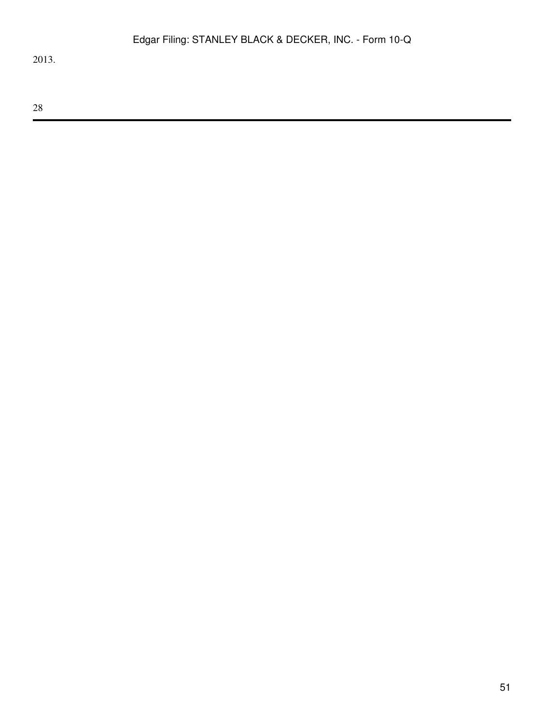2013.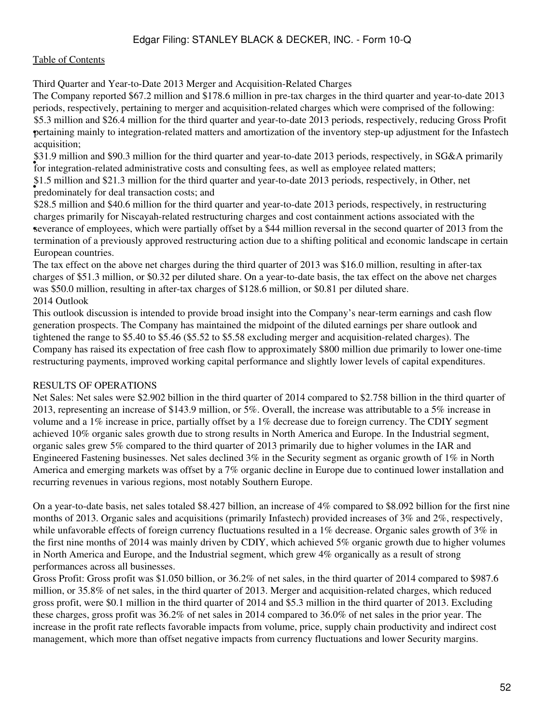#### [Table of Contents](#page-1-0)

Third Quarter and Year-to-Date 2013 Merger and Acquisition-Related Charges

The Company reported \$67.2 million and \$178.6 million in pre-tax charges in the third quarter and year-to-date 2013 periods, respectively, pertaining to merger and acquisition-related charges which were comprised of the following: • pertaining mainly to integration-related matters and amortization of the inventory step-up adjustment for the Infastech \$5.3 million and \$26.4 million for the third quarter and year-to-date 2013 periods, respectively, reducing Gross Profit acquisition;

For integration-related administrative costs and consulting fees, as well as employee related matters; \$31.9 million and \$90.3 million for the third quarter and year-to-date 2013 periods, respectively, in SG&A primarily

predominately for deal transaction costs; and \$1.5 million and \$21.3 million for the third quarter and year-to-date 2013 periods, respectively, in Other, net

severance of employees, which were partially offset by a \$44 million reversal in the second quarter of 2013 from the \$28.5 million and \$40.6 million for the third quarter and year-to-date 2013 periods, respectively, in restructuring charges primarily for Niscayah-related restructuring charges and cost containment actions associated with the termination of a previously approved restructuring action due to a shifting political and economic landscape in certain European countries.

The tax effect on the above net charges during the third quarter of 2013 was \$16.0 million, resulting in after-tax charges of \$51.3 million, or \$0.32 per diluted share. On a year-to-date basis, the tax effect on the above net charges was \$50.0 million, resulting in after-tax charges of \$128.6 million, or \$0.81 per diluted share. 2014 Outlook

This outlook discussion is intended to provide broad insight into the Company's near-term earnings and cash flow generation prospects. The Company has maintained the midpoint of the diluted earnings per share outlook and tightened the range to \$5.40 to \$5.46 (\$5.52 to \$5.58 excluding merger and acquisition-related charges). The Company has raised its expectation of free cash flow to approximately \$800 million due primarily to lower one-time restructuring payments, improved working capital performance and slightly lower levels of capital expenditures.

### RESULTS OF OPERATIONS

Net Sales: Net sales were \$2.902 billion in the third quarter of 2014 compared to \$2.758 billion in the third quarter of 2013, representing an increase of \$143.9 million, or 5%. Overall, the increase was attributable to a 5% increase in volume and a 1% increase in price, partially offset by a 1% decrease due to foreign currency. The CDIY segment achieved 10% organic sales growth due to strong results in North America and Europe. In the Industrial segment, organic sales grew 5% compared to the third quarter of 2013 primarily due to higher volumes in the IAR and Engineered Fastening businesses. Net sales declined 3% in the Security segment as organic growth of 1% in North America and emerging markets was offset by a 7% organic decline in Europe due to continued lower installation and recurring revenues in various regions, most notably Southern Europe.

On a year-to-date basis, net sales totaled \$8.427 billion, an increase of 4% compared to \$8.092 billion for the first nine months of 2013. Organic sales and acquisitions (primarily Infastech) provided increases of 3% and 2%, respectively, while unfavorable effects of foreign currency fluctuations resulted in a 1% decrease. Organic sales growth of 3% in the first nine months of 2014 was mainly driven by CDIY, which achieved 5% organic growth due to higher volumes in North America and Europe, and the Industrial segment, which grew 4% organically as a result of strong performances across all businesses.

Gross Profit: Gross profit was \$1.050 billion, or 36.2% of net sales, in the third quarter of 2014 compared to \$987.6 million, or 35.8% of net sales, in the third quarter of 2013. Merger and acquisition-related charges, which reduced gross profit, were \$0.1 million in the third quarter of 2014 and \$5.3 million in the third quarter of 2013. Excluding these charges, gross profit was 36.2% of net sales in 2014 compared to 36.0% of net sales in the prior year. The increase in the profit rate reflects favorable impacts from volume, price, supply chain productivity and indirect cost management, which more than offset negative impacts from currency fluctuations and lower Security margins.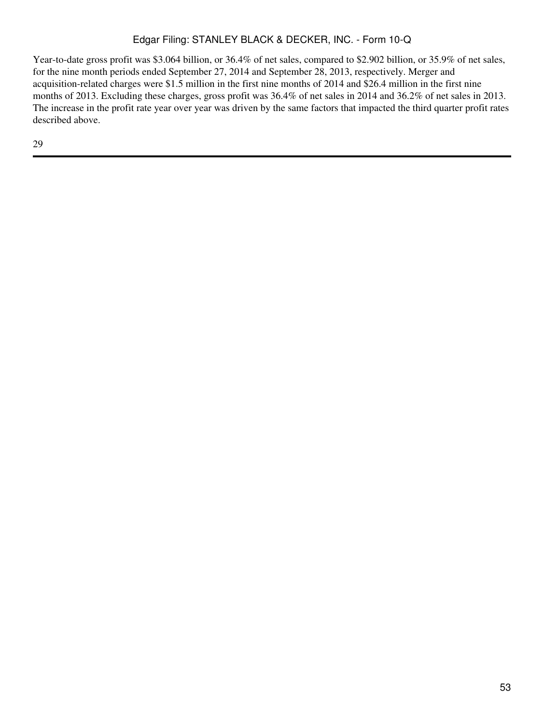Year-to-date gross profit was \$3.064 billion, or 36.4% of net sales, compared to \$2.902 billion, or 35.9% of net sales, for the nine month periods ended September 27, 2014 and September 28, 2013, respectively. Merger and acquisition-related charges were \$1.5 million in the first nine months of 2014 and \$26.4 million in the first nine months of 2013. Excluding these charges, gross profit was 36.4% of net sales in 2014 and 36.2% of net sales in 2013. The increase in the profit rate year over year was driven by the same factors that impacted the third quarter profit rates described above.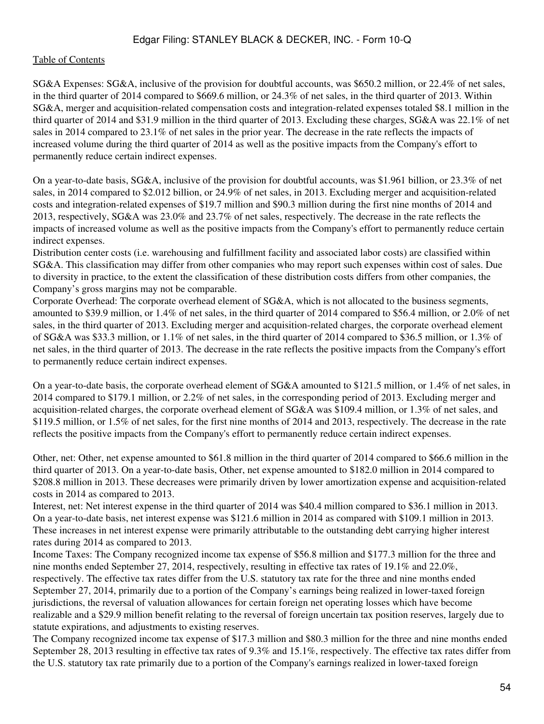#### [Table of Contents](#page-1-0)

SG&A Expenses: SG&A, inclusive of the provision for doubtful accounts, was \$650.2 million, or 22.4% of net sales, in the third quarter of 2014 compared to \$669.6 million, or 24.3% of net sales, in the third quarter of 2013. Within SG&A, merger and acquisition-related compensation costs and integration-related expenses totaled \$8.1 million in the third quarter of 2014 and \$31.9 million in the third quarter of 2013. Excluding these charges, SG&A was 22.1% of net sales in 2014 compared to 23.1% of net sales in the prior year. The decrease in the rate reflects the impacts of increased volume during the third quarter of 2014 as well as the positive impacts from the Company's effort to permanently reduce certain indirect expenses.

On a year-to-date basis, SG&A, inclusive of the provision for doubtful accounts, was \$1.961 billion, or 23.3% of net sales, in 2014 compared to \$2.012 billion, or 24.9% of net sales, in 2013. Excluding merger and acquisition-related costs and integration-related expenses of \$19.7 million and \$90.3 million during the first nine months of 2014 and 2013, respectively, SG&A was 23.0% and 23.7% of net sales, respectively. The decrease in the rate reflects the impacts of increased volume as well as the positive impacts from the Company's effort to permanently reduce certain indirect expenses.

Distribution center costs (i.e. warehousing and fulfillment facility and associated labor costs) are classified within SG&A. This classification may differ from other companies who may report such expenses within cost of sales. Due to diversity in practice, to the extent the classification of these distribution costs differs from other companies, the Company's gross margins may not be comparable.

Corporate Overhead: The corporate overhead element of SG&A, which is not allocated to the business segments, amounted to \$39.9 million, or 1.4% of net sales, in the third quarter of 2014 compared to \$56.4 million, or 2.0% of net sales, in the third quarter of 2013. Excluding merger and acquisition-related charges, the corporate overhead element of SG&A was \$33.3 million, or 1.1% of net sales, in the third quarter of 2014 compared to \$36.5 million, or 1.3% of net sales, in the third quarter of 2013. The decrease in the rate reflects the positive impacts from the Company's effort to permanently reduce certain indirect expenses.

On a year-to-date basis, the corporate overhead element of SG&A amounted to \$121.5 million, or 1.4% of net sales, in 2014 compared to \$179.1 million, or 2.2% of net sales, in the corresponding period of 2013. Excluding merger and acquisition-related charges, the corporate overhead element of SG&A was \$109.4 million, or 1.3% of net sales, and \$119.5 million, or 1.5% of net sales, for the first nine months of 2014 and 2013, respectively. The decrease in the rate reflects the positive impacts from the Company's effort to permanently reduce certain indirect expenses.

Other, net: Other, net expense amounted to \$61.8 million in the third quarter of 2014 compared to \$66.6 million in the third quarter of 2013. On a year-to-date basis, Other, net expense amounted to \$182.0 million in 2014 compared to \$208.8 million in 2013. These decreases were primarily driven by lower amortization expense and acquisition-related costs in 2014 as compared to 2013.

Interest, net: Net interest expense in the third quarter of 2014 was \$40.4 million compared to \$36.1 million in 2013. On a year-to-date basis, net interest expense was \$121.6 million in 2014 as compared with \$109.1 million in 2013. These increases in net interest expense were primarily attributable to the outstanding debt carrying higher interest rates during 2014 as compared to 2013.

Income Taxes: The Company recognized income tax expense of \$56.8 million and \$177.3 million for the three and nine months ended September 27, 2014, respectively, resulting in effective tax rates of 19.1% and 22.0%, respectively. The effective tax rates differ from the U.S. statutory tax rate for the three and nine months ended September 27, 2014, primarily due to a portion of the Company's earnings being realized in lower-taxed foreign jurisdictions, the reversal of valuation allowances for certain foreign net operating losses which have become realizable and a \$29.9 million benefit relating to the reversal of foreign uncertain tax position reserves, largely due to statute expirations, and adjustments to existing reserves.

The Company recognized income tax expense of \$17.3 million and \$80.3 million for the three and nine months ended September 28, 2013 resulting in effective tax rates of 9.3% and 15.1%, respectively. The effective tax rates differ from the U.S. statutory tax rate primarily due to a portion of the Company's earnings realized in lower-taxed foreign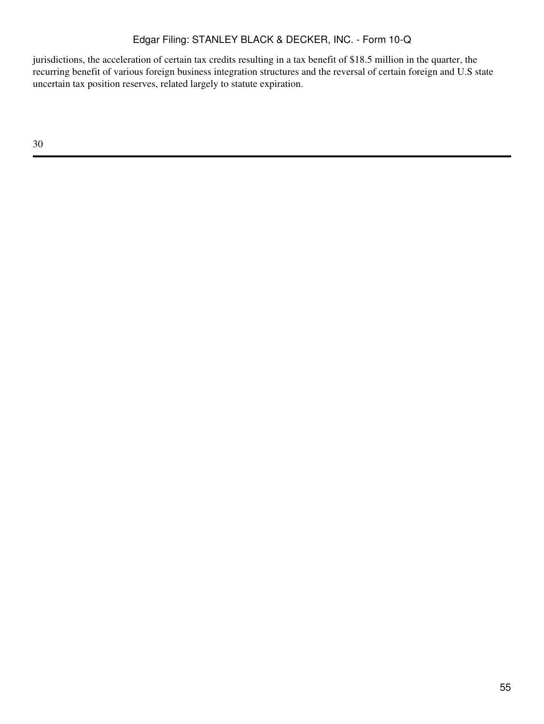jurisdictions, the acceleration of certain tax credits resulting in a tax benefit of \$18.5 million in the quarter, the recurring benefit of various foreign business integration structures and the reversal of certain foreign and U.S state uncertain tax position reserves, related largely to statute expiration.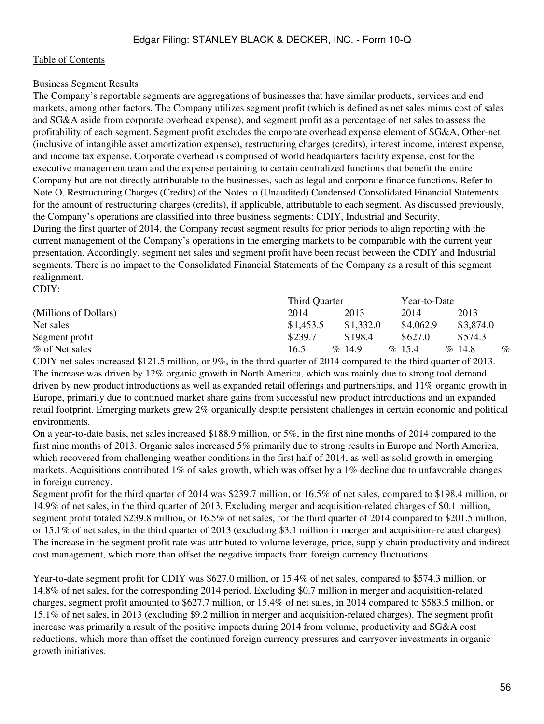#### Business Segment Results

The Company's reportable segments are aggregations of businesses that have similar products, services and end markets, among other factors. The Company utilizes segment profit (which is defined as net sales minus cost of sales and SG&A aside from corporate overhead expense), and segment profit as a percentage of net sales to assess the profitability of each segment. Segment profit excludes the corporate overhead expense element of SG&A, Other-net (inclusive of intangible asset amortization expense), restructuring charges (credits), interest income, interest expense, and income tax expense. Corporate overhead is comprised of world headquarters facility expense, cost for the executive management team and the expense pertaining to certain centralized functions that benefit the entire Company but are not directly attributable to the businesses, such as legal and corporate finance functions. Refer to Note O, Restructuring Charges (Credits) of the Notes to (Unaudited) Condensed Consolidated Financial Statements for the amount of restructuring charges (credits), if applicable, attributable to each segment. As discussed previously, the Company's operations are classified into three business segments: CDIY, Industrial and Security. During the first quarter of 2014, the Company recast segment results for prior periods to align reporting with the current management of the Company's operations in the emerging markets to be comparable with the current year presentation. Accordingly, segment net sales and segment profit have been recast between the CDIY and Industrial segments. There is no impact to the Consolidated Financial Statements of the Company as a result of this segment realignment.

CDIY:

|                       | THILL OUNTLY |           | r var to Date |           |      |
|-----------------------|--------------|-----------|---------------|-----------|------|
| (Millions of Dollars) | 2014         | 2013      | 2014          | 2013      |      |
| Net sales             | \$1,453.5    | \$1,332.0 | \$4,062.9     | \$3,874.0 |      |
| Segment profit        | \$239.7      | \$198.4   | \$627.0       | \$574.3   |      |
| % of Net sales        | 16.5         | $\%$ 14.9 | $\%$ 15.4     | %14.8     | $\%$ |
|                       |              |           |               |           |      |

Third Quarter Year-to-Date

CDIY net sales increased \$121.5 million, or 9%, in the third quarter of 2014 compared to the third quarter of 2013. The increase was driven by 12% organic growth in North America, which was mainly due to strong tool demand driven by new product introductions as well as expanded retail offerings and partnerships, and 11% organic growth in Europe, primarily due to continued market share gains from successful new product introductions and an expanded retail footprint. Emerging markets grew 2% organically despite persistent challenges in certain economic and political environments.

On a year-to-date basis, net sales increased \$188.9 million, or 5%, in the first nine months of 2014 compared to the first nine months of 2013. Organic sales increased 5% primarily due to strong results in Europe and North America, which recovered from challenging weather conditions in the first half of 2014, as well as solid growth in emerging markets. Acquisitions contributed 1% of sales growth, which was offset by a 1% decline due to unfavorable changes in foreign currency.

Segment profit for the third quarter of 2014 was \$239.7 million, or 16.5% of net sales, compared to \$198.4 million, or 14.9% of net sales, in the third quarter of 2013. Excluding merger and acquisition-related charges of \$0.1 million, segment profit totaled \$239.8 million, or 16.5% of net sales, for the third quarter of 2014 compared to \$201.5 million, or 15.1% of net sales, in the third quarter of 2013 (excluding \$3.1 million in merger and acquisition-related charges). The increase in the segment profit rate was attributed to volume leverage, price, supply chain productivity and indirect cost management, which more than offset the negative impacts from foreign currency fluctuations.

Year-to-date segment profit for CDIY was \$627.0 million, or 15.4% of net sales, compared to \$574.3 million, or 14.8% of net sales, for the corresponding 2014 period. Excluding \$0.7 million in merger and acquisition-related charges, segment profit amounted to \$627.7 million, or 15.4% of net sales, in 2014 compared to \$583.5 million, or 15.1% of net sales, in 2013 (excluding \$9.2 million in merger and acquisition-related charges). The segment profit increase was primarily a result of the positive impacts during 2014 from volume, productivity and SG&A cost reductions, which more than offset the continued foreign currency pressures and carryover investments in organic growth initiatives.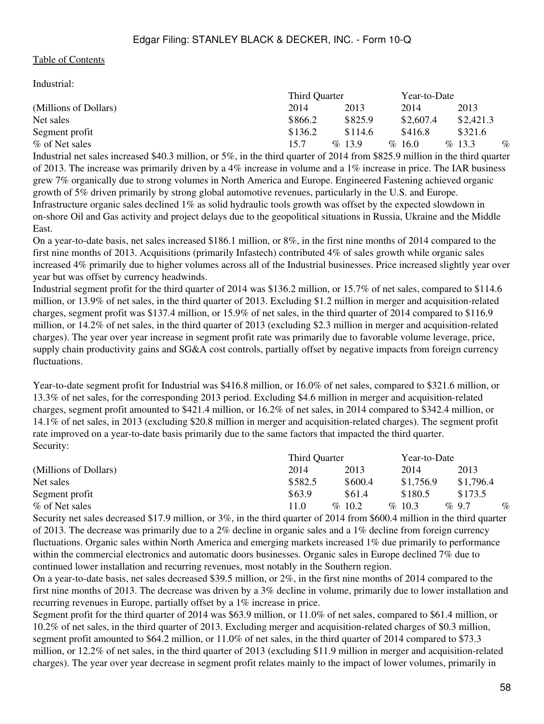Industrial:

|                       | Third Quarter |           | Year-to-Date |           |      |
|-----------------------|---------------|-----------|--------------|-----------|------|
| (Millions of Dollars) | 2014          | 2013      | 2014         | 2013      |      |
| Net sales             | \$866.2       | \$825.9   | \$2,607.4    | \$2,421.3 |      |
| Segment profit        | \$136.2       | \$114.6   | \$416.8      | \$321.6   |      |
| % of Net sales        | 15.7          | $\%$ 13.9 | %16.0        | $\%$ 13.3 | $\%$ |

Industrial net sales increased \$40.3 million, or 5%, in the third quarter of 2014 from \$825.9 million in the third quarter of 2013. The increase was primarily driven by a 4% increase in volume and a  $1\%$  increase in price. The IAR business grew 7% organically due to strong volumes in North America and Europe. Engineered Fastening achieved organic growth of 5% driven primarily by strong global automotive revenues, particularly in the U.S. and Europe. Infrastructure organic sales declined 1% as solid hydraulic tools growth was offset by the expected slowdown in on-shore Oil and Gas activity and project delays due to the geopolitical situations in Russia, Ukraine and the Middle East.

On a year-to-date basis, net sales increased \$186.1 million, or 8%, in the first nine months of 2014 compared to the first nine months of 2013. Acquisitions (primarily Infastech) contributed 4% of sales growth while organic sales increased 4% primarily due to higher volumes across all of the Industrial businesses. Price increased slightly year over year but was offset by currency headwinds.

Industrial segment profit for the third quarter of 2014 was \$136.2 million, or 15.7% of net sales, compared to \$114.6 million, or 13.9% of net sales, in the third quarter of 2013. Excluding \$1.2 million in merger and acquisition-related charges, segment profit was \$137.4 million, or 15.9% of net sales, in the third quarter of 2014 compared to \$116.9 million, or 14.2% of net sales, in the third quarter of 2013 (excluding \$2.3 million in merger and acquisition-related charges). The year over year increase in segment profit rate was primarily due to favorable volume leverage, price, supply chain productivity gains and SG&A cost controls, partially offset by negative impacts from foreign currency fluctuations.

Year-to-date segment profit for Industrial was \$416.8 million, or 16.0% of net sales, compared to \$321.6 million, or 13.3% of net sales, for the corresponding 2013 period. Excluding \$4.6 million in merger and acquisition-related charges, segment profit amounted to \$421.4 million, or 16.2% of net sales, in 2014 compared to \$342.4 million, or 14.1% of net sales, in 2013 (excluding \$20.8 million in merger and acquisition-related charges). The segment profit rate improved on a year-to-date basis primarily due to the same factors that impacted the third quarter. Security:

|                       | Third Quarter |           | Year-to-Date |                  |
|-----------------------|---------------|-----------|--------------|------------------|
| (Millions of Dollars) | 2014          | 2013      | 2014         | 2013             |
| Net sales             | \$582.5       | \$600.4   | \$1,756.9    | \$1,796.4        |
| Segment profit        | \$63.9        | \$61.4    | \$180.5      | \$173.5          |
| % of Net sales        | 11.0          | $\%$ 10.2 | $\%$ 10.3    | $\%$<br>$\%$ 9.7 |

Security net sales decreased \$17.9 million, or 3%, in the third quarter of 2014 from \$600.4 million in the third quarter of 2013. The decrease was primarily due to a 2% decline in organic sales and a 1% decline from foreign currency fluctuations. Organic sales within North America and emerging markets increased 1% due primarily to performance within the commercial electronics and automatic doors businesses. Organic sales in Europe declined 7% due to continued lower installation and recurring revenues, most notably in the Southern region.

On a year-to-date basis, net sales decreased \$39.5 million, or 2%, in the first nine months of 2014 compared to the first nine months of 2013. The decrease was driven by a 3% decline in volume, primarily due to lower installation and recurring revenues in Europe, partially offset by a 1% increase in price.

Segment profit for the third quarter of 2014 was \$63.9 million, or 11.0% of net sales, compared to \$61.4 million, or 10.2% of net sales, in the third quarter of 2013. Excluding merger and acquisition-related charges of \$0.3 million, segment profit amounted to \$64.2 million, or 11.0% of net sales, in the third quarter of 2014 compared to \$73.3 million, or 12.2% of net sales, in the third quarter of 2013 (excluding \$11.9 million in merger and acquisition-related charges). The year over year decrease in segment profit relates mainly to the impact of lower volumes, primarily in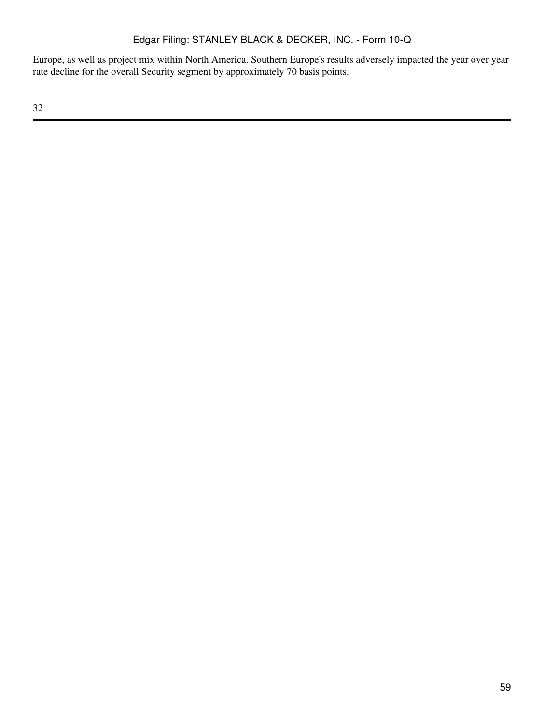Europe, as well as project mix within North America. Southern Europe's results adversely impacted the year over year rate decline for the overall Security segment by approximately 70 basis points.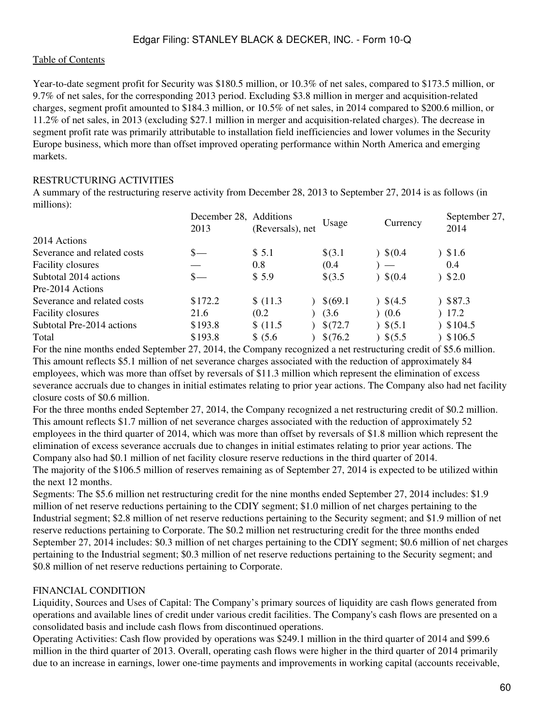Year-to-date segment profit for Security was \$180.5 million, or 10.3% of net sales, compared to \$173.5 million, or 9.7% of net sales, for the corresponding 2013 period. Excluding \$3.8 million in merger and acquisition-related charges, segment profit amounted to \$184.3 million, or 10.5% of net sales, in 2014 compared to \$200.6 million, or 11.2% of net sales, in 2013 (excluding \$27.1 million in merger and acquisition-related charges). The decrease in segment profit rate was primarily attributable to installation field inefficiencies and lower volumes in the Security Europe business, which more than offset improved operating performance within North America and emerging markets.

# RESTRUCTURING ACTIVITIES

A summary of the restructuring reserve activity from December 28, 2013 to September 27, 2014 is as follows (in millions):

|                             | December 28, Additions<br>2013 | (Reversals), net | Usage     | Currency | September 27,<br>2014 |
|-----------------------------|--------------------------------|------------------|-----------|----------|-----------------------|
| 2014 Actions                |                                |                  |           |          |                       |
| Severance and related costs | $S-$                           | \$5.1            | $$$ (3.1) | 3(0.4)   | 3.51.6                |
| <b>Facility closures</b>    |                                | 0.8              | (0.4)     |          | 0.4                   |
| Subtotal 2014 actions       | $\mathcal{S}-$                 | \$5.9            | \$ (3.5)  | 3(0.4)   | 32.0                  |
| Pre-2014 Actions            |                                |                  |           |          |                       |
| Severance and related costs | \$172.2                        | \$(11.3)         | \$ (69.1) | 3(4.5)   | $)$ \$87.3            |
| <b>Facility closures</b>    | 21.6                           | (0.2)            | (3.6)     | (0.6)    | 17.2                  |
| Subtotal Pre-2014 actions   | \$193.8                        | \$(11.5)         | \$(72.7)  | 3(5.1)   | 3104.5                |
| Total                       | \$193.8                        | \$ (5.6)         | \$(76.2)  | \$ (5.5) | 3106.5                |

For the nine months ended September 27, 2014, the Company recognized a net restructuring credit of \$5.6 million. This amount reflects \$5.1 million of net severance charges associated with the reduction of approximately 84 employees, which was more than offset by reversals of \$11.3 million which represent the elimination of excess severance accruals due to changes in initial estimates relating to prior year actions. The Company also had net facility closure costs of \$0.6 million.

For the three months ended September 27, 2014, the Company recognized a net restructuring credit of \$0.2 million. This amount reflects \$1.7 million of net severance charges associated with the reduction of approximately 52 employees in the third quarter of 2014, which was more than offset by reversals of \$1.8 million which represent the elimination of excess severance accruals due to changes in initial estimates relating to prior year actions. The Company also had \$0.1 million of net facility closure reserve reductions in the third quarter of 2014. The majority of the \$106.5 million of reserves remaining as of September 27, 2014 is expected to be utilized within the next 12 months.

Segments: The \$5.6 million net restructuring credit for the nine months ended September 27, 2014 includes: \$1.9 million of net reserve reductions pertaining to the CDIY segment; \$1.0 million of net charges pertaining to the Industrial segment; \$2.8 million of net reserve reductions pertaining to the Security segment; and \$1.9 million of net reserve reductions pertaining to Corporate. The \$0.2 million net restructuring credit for the three months ended September 27, 2014 includes: \$0.3 million of net charges pertaining to the CDIY segment; \$0.6 million of net charges pertaining to the Industrial segment; \$0.3 million of net reserve reductions pertaining to the Security segment; and \$0.8 million of net reserve reductions pertaining to Corporate.

# FINANCIAL CONDITION

Liquidity, Sources and Uses of Capital: The Company's primary sources of liquidity are cash flows generated from operations and available lines of credit under various credit facilities. The Company's cash flows are presented on a consolidated basis and include cash flows from discontinued operations.

Operating Activities: Cash flow provided by operations was \$249.1 million in the third quarter of 2014 and \$99.6 million in the third quarter of 2013. Overall, operating cash flows were higher in the third quarter of 2014 primarily due to an increase in earnings, lower one-time payments and improvements in working capital (accounts receivable,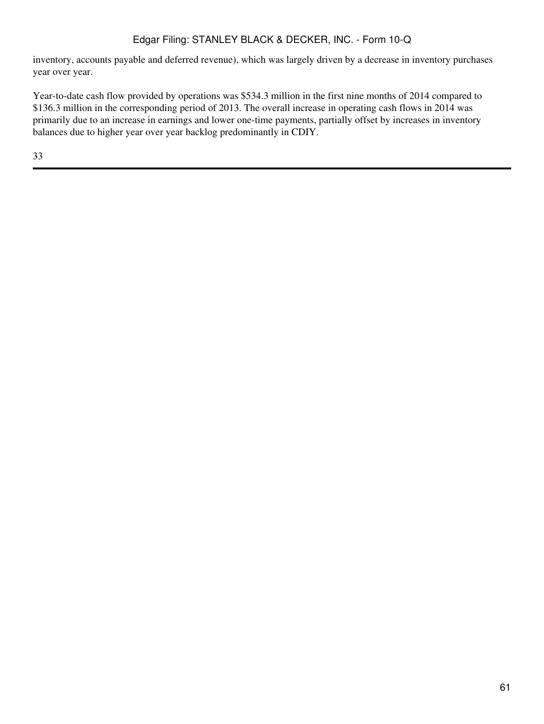inventory, accounts payable and deferred revenue), which was largely driven by a decrease in inventory purchases year over year.

Year-to-date cash flow provided by operations was \$534.3 million in the first nine months of 2014 compared to \$136.3 million in the corresponding period of 2013. The overall increase in operating cash flows in 2014 was primarily due to an increase in earnings and lower one-time payments, partially offset by increases in inventory balances due to higher year over year backlog predominantly in CDIY.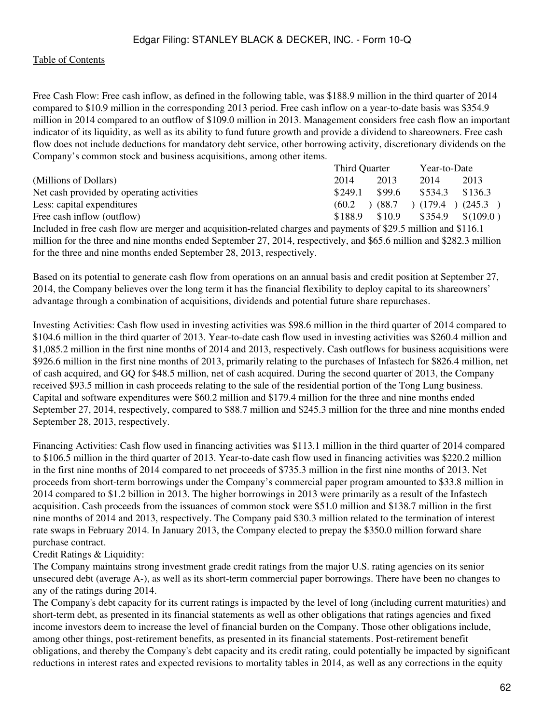Free Cash Flow: Free cash inflow, as defined in the following table, was \$188.9 million in the third quarter of 2014 compared to \$10.9 million in the corresponding 2013 period. Free cash inflow on a year-to-date basis was \$354.9 million in 2014 compared to an outflow of \$109.0 million in 2013. Management considers free cash flow an important indicator of its liquidity, as well as its ability to fund future growth and provide a dividend to shareowners. Free cash flow does not include deductions for mandatory debt service, other borrowing activity, discretionary dividends on the Company's common stock and business acquisitions, among other items.

|                                           | Third Quarter     | Year-to-Date                 |
|-------------------------------------------|-------------------|------------------------------|
| (Millions of Dollars)                     | 2013<br>2014      | 2013<br>2014                 |
| Net cash provided by operating activities | \$249.1           | \$99.6<br>\$136.3<br>\$534.3 |
| Less: capital expenditures                | (60.2)            | (179.4) (245.3)<br>(88.7     |
| Free cash inflow (outflow)                | \$10.9<br>\$188.9 | \$(109.0)<br>\$354.9         |
|                                           |                   |                              |

Included in free cash flow are merger and acquisition-related charges and payments of \$29.5 million and \$116.1 million for the three and nine months ended September 27, 2014, respectively, and \$65.6 million and \$282.3 million for the three and nine months ended September 28, 2013, respectively.

Based on its potential to generate cash flow from operations on an annual basis and credit position at September 27, 2014, the Company believes over the long term it has the financial flexibility to deploy capital to its shareowners' advantage through a combination of acquisitions, dividends and potential future share repurchases.

Investing Activities: Cash flow used in investing activities was \$98.6 million in the third quarter of 2014 compared to \$104.6 million in the third quarter of 2013. Year-to-date cash flow used in investing activities was \$260.4 million and \$1,085.2 million in the first nine months of 2014 and 2013, respectively. Cash outflows for business acquisitions were \$926.6 million in the first nine months of 2013, primarily relating to the purchases of Infastech for \$826.4 million, net of cash acquired, and GQ for \$48.5 million, net of cash acquired. During the second quarter of 2013, the Company received \$93.5 million in cash proceeds relating to the sale of the residential portion of the Tong Lung business. Capital and software expenditures were \$60.2 million and \$179.4 million for the three and nine months ended September 27, 2014, respectively, compared to \$88.7 million and \$245.3 million for the three and nine months ended September 28, 2013, respectively.

Financing Activities: Cash flow used in financing activities was \$113.1 million in the third quarter of 2014 compared to \$106.5 million in the third quarter of 2013. Year-to-date cash flow used in financing activities was \$220.2 million in the first nine months of 2014 compared to net proceeds of \$735.3 million in the first nine months of 2013. Net proceeds from short-term borrowings under the Company's commercial paper program amounted to \$33.8 million in 2014 compared to \$1.2 billion in 2013. The higher borrowings in 2013 were primarily as a result of the Infastech acquisition. Cash proceeds from the issuances of common stock were \$51.0 million and \$138.7 million in the first nine months of 2014 and 2013, respectively. The Company paid \$30.3 million related to the termination of interest rate swaps in February 2014. In January 2013, the Company elected to prepay the \$350.0 million forward share purchase contract.

Credit Ratings & Liquidity:

The Company maintains strong investment grade credit ratings from the major U.S. rating agencies on its senior unsecured debt (average A-), as well as its short-term commercial paper borrowings. There have been no changes to any of the ratings during 2014.

The Company's debt capacity for its current ratings is impacted by the level of long (including current maturities) and short-term debt, as presented in its financial statements as well as other obligations that ratings agencies and fixed income investors deem to increase the level of financial burden on the Company. Those other obligations include, among other things, post-retirement benefits, as presented in its financial statements. Post-retirement benefit obligations, and thereby the Company's debt capacity and its credit rating, could potentially be impacted by significant reductions in interest rates and expected revisions to mortality tables in 2014, as well as any corrections in the equity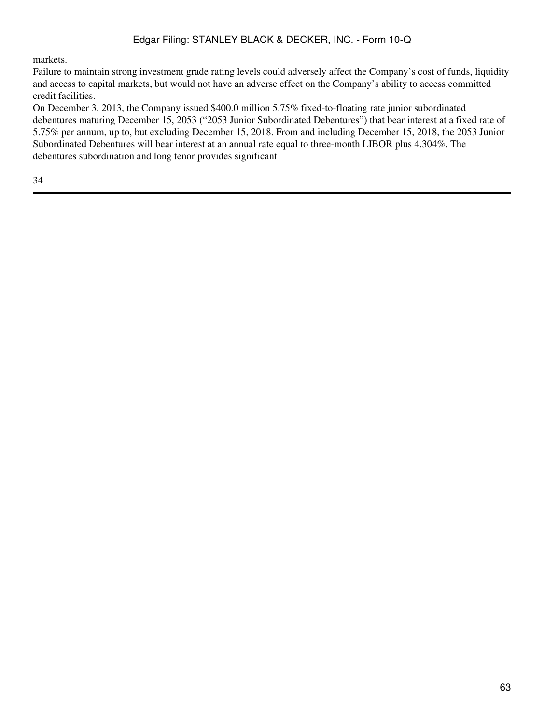markets.

Failure to maintain strong investment grade rating levels could adversely affect the Company's cost of funds, liquidity and access to capital markets, but would not have an adverse effect on the Company's ability to access committed credit facilities.

On December 3, 2013, the Company issued \$400.0 million 5.75% fixed-to-floating rate junior subordinated debentures maturing December 15, 2053 ("2053 Junior Subordinated Debentures") that bear interest at a fixed rate of 5.75% per annum, up to, but excluding December 15, 2018. From and including December 15, 2018, the 2053 Junior Subordinated Debentures will bear interest at an annual rate equal to three-month LIBOR plus 4.304%. The debentures subordination and long tenor provides significant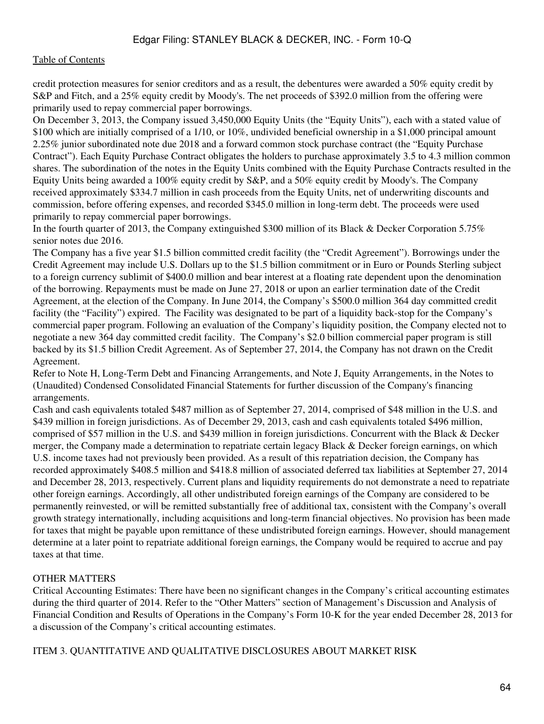credit protection measures for senior creditors and as a result, the debentures were awarded a 50% equity credit by S&P and Fitch, and a 25% equity credit by Moody's. The net proceeds of \$392.0 million from the offering were primarily used to repay commercial paper borrowings.

On December 3, 2013, the Company issued 3,450,000 Equity Units (the "Equity Units"), each with a stated value of \$100 which are initially comprised of a 1/10, or 10%, undivided beneficial ownership in a \$1,000 principal amount 2.25% junior subordinated note due 2018 and a forward common stock purchase contract (the "Equity Purchase Contract"). Each Equity Purchase Contract obligates the holders to purchase approximately 3.5 to 4.3 million common shares. The subordination of the notes in the Equity Units combined with the Equity Purchase Contracts resulted in the Equity Units being awarded a 100% equity credit by S&P, and a 50% equity credit by Moody's. The Company received approximately \$334.7 million in cash proceeds from the Equity Units, net of underwriting discounts and commission, before offering expenses, and recorded \$345.0 million in long-term debt. The proceeds were used primarily to repay commercial paper borrowings.

In the fourth quarter of 2013, the Company extinguished \$300 million of its Black & Decker Corporation 5.75% senior notes due 2016.

The Company has a five year \$1.5 billion committed credit facility (the "Credit Agreement"). Borrowings under the Credit Agreement may include U.S. Dollars up to the \$1.5 billion commitment or in Euro or Pounds Sterling subject to a foreign currency sublimit of \$400.0 million and bear interest at a floating rate dependent upon the denomination of the borrowing. Repayments must be made on June 27, 2018 or upon an earlier termination date of the Credit Agreement, at the election of the Company. In June 2014, the Company's \$500.0 million 364 day committed credit facility (the "Facility") expired. The Facility was designated to be part of a liquidity back-stop for the Company's commercial paper program. Following an evaluation of the Company's liquidity position, the Company elected not to negotiate a new 364 day committed credit facility. The Company's \$2.0 billion commercial paper program is still backed by its \$1.5 billion Credit Agreement. As of September 27, 2014, the Company has not drawn on the Credit Agreement.

Refer to Note H, Long-Term Debt and Financing Arrangements, and Note J, Equity Arrangements, in the Notes to (Unaudited) Condensed Consolidated Financial Statements for further discussion of the Company's financing arrangements.

Cash and cash equivalents totaled \$487 million as of September 27, 2014, comprised of \$48 million in the U.S. and \$439 million in foreign jurisdictions. As of December 29, 2013, cash and cash equivalents totaled \$496 million, comprised of \$57 million in the U.S. and \$439 million in foreign jurisdictions. Concurrent with the Black & Decker merger, the Company made a determination to repatriate certain legacy Black & Decker foreign earnings, on which U.S. income taxes had not previously been provided. As a result of this repatriation decision, the Company has recorded approximately \$408.5 million and \$418.8 million of associated deferred tax liabilities at September 27, 2014 and December 28, 2013, respectively. Current plans and liquidity requirements do not demonstrate a need to repatriate other foreign earnings. Accordingly, all other undistributed foreign earnings of the Company are considered to be permanently reinvested, or will be remitted substantially free of additional tax, consistent with the Company's overall growth strategy internationally, including acquisitions and long-term financial objectives. No provision has been made for taxes that might be payable upon remittance of these undistributed foreign earnings. However, should management determine at a later point to repatriate additional foreign earnings, the Company would be required to accrue and pay taxes at that time.

### OTHER MATTERS

Critical Accounting Estimates: There have been no significant changes in the Company's critical accounting estimates during the third quarter of 2014. Refer to the "Other Matters" section of Management's Discussion and Analysis of Financial Condition and Results of Operations in the Company's Form 10-K for the year ended December 28, 2013 for a discussion of the Company's critical accounting estimates.

ITEM 3. QUANTITATIVE AND QUALITATIVE DISCLOSURES ABOUT MARKET RISK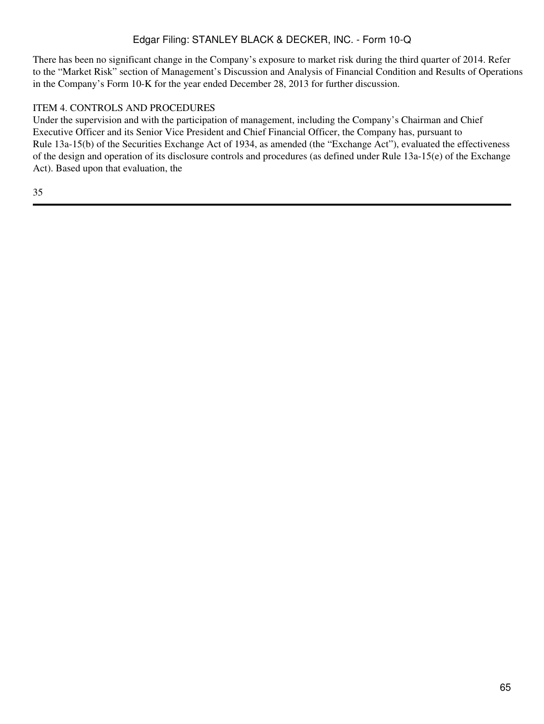There has been no significant change in the Company's exposure to market risk during the third quarter of 2014. Refer to the "Market Risk" section of Management's Discussion and Analysis of Financial Condition and Results of Operations in the Company's Form 10-K for the year ended December 28, 2013 for further discussion.

# ITEM 4. CONTROLS AND PROCEDURES

Under the supervision and with the participation of management, including the Company's Chairman and Chief Executive Officer and its Senior Vice President and Chief Financial Officer, the Company has, pursuant to Rule 13a-15(b) of the Securities Exchange Act of 1934, as amended (the "Exchange Act"), evaluated the effectiveness of the design and operation of its disclosure controls and procedures (as defined under Rule 13a-15(e) of the Exchange Act). Based upon that evaluation, the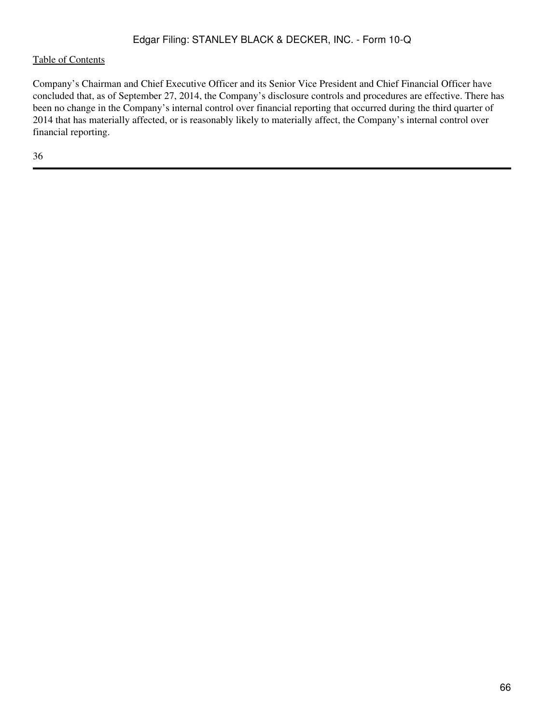Company's Chairman and Chief Executive Officer and its Senior Vice President and Chief Financial Officer have concluded that, as of September 27, 2014, the Company's disclosure controls and procedures are effective. There has been no change in the Company's internal control over financial reporting that occurred during the third quarter of 2014 that has materially affected, or is reasonably likely to materially affect, the Company's internal control over financial reporting.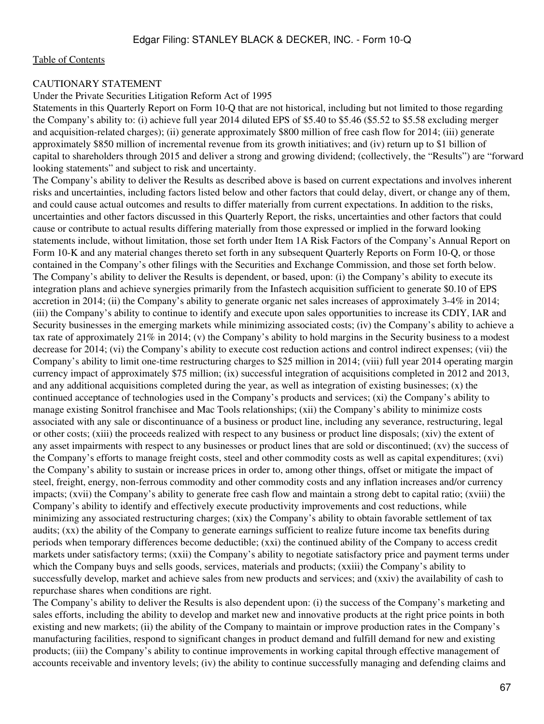#### CAUTIONARY STATEMENT

Under the Private Securities Litigation Reform Act of 1995

Statements in this Quarterly Report on Form 10-Q that are not historical, including but not limited to those regarding the Company's ability to: (i) achieve full year 2014 diluted EPS of \$5.40 to \$5.46 (\$5.52 to \$5.58 excluding merger and acquisition-related charges); (ii) generate approximately \$800 million of free cash flow for 2014; (iii) generate approximately \$850 million of incremental revenue from its growth initiatives; and (iv) return up to \$1 billion of capital to shareholders through 2015 and deliver a strong and growing dividend; (collectively, the "Results") are "forward looking statements" and subject to risk and uncertainty.

The Company's ability to deliver the Results as described above is based on current expectations and involves inherent risks and uncertainties, including factors listed below and other factors that could delay, divert, or change any of them, and could cause actual outcomes and results to differ materially from current expectations. In addition to the risks, uncertainties and other factors discussed in this Quarterly Report, the risks, uncertainties and other factors that could cause or contribute to actual results differing materially from those expressed or implied in the forward looking statements include, without limitation, those set forth under Item 1A Risk Factors of the Company's Annual Report on Form 10-K and any material changes thereto set forth in any subsequent Quarterly Reports on Form 10-Q, or those contained in the Company's other filings with the Securities and Exchange Commission, and those set forth below. The Company's ability to deliver the Results is dependent, or based, upon: (i) the Company's ability to execute its integration plans and achieve synergies primarily from the Infastech acquisition sufficient to generate \$0.10 of EPS accretion in 2014; (ii) the Company's ability to generate organic net sales increases of approximately 3-4% in 2014; (iii) the Company's ability to continue to identify and execute upon sales opportunities to increase its CDIY, IAR and Security businesses in the emerging markets while minimizing associated costs; (iv) the Company's ability to achieve a tax rate of approximately 21% in 2014; (v) the Company's ability to hold margins in the Security business to a modest decrease for 2014; (vi) the Company's ability to execute cost reduction actions and control indirect expenses; (vii) the Company's ability to limit one-time restructuring charges to \$25 million in 2014; (viii) full year 2014 operating margin currency impact of approximately \$75 million; (ix) successful integration of acquisitions completed in 2012 and 2013, and any additional acquisitions completed during the year, as well as integration of existing businesses; (x) the continued acceptance of technologies used in the Company's products and services; (xi) the Company's ability to manage existing Sonitrol franchisee and Mac Tools relationships; (xii) the Company's ability to minimize costs associated with any sale or discontinuance of a business or product line, including any severance, restructuring, legal or other costs; (xiii) the proceeds realized with respect to any business or product line disposals; (xiv) the extent of any asset impairments with respect to any businesses or product lines that are sold or discontinued; (xv) the success of the Company's efforts to manage freight costs, steel and other commodity costs as well as capital expenditures; (xvi) the Company's ability to sustain or increase prices in order to, among other things, offset or mitigate the impact of steel, freight, energy, non-ferrous commodity and other commodity costs and any inflation increases and/or currency impacts; (xvii) the Company's ability to generate free cash flow and maintain a strong debt to capital ratio; (xviii) the Company's ability to identify and effectively execute productivity improvements and cost reductions, while minimizing any associated restructuring charges; (xix) the Company's ability to obtain favorable settlement of tax audits; (xx) the ability of the Company to generate earnings sufficient to realize future income tax benefits during periods when temporary differences become deductible; (xxi) the continued ability of the Company to access credit markets under satisfactory terms; (xxii) the Company's ability to negotiate satisfactory price and payment terms under which the Company buys and sells goods, services, materials and products; (xxiii) the Company's ability to successfully develop, market and achieve sales from new products and services; and (xxiv) the availability of cash to repurchase shares when conditions are right.

The Company's ability to deliver the Results is also dependent upon: (i) the success of the Company's marketing and sales efforts, including the ability to develop and market new and innovative products at the right price points in both existing and new markets; (ii) the ability of the Company to maintain or improve production rates in the Company's manufacturing facilities, respond to significant changes in product demand and fulfill demand for new and existing products; (iii) the Company's ability to continue improvements in working capital through effective management of accounts receivable and inventory levels; (iv) the ability to continue successfully managing and defending claims and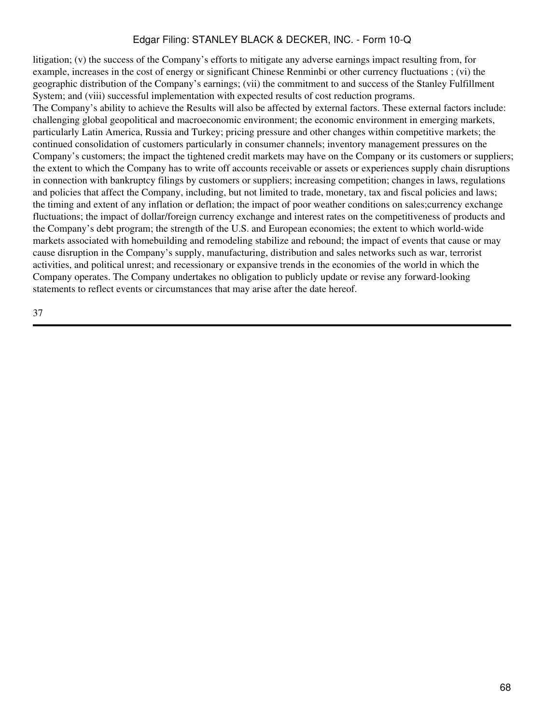litigation; (v) the success of the Company's efforts to mitigate any adverse earnings impact resulting from, for example, increases in the cost of energy or significant Chinese Renminbi or other currency fluctuations ; (vi) the geographic distribution of the Company's earnings; (vii) the commitment to and success of the Stanley Fulfillment System; and (viii) successful implementation with expected results of cost reduction programs.

The Company's ability to achieve the Results will also be affected by external factors. These external factors include: challenging global geopolitical and macroeconomic environment; the economic environment in emerging markets, particularly Latin America, Russia and Turkey; pricing pressure and other changes within competitive markets; the continued consolidation of customers particularly in consumer channels; inventory management pressures on the Company's customers; the impact the tightened credit markets may have on the Company or its customers or suppliers; the extent to which the Company has to write off accounts receivable or assets or experiences supply chain disruptions in connection with bankruptcy filings by customers or suppliers; increasing competition; changes in laws, regulations and policies that affect the Company, including, but not limited to trade, monetary, tax and fiscal policies and laws; the timing and extent of any inflation or deflation; the impact of poor weather conditions on sales;currency exchange fluctuations; the impact of dollar/foreign currency exchange and interest rates on the competitiveness of products and the Company's debt program; the strength of the U.S. and European economies; the extent to which world-wide markets associated with homebuilding and remodeling stabilize and rebound; the impact of events that cause or may cause disruption in the Company's supply, manufacturing, distribution and sales networks such as war, terrorist activities, and political unrest; and recessionary or expansive trends in the economies of the world in which the Company operates. The Company undertakes no obligation to publicly update or revise any forward-looking statements to reflect events or circumstances that may arise after the date hereof.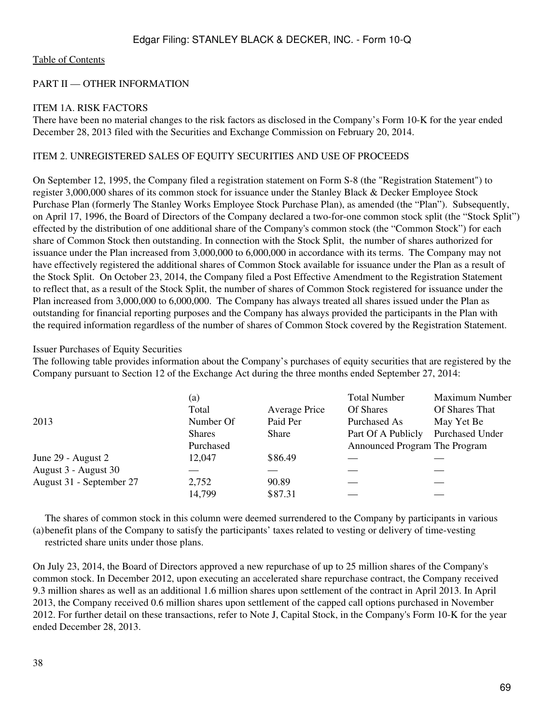#### PART II — OTHER INFORMATION

#### ITEM 1A. RISK FACTORS

There have been no material changes to the risk factors as disclosed in the Company's Form 10-K for the year ended December 28, 2013 filed with the Securities and Exchange Commission on February 20, 2014.

#### ITEM 2. UNREGISTERED SALES OF EQUITY SECURITIES AND USE OF PROCEEDS

On September 12, 1995, the Company filed a registration statement on Form S-8 (the "Registration Statement") to register 3,000,000 shares of its common stock for issuance under the Stanley Black & Decker Employee Stock Purchase Plan (formerly The Stanley Works Employee Stock Purchase Plan), as amended (the "Plan"). Subsequently, on April 17, 1996, the Board of Directors of the Company declared a two-for-one common stock split (the "Stock Split") effected by the distribution of one additional share of the Company's common stock (the "Common Stock") for each share of Common Stock then outstanding. In connection with the Stock Split, the number of shares authorized for issuance under the Plan increased from 3,000,000 to 6,000,000 in accordance with its terms. The Company may not have effectively registered the additional shares of Common Stock available for issuance under the Plan as a result of the Stock Split. On October 23, 2014, the Company filed a Post Effective Amendment to the Registration Statement to reflect that, as a result of the Stock Split, the number of shares of Common Stock registered for issuance under the Plan increased from 3,000,000 to 6,000,000. The Company has always treated all shares issued under the Plan as outstanding for financial reporting purposes and the Company has always provided the participants in the Plan with the required information regardless of the number of shares of Common Stock covered by the Registration Statement.

#### Issuer Purchases of Equity Securities

The following table provides information about the Company's purchases of equity securities that are registered by the Company pursuant to Section 12 of the Exchange Act during the three months ended September 27, 2014:

| 2013                     | (a)<br>Total<br>Number Of<br><b>Shares</b><br>Purchased | Average Price<br>Paid Per<br>Share | <b>Total Number</b><br>Of Shares<br>Purchased As<br>Part Of A Publicly<br>Announced Program The Program | <b>Maximum Number</b><br>Of Shares That<br>May Yet Be<br><b>Purchased Under</b> |
|--------------------------|---------------------------------------------------------|------------------------------------|---------------------------------------------------------------------------------------------------------|---------------------------------------------------------------------------------|
| June 29 - August 2       | 12,047                                                  | \$86.49                            |                                                                                                         |                                                                                 |
| August 3 - August 30     |                                                         |                                    |                                                                                                         |                                                                                 |
| August 31 - September 27 | 2,752                                                   | 90.89                              |                                                                                                         |                                                                                 |
|                          | 14,799                                                  | \$87.31                            |                                                                                                         |                                                                                 |

(a) benefit plans of the Company to satisfy the participants' taxes related to vesting or delivery of time-vesting The shares of common stock in this column were deemed surrendered to the Company by participants in various restricted share units under those plans.

On July 23, 2014, the Board of Directors approved a new repurchase of up to 25 million shares of the Company's common stock. In December 2012, upon executing an accelerated share repurchase contract, the Company received 9.3 million shares as well as an additional 1.6 million shares upon settlement of the contract in April 2013. In April 2013, the Company received 0.6 million shares upon settlement of the capped call options purchased in November 2012. For further detail on these transactions, refer to Note J, Capital Stock, in the Company's Form 10-K for the year ended December 28, 2013.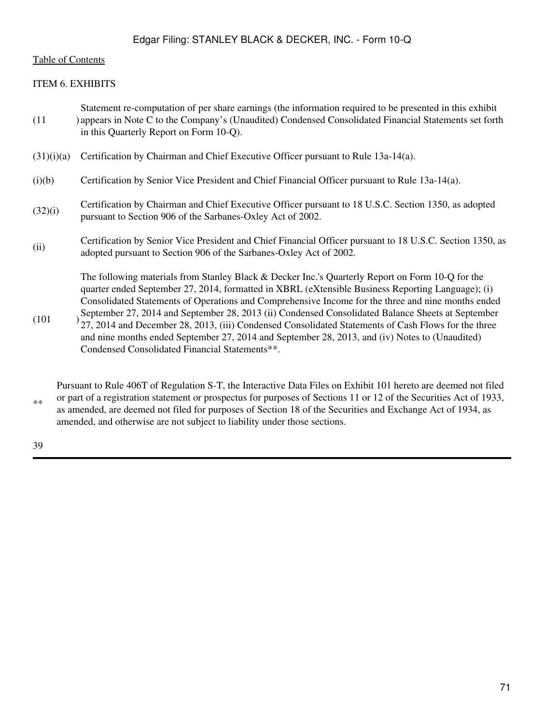### ITEM 6. EXHIBITS

| (11)       | Statement re-computation of per share earnings (the information required to be presented in this exhibit<br>) appears in Note C to the Company's (Unaudited) Condensed Consolidated Financial Statements set forth<br>in this Quarterly Report on Form 10-Q).                                                                                                                                                                                                                                                                                                                                                                                                               |
|------------|-----------------------------------------------------------------------------------------------------------------------------------------------------------------------------------------------------------------------------------------------------------------------------------------------------------------------------------------------------------------------------------------------------------------------------------------------------------------------------------------------------------------------------------------------------------------------------------------------------------------------------------------------------------------------------|
| (31)(i)(a) | Certification by Chairman and Chief Executive Officer pursuant to Rule 13a-14(a).                                                                                                                                                                                                                                                                                                                                                                                                                                                                                                                                                                                           |
| (i)(b)     | Certification by Senior Vice President and Chief Financial Officer pursuant to Rule 13a-14(a).                                                                                                                                                                                                                                                                                                                                                                                                                                                                                                                                                                              |
| (32)(i)    | Certification by Chairman and Chief Executive Officer pursuant to 18 U.S.C. Section 1350, as adopted<br>pursuant to Section 906 of the Sarbanes-Oxley Act of 2002.                                                                                                                                                                                                                                                                                                                                                                                                                                                                                                          |
| (ii)       | Certification by Senior Vice President and Chief Financial Officer pursuant to 18 U.S.C. Section 1350, as<br>adopted pursuant to Section 906 of the Sarbanes-Oxley Act of 2002.                                                                                                                                                                                                                                                                                                                                                                                                                                                                                             |
| (101)      | The following materials from Stanley Black & Decker Inc.'s Quarterly Report on Form 10-Q for the<br>quarter ended September 27, 2014, formatted in XBRL (eXtensible Business Reporting Language); (i)<br>Consolidated Statements of Operations and Comprehensive Income for the three and nine months ended<br>September 27, 2014 and September 28, 2013 (ii) Condensed Consolidated Balance Sheets at September<br>27, 2014 and December 28, 2013, (iii) Condensed Consolidated Statements of Cash Flows for the three<br>and nine months ended September 27, 2014 and September 28, 2013, and (iv) Notes to (Unaudited)<br>Condensed Consolidated Financial Statements**. |

\*\* Pursuant to Rule 406T of Regulation S-T, the Interactive Data Files on Exhibit 101 hereto are deemed not filed or part of a registration statement or prospectus for purposes of Sections 11 or 12 of the Securities Act of 1933, as amended, are deemed not filed for purposes of Section 18 of the Securities and Exchange Act of 1934, as amended, and otherwise are not subject to liability under those sections.